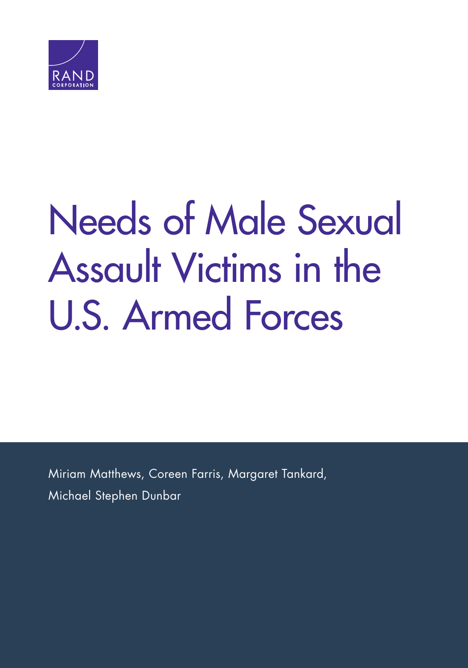

# [Needs of Male Sexual](https://www.rand.org/pubs/research_reports/RR2167.html)  Assault Victims in the U.S. Armed Forces

Miriam Matthews, Coreen Farris, Margaret Tankard, Michael Stephen Dunbar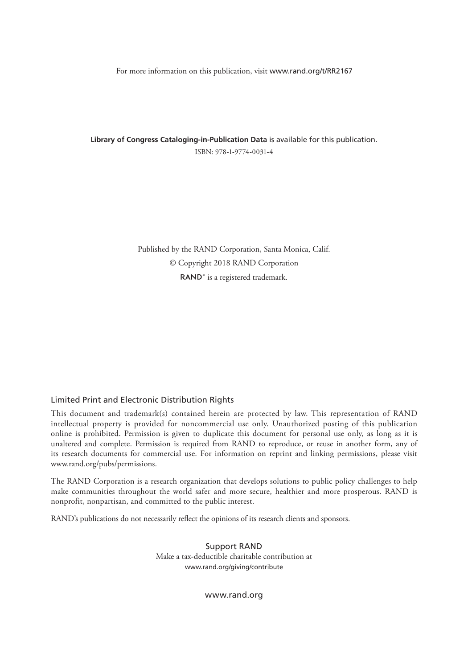For more information on this publication, visit [www.rand.org/t/RR2167](http://www.rand.org/t/RR2167)

**Library of Congress Cataloging-in-Publication Data** is available for this publication. ISBN: 978-1-9774-0031-4

> Published by the RAND Corporation, Santa Monica, Calif. © Copyright 2018 RAND Corporation RAND<sup>®</sup> is a registered trademark.

#### Limited Print and Electronic Distribution Rights

This document and trademark(s) contained herein are protected by law. This representation of RAND intellectual property is provided for noncommercial use only. Unauthorized posting of this publication online is prohibited. Permission is given to duplicate this document for personal use only, as long as it is unaltered and complete. Permission is required from RAND to reproduce, or reuse in another form, any of its research documents for commercial use. For information on reprint and linking permissions, please visit [www.rand.org/pubs/permissions.](http://www.rand.org/pubs/permissions)

The RAND Corporation is a research organization that develops solutions to public policy challenges to help make communities throughout the world safer and more secure, healthier and more prosperous. RAND is nonprofit, nonpartisan, and committed to the public interest.

RAND's publications do not necessarily reflect the opinions of its research clients and sponsors.

Support RAND Make a tax-deductible charitable contribution at [www.rand.org/giving/contribute](http://www.rand.org/giving/contribute)

[www.rand.org](http://www.rand.org)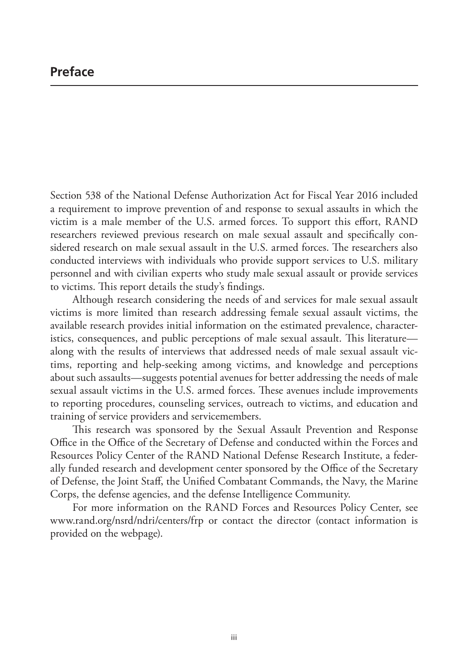## **Preface**

Section 538 of the National Defense Authorization Act for Fiscal Year 2016 included a requirement to improve prevention of and response to sexual assaults in which the victim is a male member of the U.S. armed forces. To support this effort, RAND researchers reviewed previous research on male sexual assault and specifically considered research on male sexual assault in the U.S. armed forces. The researchers also conducted interviews with individuals who provide support services to U.S. military personnel and with civilian experts who study male sexual assault or provide services to victims. This report details the study's findings.

Although research considering the needs of and services for male sexual assault victims is more limited than research addressing female sexual assault victims, the available research provides initial information on the estimated prevalence, characteristics, consequences, and public perceptions of male sexual assault. This literature along with the results of interviews that addressed needs of male sexual assault victims, reporting and help-seeking among victims, and knowledge and perceptions about such assaults—suggests potential avenues for better addressing the needs of male sexual assault victims in the U.S. armed forces. These avenues include improvements to reporting procedures, counseling services, outreach to victims, and education and training of service providers and servicemembers.

This research was sponsored by the Sexual Assault Prevention and Response Office in the Office of the Secretary of Defense and conducted within the Forces and Resources Policy Center of the RAND National Defense Research Institute, a federally funded research and development center sponsored by the Office of the Secretary of Defense, the Joint Staff, the Unified Combatant Commands, the Navy, the Marine Corps, the defense agencies, and the defense Intelligence Community.

For more information on the RAND Forces and Resources Policy Center, see [www.rand.org/nsrd/ndri/centers/frp](http://www.rand.org/nsrd/ndri/centers/frp) or contact the director (contact information is provided on the webpage).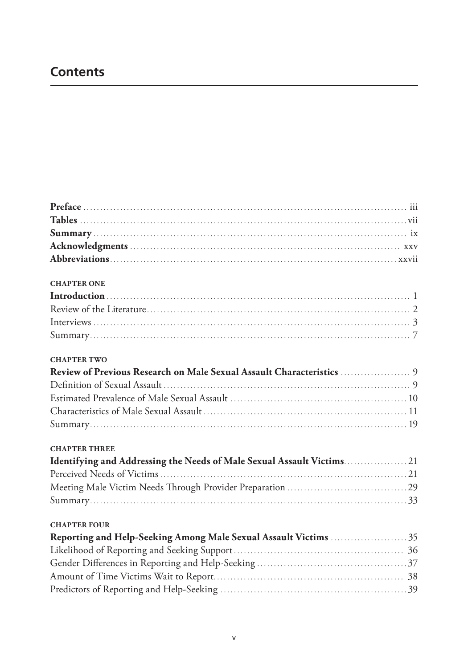## **Contents**

| <b>CHAPTER ONE</b>                                                     |
|------------------------------------------------------------------------|
|                                                                        |
|                                                                        |
|                                                                        |
|                                                                        |
| <b>CHAPTER TWO</b>                                                     |
|                                                                        |
|                                                                        |
|                                                                        |
|                                                                        |
|                                                                        |
| <b>CHAPTER THREE</b>                                                   |
| Identifying and Addressing the Needs of Male Sexual Assault Victims 21 |
|                                                                        |
|                                                                        |
|                                                                        |
| <b>CHAPTER FOUR</b>                                                    |
|                                                                        |
|                                                                        |
|                                                                        |
|                                                                        |
|                                                                        |
|                                                                        |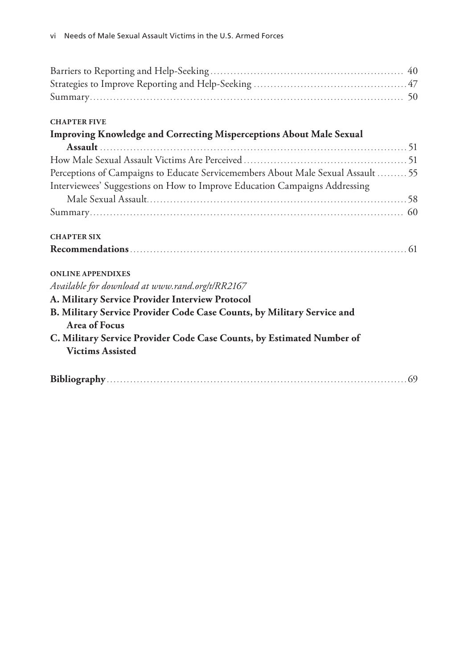#### **CHAPTER FIVE**

| Improving Knowledge and Correcting Misperceptions About Male Sexual                            |
|------------------------------------------------------------------------------------------------|
|                                                                                                |
|                                                                                                |
| Perceptions of Campaigns to Educate Servicemembers About Male Sexual Assault  55               |
| Interviewees' Suggestions on How to Improve Education Campaigns Addressing                     |
|                                                                                                |
|                                                                                                |
| <b>CHAPTER SIX</b>                                                                             |
|                                                                                                |
| <b>ONLINE APPENDIXES</b>                                                                       |
| Available for download at www.rand.org/t/RR2167                                                |
| A. Military Service Provider Interview Protocol                                                |
| B. Military Service Provider Code Case Counts, by Military Service and<br><b>Area of Focus</b> |
| C. Military Service Provider Code Case Counts, by Estimated Number of                          |
| <b>Victims Assisted</b>                                                                        |
|                                                                                                |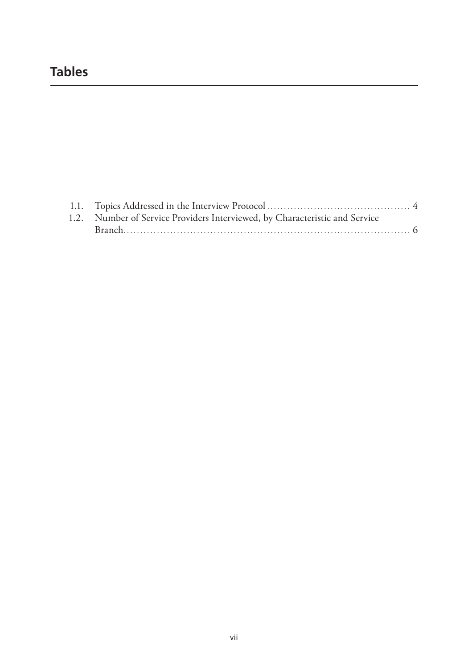# **Tables**

| 1.2. Number of Service Providers Interviewed, by Characteristic and Service |  |
|-----------------------------------------------------------------------------|--|
|                                                                             |  |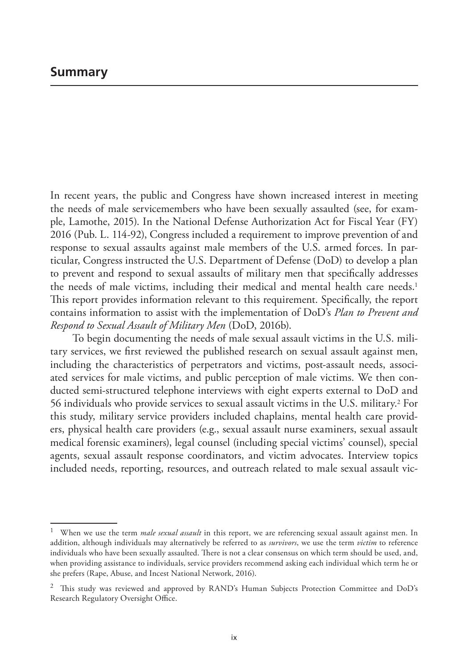In recent years, the public and Congress have shown increased interest in meeting the needs of male servicemembers who have been sexually assaulted (see, for example, Lamothe, 2015). In the National Defense Authorization Act for Fiscal Year (FY) 2016 (Pub. L. 114-92), Congress included a requirement to improve prevention of and response to sexual assaults against male members of the U.S. armed forces. In particular, Congress instructed the U.S. Department of Defense (DoD) to develop a plan to prevent and respond to sexual assaults of military men that specifically addresses the needs of male victims, including their medical and mental health care needs.<sup>1</sup> This report provides information relevant to this requirement. Specifically, the report contains information to assist with the implementation of DoD's *Plan to Prevent and Respond to Sexual Assault of Military Men* (DoD, 2016b).

To begin documenting the needs of male sexual assault victims in the U.S. military services, we first reviewed the published research on sexual assault against men, including the characteristics of perpetrators and victims, post-assault needs, associated services for male victims, and public perception of male victims. We then conducted semi-structured telephone interviews with eight experts external to DoD and 56 individuals who provide services to sexual assault victims in the U.S. military.2 For this study, military service providers included chaplains, mental health care providers, physical health care providers (e.g., sexual assault nurse examiners, sexual assault medical forensic examiners), legal counsel (including special victims' counsel), special agents, sexual assault response coordinators, and victim advocates. Interview topics included needs, reporting, resources, and outreach related to male sexual assault vic-

<sup>1</sup> When we use the term *male sexual assault* in this report, we are referencing sexual assault against men. In addition, although individuals may alternatively be referred to as *survivors*, we use the term *victim* to reference individuals who have been sexually assaulted. There is not a clear consensus on which term should be used, and, when providing assistance to individuals, service providers recommend asking each individual which term he or she prefers (Rape, Abuse, and Incest National Network, 2016).

 $2$  This study was reviewed and approved by RAND's Human Subjects Protection Committee and DoD's Research Regulatory Oversight Office.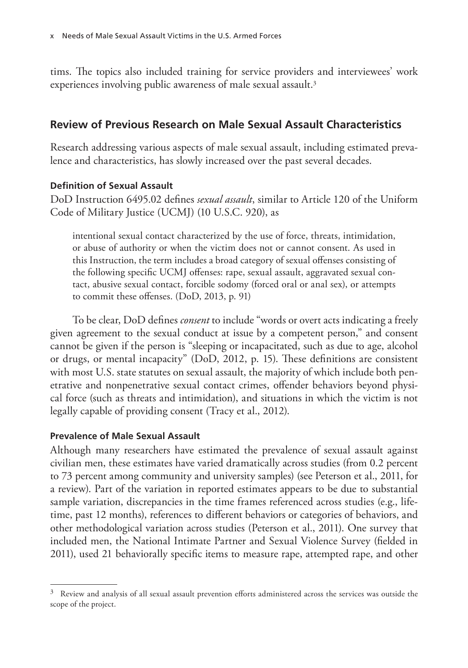tims. The topics also included training for service providers and interviewees' work experiences involving public awareness of male sexual assault.<sup>3</sup>

## **Review of Previous Research on Male Sexual Assault Characteristics**

Research addressing various aspects of male sexual assault, including estimated prevalence and characteristics, has slowly increased over the past several decades.

## **Definition of Sexual Assault**

DoD Instruction 6495.02 defines *sexual assault*, similar to Article 120 of the Uniform Code of Military Justice (UCMJ) (10 U.S.C. 920), as

intentional sexual contact characterized by the use of force, threats, intimidation, or abuse of authority or when the victim does not or cannot consent. As used in this Instruction, the term includes a broad category of sexual offenses consisting of the following specific UCMJ offenses: rape, sexual assault, aggravated sexual contact, abusive sexual contact, forcible sodomy (forced oral or anal sex), or attempts to commit these offenses. (DoD, 2013, p. 91)

To be clear, DoD defines *consent* to include "words or overt acts indicating a freely given agreement to the sexual conduct at issue by a competent person," and consent cannot be given if the person is "sleeping or incapacitated, such as due to age, alcohol or drugs, or mental incapacity" (DoD, 2012, p. 15). These definitions are consistent with most U.S. state statutes on sexual assault, the majority of which include both penetrative and nonpenetrative sexual contact crimes, offender behaviors beyond physical force (such as threats and intimidation), and situations in which the victim is not legally capable of providing consent (Tracy et al., 2012).

## **Prevalence of Male Sexual Assault**

Although many researchers have estimated the prevalence of sexual assault against civilian men, these estimates have varied dramatically across studies (from 0.2 percent to 73 percent among community and university samples) (see Peterson et al., 2011, for a review). Part of the variation in reported estimates appears to be due to substantial sample variation, discrepancies in the time frames referenced across studies (e.g., lifetime, past 12 months), references to different behaviors or categories of behaviors, and other methodological variation across studies (Peterson et al., 2011). One survey that included men, the National Intimate Partner and Sexual Violence Survey (fielded in 2011), used 21 behaviorally specific items to measure rape, attempted rape, and other

 $3$  Review and analysis of all sexual assault prevention efforts administered across the services was outside the scope of the project.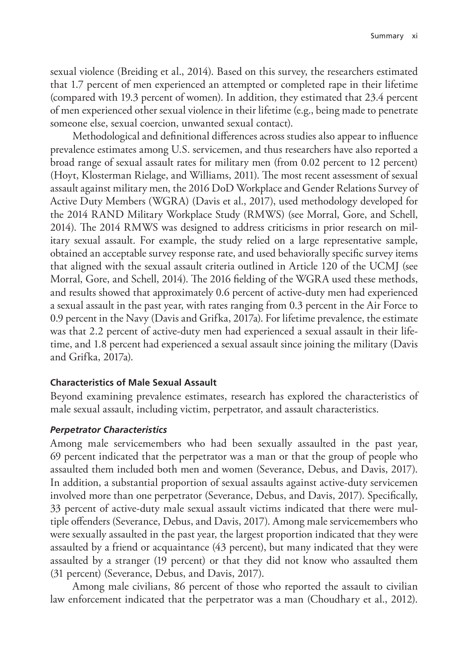sexual violence (Breiding et al., 2014). Based on this survey, the researchers estimated that 1.7 percent of men experienced an attempted or completed rape in their lifetime (compared with 19.3 percent of women). In addition, they estimated that 23.4 percent of men experienced other sexual violence in their lifetime (e.g., being made to penetrate someone else, sexual coercion, unwanted sexual contact).

Methodological and definitional differences across studies also appear to influence prevalence estimates among U.S. servicemen, and thus researchers have also reported a broad range of sexual assault rates for military men (from 0.02 percent to 12 percent) (Hoyt, Klosterman Rielage, and Williams, 2011). The most recent assessment of sexual assault against military men, the 2016 DoD Workplace and Gender Relations Survey of Active Duty Members (WGRA) (Davis et al., 2017), used methodology developed for the 2014 RAND Military Workplace Study (RMWS) (see Morral, Gore, and Schell, 2014). The 2014 RMWS was designed to address criticisms in prior research on military sexual assault. For example, the study relied on a large representative sample, obtained an acceptable survey response rate, and used behaviorally specific survey items that aligned with the sexual assault criteria outlined in Article 120 of the UCMJ (see Morral, Gore, and Schell, 2014). The 2016 fielding of the WGRA used these methods, and results showed that approximately 0.6 percent of active-duty men had experienced a sexual assault in the past year, with rates ranging from 0.3 percent in the Air Force to 0.9 percent in the Navy (Davis and Grifka, 2017a). For lifetime prevalence, the estimate was that 2.2 percent of active-duty men had experienced a sexual assault in their lifetime, and 1.8 percent had experienced a sexual assault since joining the military (Davis and Grifka, 2017a).

#### **Characteristics of Male Sexual Assault**

Beyond examining prevalence estimates, research has explored the characteristics of male sexual assault, including victim, perpetrator, and assault characteristics.

#### *Perpetrator Characteristics*

Among male servicemembers who had been sexually assaulted in the past year, 69 percent indicated that the perpetrator was a man or that the group of people who assaulted them included both men and women (Severance, Debus, and Davis, 2017). In addition, a substantial proportion of sexual assaults against active-duty servicemen involved more than one perpetrator (Severance, Debus, and Davis, 2017). Specifically, 33 percent of active-duty male sexual assault victims indicated that there were multiple offenders (Severance, Debus, and Davis, 2017). Among male servicemembers who were sexually assaulted in the past year, the largest proportion indicated that they were assaulted by a friend or acquaintance (43 percent), but many indicated that they were assaulted by a stranger (19 percent) or that they did not know who assaulted them (31 percent) (Severance, Debus, and Davis, 2017).

Among male civilians, 86 percent of those who reported the assault to civilian law enforcement indicated that the perpetrator was a man (Choudhary et al., 2012).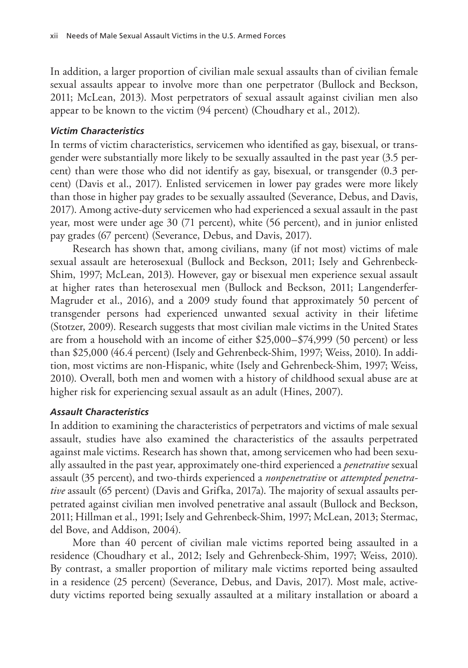In addition, a larger proportion of civilian male sexual assaults than of civilian female sexual assaults appear to involve more than one perpetrator (Bullock and Beckson, 2011; McLean, 2013). Most perpetrators of sexual assault against civilian men also appear to be known to the victim (94 percent) (Choudhary et al., 2012).

#### *Victim Characteristics*

In terms of victim characteristics, servicemen who identified as gay, bisexual, or transgender were substantially more likely to be sexually assaulted in the past year (3.5 percent) than were those who did not identify as gay, bisexual, or transgender (0.3 percent) (Davis et al., 2017). Enlisted servicemen in lower pay grades were more likely than those in higher pay grades to be sexually assaulted (Severance, Debus, and Davis, 2017). Among active-duty servicemen who had experienced a sexual assault in the past year, most were under age 30 (71 percent), white (56 percent), and in junior enlisted pay grades (67 percent) (Severance, Debus, and Davis, 2017).

Research has shown that, among civilians, many (if not most) victims of male sexual assault are heterosexual (Bullock and Beckson, 2011; Isely and Gehrenbeck-Shim, 1997; McLean, 2013). However, gay or bisexual men experience sexual assault at higher rates than heterosexual men (Bullock and Beckson, 2011; Langenderfer-Magruder et al., 2016), and a 2009 study found that approximately 50 percent of transgender persons had experienced unwanted sexual activity in their lifetime (Stotzer, 2009). Research suggests that most civilian male victims in the United States are from a household with an income of either \$25,000–\$74,999 (50 percent) or less than \$25,000 (46.4 percent) (Isely and Gehrenbeck-Shim, 1997; Weiss, 2010). In addition, most victims are non-Hispanic, white (Isely and Gehrenbeck-Shim, 1997; Weiss, 2010). Overall, both men and women with a history of childhood sexual abuse are at higher risk for experiencing sexual assault as an adult (Hines, 2007).

#### *Assault Characteristics*

In addition to examining the characteristics of perpetrators and victims of male sexual assault, studies have also examined the characteristics of the assaults perpetrated against male victims. Research has shown that, among servicemen who had been sexually assaulted in the past year, approximately one-third experienced a *penetrative* sexual assault (35 percent), and two-thirds experienced a *nonpenetrative* or *attempted penetrative* assault (65 percent) (Davis and Grifka, 2017a). The majority of sexual assaults perpetrated against civilian men involved penetrative anal assault (Bullock and Beckson, 2011; Hillman et al., 1991; Isely and Gehrenbeck-Shim, 1997; McLean, 2013; Stermac, del Bove, and Addison, 2004).

More than 40 percent of civilian male victims reported being assaulted in a residence (Choudhary et al., 2012; Isely and Gehrenbeck-Shim, 1997; Weiss, 2010). By contrast, a smaller proportion of military male victims reported being assaulted in a residence (25 percent) (Severance, Debus, and Davis, 2017). Most male, activeduty victims reported being sexually assaulted at a military installation or aboard a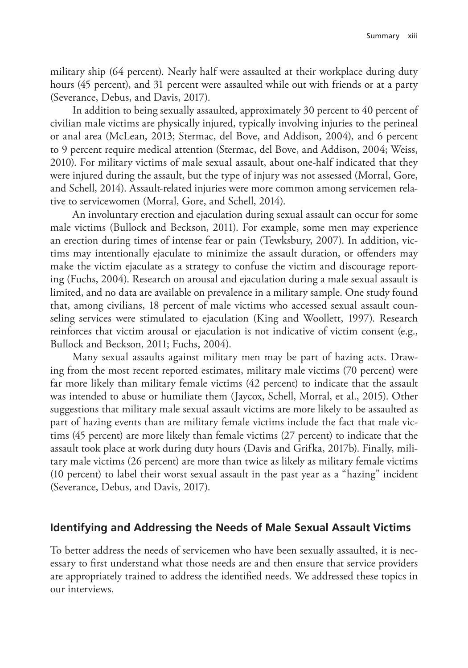military ship (64 percent). Nearly half were assaulted at their workplace during duty hours (45 percent), and 31 percent were assaulted while out with friends or at a party (Severance, Debus, and Davis, 2017).

In addition to being sexually assaulted, approximately 30 percent to 40 percent of civilian male victims are physically injured, typically involving injuries to the perineal or anal area (McLean, 2013; Stermac, del Bove, and Addison, 2004), and 6 percent to 9 percent require medical attention (Stermac, del Bove, and Addison, 2004; Weiss, 2010). For military victims of male sexual assault, about one-half indicated that they were injured during the assault, but the type of injury was not assessed (Morral, Gore, and Schell, 2014). Assault-related injuries were more common among servicemen relative to servicewomen (Morral, Gore, and Schell, 2014).

An involuntary erection and ejaculation during sexual assault can occur for some male victims (Bullock and Beckson, 2011). For example, some men may experience an erection during times of intense fear or pain (Tewksbury, 2007). In addition, victims may intentionally ejaculate to minimize the assault duration, or offenders may make the victim ejaculate as a strategy to confuse the victim and discourage reporting (Fuchs, 2004). Research on arousal and ejaculation during a male sexual assault is limited, and no data are available on prevalence in a military sample. One study found that, among civilians, 18 percent of male victims who accessed sexual assault counseling services were stimulated to ejaculation (King and Woollett, 1997). Research reinforces that victim arousal or ejaculation is not indicative of victim consent (e.g., Bullock and Beckson, 2011; Fuchs, 2004).

Many sexual assaults against military men may be part of hazing acts. Drawing from the most recent reported estimates, military male victims (70 percent) were far more likely than military female victims (42 percent) to indicate that the assault was intended to abuse or humiliate them (Jaycox, Schell, Morral, et al., 2015). Other suggestions that military male sexual assault victims are more likely to be assaulted as part of hazing events than are military female victims include the fact that male victims (45 percent) are more likely than female victims (27 percent) to indicate that the assault took place at work during duty hours (Davis and Grifka, 2017b). Finally, military male victims (26 percent) are more than twice as likely as military female victims (10 percent) to label their worst sexual assault in the past year as a "hazing" incident (Severance, Debus, and Davis, 2017).

#### **Identifying and Addressing the Needs of Male Sexual Assault Victims**

To better address the needs of servicemen who have been sexually assaulted, it is necessary to first understand what those needs are and then ensure that service providers are appropriately trained to address the identified needs. We addressed these topics in our interviews.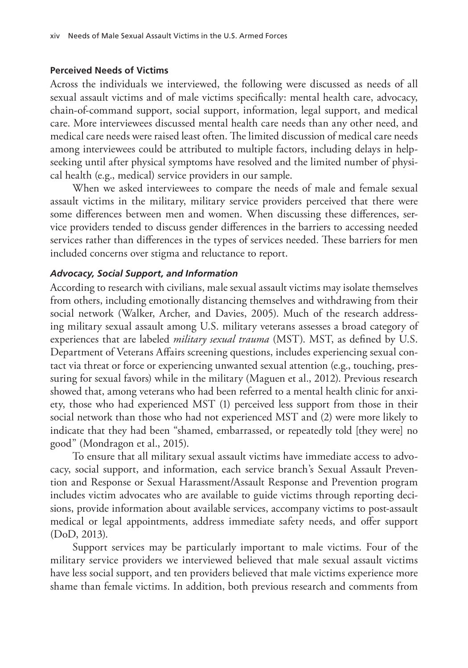#### **Perceived Needs of Victims**

Across the individuals we interviewed, the following were discussed as needs of all sexual assault victims and of male victims specifically: mental health care, advocacy, chain-of-command support, social support, information, legal support, and medical care. More interviewees discussed mental health care needs than any other need, and medical care needs were raised least often. The limited discussion of medical care needs among interviewees could be attributed to multiple factors, including delays in helpseeking until after physical symptoms have resolved and the limited number of physical health (e.g., medical) service providers in our sample.

When we asked interviewees to compare the needs of male and female sexual assault victims in the military, military service providers perceived that there were some differences between men and women. When discussing these differences, service providers tended to discuss gender differences in the barriers to accessing needed services rather than differences in the types of services needed. These barriers for men included concerns over stigma and reluctance to report.

#### *Advocacy, Social Support, and Information*

According to research with civilians, male sexual assault victims may isolate themselves from others, including emotionally distancing themselves and withdrawing from their social network (Walker, Archer, and Davies, 2005). Much of the research addressing military sexual assault among U.S. military veterans assesses a broad category of experiences that are labeled *military sexual trauma* (MST). MST, as defined by U.S. Department of Veterans Affairs screening questions, includes experiencing sexual contact via threat or force or experiencing unwanted sexual attention (e.g., touching, pressuring for sexual favors) while in the military (Maguen et al., 2012). Previous research showed that, among veterans who had been referred to a mental health clinic for anxiety, those who had experienced MST (1) perceived less support from those in their social network than those who had not experienced MST and (2) were more likely to indicate that they had been "shamed, embarrassed, or repeatedly told [they were] no good" (Mondragon et al., 2015).

To ensure that all military sexual assault victims have immediate access to advocacy, social support, and information, each service branch's Sexual Assault Prevention and Response or Sexual Harassment/Assault Response and Prevention program includes victim advocates who are available to guide victims through reporting decisions, provide information about available services, accompany victims to post-assault medical or legal appointments, address immediate safety needs, and offer support (DoD, 2013).

Support services may be particularly important to male victims. Four of the military service providers we interviewed believed that male sexual assault victims have less social support, and ten providers believed that male victims experience more shame than female victims. In addition, both previous research and comments from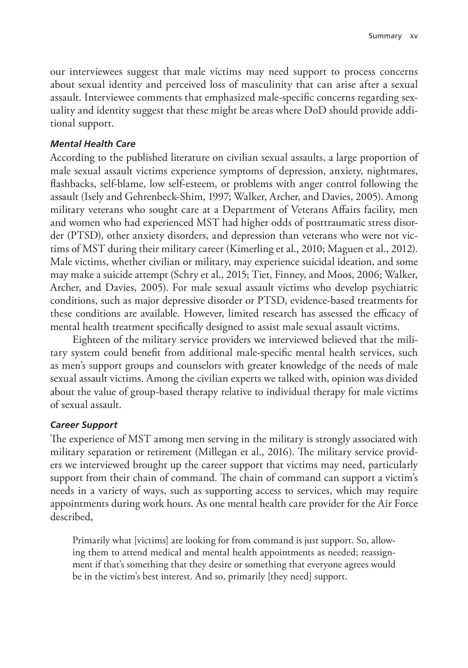our interviewees suggest that male victims may need support to process concerns about sexual identity and perceived loss of masculinity that can arise after a sexual assault. Interviewee comments that emphasized male-specific concerns regarding sexuality and identity suggest that these might be areas where DoD should provide additional support.

#### *Mental Health Care*

According to the published literature on civilian sexual assaults, a large proportion of male sexual assault victims experience symptoms of depression, anxiety, nightmares, flashbacks, self-blame, low self-esteem, or problems with anger control following the assault (Isely and Gehrenbeck-Shim, 1997; Walker, Archer, and Davies, 2005). Among military veterans who sought care at a Department of Veterans Affairs facility, men and women who had experienced MST had higher odds of posttraumatic stress disorder (PTSD), other anxiety disorders, and depression than veterans who were not victims of MST during their military career (Kimerling et al., 2010; Maguen et al., 2012). Male victims, whether civilian or military, may experience suicidal ideation, and some may make a suicide attempt (Schry et al., 2015; Tiet, Finney, and Moos, 2006; Walker, Archer, and Davies, 2005). For male sexual assault victims who develop psychiatric conditions, such as major depressive disorder or PTSD, evidence-based treatments for these conditions are available. However, limited research has assessed the efficacy of mental health treatment specifically designed to assist male sexual assault victims.

Eighteen of the military service providers we interviewed believed that the military system could benefit from additional male-specific mental health services, such as men's support groups and counselors with greater knowledge of the needs of male sexual assault victims. Among the civilian experts we talked with, opinion was divided about the value of group-based therapy relative to individual therapy for male victims of sexual assault.

#### *Career Support*

The experience of MST among men serving in the military is strongly associated with military separation or retirement (Millegan et al., 2016). The military service providers we interviewed brought up the career support that victims may need, particularly support from their chain of command. The chain of command can support a victim's needs in a variety of ways, such as supporting access to services, which may require appointments during work hours. As one mental health care provider for the Air Force described,

Primarily what [victims] are looking for from command is just support. So, allowing them to attend medical and mental health appointments as needed; reassignment if that's something that they desire or something that everyone agrees would be in the victim's best interest. And so, primarily [they need] support.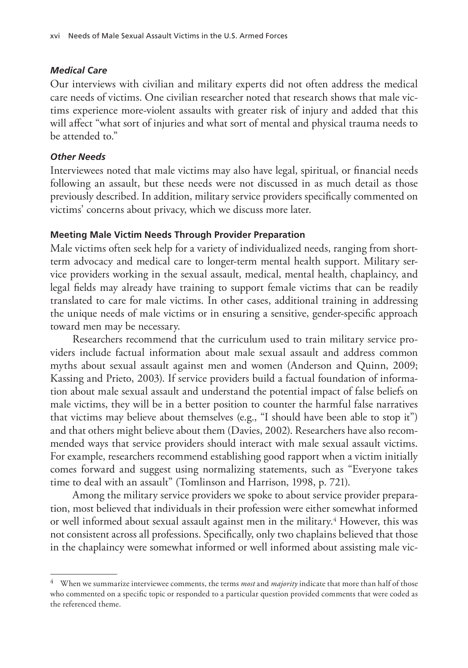#### *Medical Care*

Our interviews with civilian and military experts did not often address the medical care needs of victims. One civilian researcher noted that research shows that male victims experience more-violent assaults with greater risk of injury and added that this will affect "what sort of injuries and what sort of mental and physical trauma needs to be attended to."

#### *Other Needs*

Interviewees noted that male victims may also have legal, spiritual, or financial needs following an assault, but these needs were not discussed in as much detail as those previously described. In addition, military service providers specifically commented on victims' concerns about privacy, which we discuss more later.

#### **Meeting Male Victim Needs Through Provider Preparation**

Male victims often seek help for a variety of individualized needs, ranging from shortterm advocacy and medical care to longer-term mental health support. Military service providers working in the sexual assault, medical, mental health, chaplaincy, and legal fields may already have training to support female victims that can be readily translated to care for male victims. In other cases, additional training in addressing the unique needs of male victims or in ensuring a sensitive, gender-specific approach toward men may be necessary.

Researchers recommend that the curriculum used to train military service providers include factual information about male sexual assault and address common myths about sexual assault against men and women (Anderson and Quinn, 2009; Kassing and Prieto, 2003). If service providers build a factual foundation of information about male sexual assault and understand the potential impact of false beliefs on male victims, they will be in a better position to counter the harmful false narratives that victims may believe about themselves (e.g., "I should have been able to stop it") and that others might believe about them (Davies, 2002). Researchers have also recommended ways that service providers should interact with male sexual assault victims. For example, researchers recommend establishing good rapport when a victim initially comes forward and suggest using normalizing statements, such as "Everyone takes time to deal with an assault" (Tomlinson and Harrison, 1998, p. 721).

Among the military service providers we spoke to about service provider preparation, most believed that individuals in their profession were either somewhat informed or well informed about sexual assault against men in the military.4 However, this was not consistent across all professions. Specifically, only two chaplains believed that those in the chaplaincy were somewhat informed or well informed about assisting male vic-

<sup>4</sup> When we summarize interviewee comments, the terms *most* and *majority* indicate that more than half of those who commented on a specific topic or responded to a particular question provided comments that were coded as the referenced theme.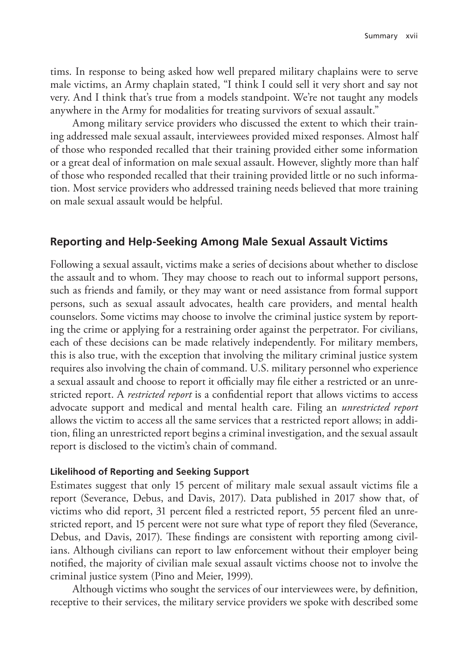tims. In response to being asked how well prepared military chaplains were to serve male victims, an Army chaplain stated, "I think I could sell it very short and say not very. And I think that's true from a models standpoint. We're not taught any models anywhere in the Army for modalities for treating survivors of sexual assault."

Among military service providers who discussed the extent to which their training addressed male sexual assault, interviewees provided mixed responses. Almost half of those who responded recalled that their training provided either some information or a great deal of information on male sexual assault. However, slightly more than half of those who responded recalled that their training provided little or no such information. Most service providers who addressed training needs believed that more training on male sexual assault would be helpful.

#### **Reporting and Help-Seeking Among Male Sexual Assault Victims**

Following a sexual assault, victims make a series of decisions about whether to disclose the assault and to whom. They may choose to reach out to informal support persons, such as friends and family, or they may want or need assistance from formal support persons, such as sexual assault advocates, health care providers, and mental health counselors. Some victims may choose to involve the criminal justice system by reporting the crime or applying for a restraining order against the perpetrator. For civilians, each of these decisions can be made relatively independently. For military members, this is also true, with the exception that involving the military criminal justice system requires also involving the chain of command. U.S. military personnel who experience a sexual assault and choose to report it officially may file either a restricted or an unrestricted report. A *restricted report* is a confidential report that allows victims to access advocate support and medical and mental health care. Filing an *unrestricted report* allows the victim to access all the same services that a restricted report allows; in addition, filing an unrestricted report begins a criminal investigation, and the sexual assault report is disclosed to the victim's chain of command.

#### **Likelihood of Reporting and Seeking Support**

Estimates suggest that only 15 percent of military male sexual assault victims file a report (Severance, Debus, and Davis, 2017). Data published in 2017 show that, of victims who did report, 31 percent filed a restricted report, 55 percent filed an unrestricted report, and 15 percent were not sure what type of report they filed (Severance, Debus, and Davis, 2017). These findings are consistent with reporting among civilians. Although civilians can report to law enforcement without their employer being notified, the majority of civilian male sexual assault victims choose not to involve the criminal justice system (Pino and Meier, 1999).

Although victims who sought the services of our interviewees were, by definition, receptive to their services, the military service providers we spoke with described some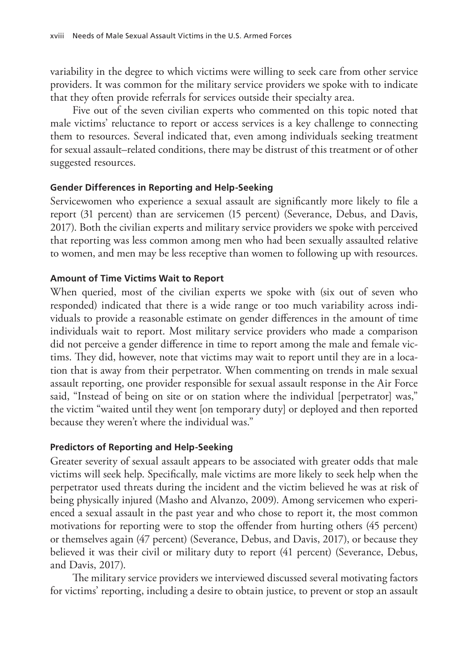variability in the degree to which victims were willing to seek care from other service providers. It was common for the military service providers we spoke with to indicate that they often provide referrals for services outside their specialty area.

Five out of the seven civilian experts who commented on this topic noted that male victims' reluctance to report or access services is a key challenge to connecting them to resources. Several indicated that, even among individuals seeking treatment for sexual assault–related conditions, there may be distrust of this treatment or of other suggested resources.

#### **Gender Differences in Reporting and Help-Seeking**

Servicewomen who experience a sexual assault are significantly more likely to file a report (31 percent) than are servicemen (15 percent) (Severance, Debus, and Davis, 2017). Both the civilian experts and military service providers we spoke with perceived that reporting was less common among men who had been sexually assaulted relative to women, and men may be less receptive than women to following up with resources.

#### **Amount of Time Victims Wait to Report**

When queried, most of the civilian experts we spoke with (six out of seven who responded) indicated that there is a wide range or too much variability across individuals to provide a reasonable estimate on gender differences in the amount of time individuals wait to report. Most military service providers who made a comparison did not perceive a gender difference in time to report among the male and female victims. They did, however, note that victims may wait to report until they are in a location that is away from their perpetrator. When commenting on trends in male sexual assault reporting, one provider responsible for sexual assault response in the Air Force said, "Instead of being on site or on station where the individual [perpetrator] was," the victim "waited until they went [on temporary duty] or deployed and then reported because they weren't where the individual was."

#### **Predictors of Reporting and Help-Seeking**

Greater severity of sexual assault appears to be associated with greater odds that male victims will seek help. Specifically, male victims are more likely to seek help when the perpetrator used threats during the incident and the victim believed he was at risk of being physically injured (Masho and Alvanzo, 2009). Among servicemen who experienced a sexual assault in the past year and who chose to report it, the most common motivations for reporting were to stop the offender from hurting others (45 percent) or themselves again (47 percent) (Severance, Debus, and Davis, 2017), or because they believed it was their civil or military duty to report (41 percent) (Severance, Debus, and Davis, 2017).

The military service providers we interviewed discussed several motivating factors for victims' reporting, including a desire to obtain justice, to prevent or stop an assault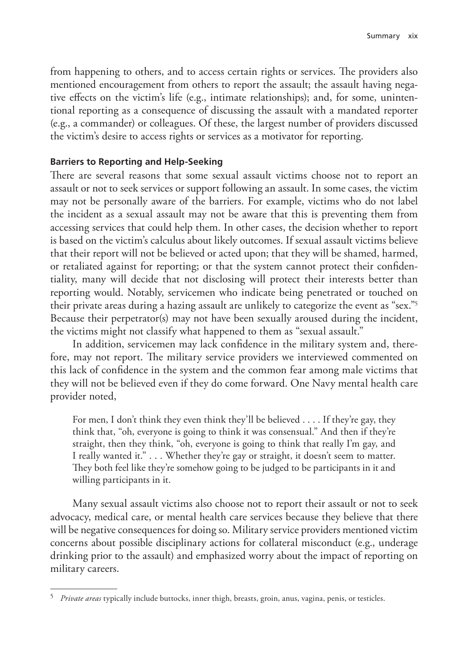from happening to others, and to access certain rights or services. The providers also mentioned encouragement from others to report the assault; the assault having negative effects on the victim's life (e.g., intimate relationships); and, for some, unintentional reporting as a consequence of discussing the assault with a mandated reporter (e.g., a commander) or colleagues. Of these, the largest number of providers discussed the victim's desire to access rights or services as a motivator for reporting.

#### **Barriers to Reporting and Help-Seeking**

There are several reasons that some sexual assault victims choose not to report an assault or not to seek services or support following an assault. In some cases, the victim may not be personally aware of the barriers. For example, victims who do not label the incident as a sexual assault may not be aware that this is preventing them from accessing services that could help them. In other cases, the decision whether to report is based on the victim's calculus about likely outcomes. If sexual assault victims believe that their report will not be believed or acted upon; that they will be shamed, harmed, or retaliated against for reporting; or that the system cannot protect their confidentiality, many will decide that not disclosing will protect their interests better than reporting would. Notably, servicemen who indicate being penetrated or touched on their private areas during a hazing assault are unlikely to categorize the event as "sex."5 Because their perpetrator(s) may not have been sexually aroused during the incident, the victims might not classify what happened to them as "sexual assault."

In addition, servicemen may lack confidence in the military system and, therefore, may not report. The military service providers we interviewed commented on this lack of confidence in the system and the common fear among male victims that they will not be believed even if they do come forward. One Navy mental health care provider noted,

For men, I don't think they even think they'll be believed . . . . If they're gay, they think that, "oh, everyone is going to think it was consensual." And then if they're straight, then they think, "oh, everyone is going to think that really I'm gay, and I really wanted it." . . . Whether they're gay or straight, it doesn't seem to matter. They both feel like they're somehow going to be judged to be participants in it and willing participants in it.

Many sexual assault victims also choose not to report their assault or not to seek advocacy, medical care, or mental health care services because they believe that there will be negative consequences for doing so. Military service providers mentioned victim concerns about possible disciplinary actions for collateral misconduct (e.g., underage drinking prior to the assault) and emphasized worry about the impact of reporting on military careers.

<sup>5</sup> *Private areas* typically include buttocks, inner thigh, breasts, groin, anus, vagina, penis, or testicles.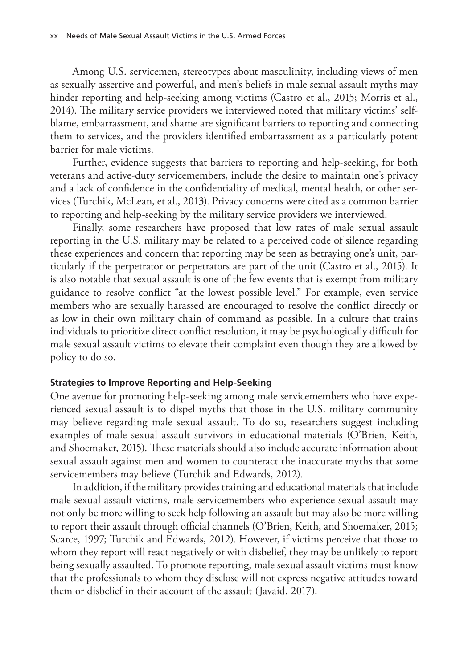Among U.S. servicemen, stereotypes about masculinity, including views of men as sexually assertive and powerful, and men's beliefs in male sexual assault myths may hinder reporting and help-seeking among victims (Castro et al., 2015; Morris et al., 2014). The military service providers we interviewed noted that military victims' selfblame, embarrassment, and shame are significant barriers to reporting and connecting them to services, and the providers identified embarrassment as a particularly potent barrier for male victims.

Further, evidence suggests that barriers to reporting and help-seeking, for both veterans and active-duty servicemembers, include the desire to maintain one's privacy and a lack of confidence in the confidentiality of medical, mental health, or other services (Turchik, McLean, et al., 2013). Privacy concerns were cited as a common barrier to reporting and help-seeking by the military service providers we interviewed.

Finally, some researchers have proposed that low rates of male sexual assault reporting in the U.S. military may be related to a perceived code of silence regarding these experiences and concern that reporting may be seen as betraying one's unit, particularly if the perpetrator or perpetrators are part of the unit (Castro et al., 2015). It is also notable that sexual assault is one of the few events that is exempt from military guidance to resolve conflict "at the lowest possible level." For example, even service members who are sexually harassed are encouraged to resolve the conflict directly or as low in their own military chain of command as possible. In a culture that trains individuals to prioritize direct conflict resolution, it may be psychologically difficult for male sexual assault victims to elevate their complaint even though they are allowed by policy to do so.

#### **Strategies to Improve Reporting and Help-Seeking**

One avenue for promoting help-seeking among male servicemembers who have experienced sexual assault is to dispel myths that those in the U.S. military community may believe regarding male sexual assault. To do so, researchers suggest including examples of male sexual assault survivors in educational materials (O'Brien, Keith, and Shoemaker, 2015). These materials should also include accurate information about sexual assault against men and women to counteract the inaccurate myths that some servicemembers may believe (Turchik and Edwards, 2012).

In addition, if the military provides training and educational materials that include male sexual assault victims, male servicemembers who experience sexual assault may not only be more willing to seek help following an assault but may also be more willing to report their assault through official channels (O'Brien, Keith, and Shoemaker, 2015; Scarce, 1997; Turchik and Edwards, 2012). However, if victims perceive that those to whom they report will react negatively or with disbelief, they may be unlikely to report being sexually assaulted. To promote reporting, male sexual assault victims must know that the professionals to whom they disclose will not express negative attitudes toward them or disbelief in their account of the assault (Javaid, 2017).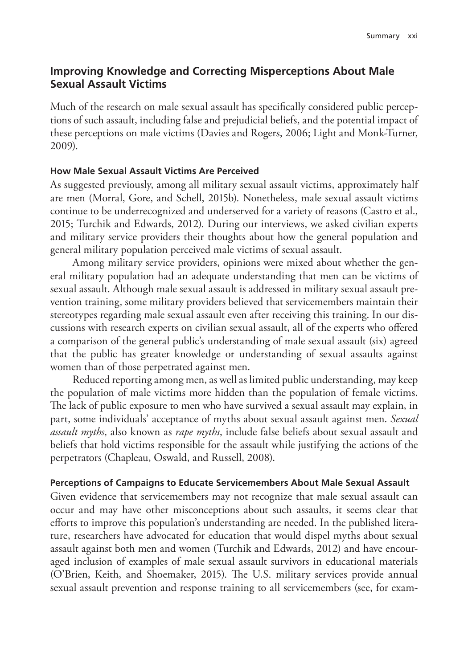## **Improving Knowledge and Correcting Misperceptions About Male Sexual Assault Victims**

Much of the research on male sexual assault has specifically considered public perceptions of such assault, including false and prejudicial beliefs, and the potential impact of these perceptions on male victims (Davies and Rogers, 2006; Light and Monk-Turner, 2009).

#### **How Male Sexual Assault Victims Are Perceived**

As suggested previously, among all military sexual assault victims, approximately half are men (Morral, Gore, and Schell, 2015b). Nonetheless, male sexual assault victims continue to be underrecognized and underserved for a variety of reasons (Castro et al., 2015; Turchik and Edwards, 2012). During our interviews, we asked civilian experts and military service providers their thoughts about how the general population and general military population perceived male victims of sexual assault.

Among military service providers, opinions were mixed about whether the general military population had an adequate understanding that men can be victims of sexual assault. Although male sexual assault is addressed in military sexual assault prevention training, some military providers believed that servicemembers maintain their stereotypes regarding male sexual assault even after receiving this training. In our discussions with research experts on civilian sexual assault, all of the experts who offered a comparison of the general public's understanding of male sexual assault (six) agreed that the public has greater knowledge or understanding of sexual assaults against women than of those perpetrated against men.

Reduced reporting among men, as well as limited public understanding, may keep the population of male victims more hidden than the population of female victims. The lack of public exposure to men who have survived a sexual assault may explain, in part, some individuals' acceptance of myths about sexual assault against men. *Sexual assault myths*, also known as *rape myths*, include false beliefs about sexual assault and beliefs that hold victims responsible for the assault while justifying the actions of the perpetrators (Chapleau, Oswald, and Russell, 2008).

#### **Perceptions of Campaigns to Educate Servicemembers About Male Sexual Assault**

Given evidence that servicemembers may not recognize that male sexual assault can occur and may have other misconceptions about such assaults, it seems clear that efforts to improve this population's understanding are needed. In the published literature, researchers have advocated for education that would dispel myths about sexual assault against both men and women (Turchik and Edwards, 2012) and have encouraged inclusion of examples of male sexual assault survivors in educational materials (O'Brien, Keith, and Shoemaker, 2015). The U.S. military services provide annual sexual assault prevention and response training to all servicemembers (see, for exam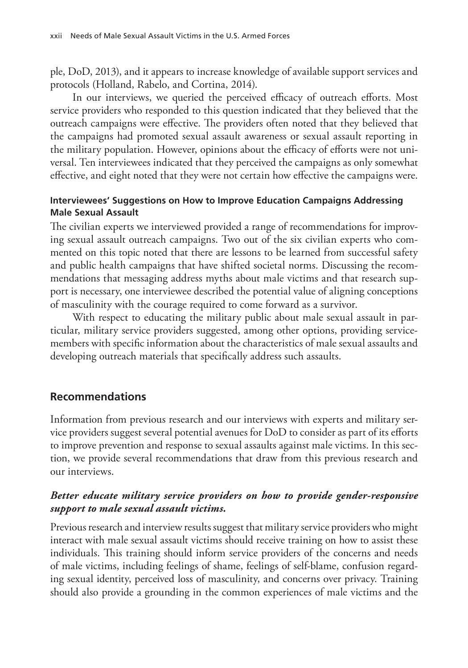ple, DoD, 2013), and it appears to increase knowledge of available support services and protocols (Holland, Rabelo, and Cortina, 2014).

In our interviews, we queried the perceived efficacy of outreach efforts. Most service providers who responded to this question indicated that they believed that the outreach campaigns were effective. The providers often noted that they believed that the campaigns had promoted sexual assault awareness or sexual assault reporting in the military population. However, opinions about the efficacy of efforts were not universal. Ten interviewees indicated that they perceived the campaigns as only somewhat effective, and eight noted that they were not certain how effective the campaigns were.

## **Interviewees' Suggestions on How to Improve Education Campaigns Addressing Male Sexual Assault**

The civilian experts we interviewed provided a range of recommendations for improving sexual assault outreach campaigns. Two out of the six civilian experts who commented on this topic noted that there are lessons to be learned from successful safety and public health campaigns that have shifted societal norms. Discussing the recommendations that messaging address myths about male victims and that research support is necessary, one interviewee described the potential value of aligning conceptions of masculinity with the courage required to come forward as a survivor.

With respect to educating the military public about male sexual assault in particular, military service providers suggested, among other options, providing servicemembers with specific information about the characteristics of male sexual assaults and developing outreach materials that specifically address such assaults.

## **Recommendations**

Information from previous research and our interviews with experts and military service providers suggest several potential avenues for DoD to consider as part of its efforts to improve prevention and response to sexual assaults against male victims. In this section, we provide several recommendations that draw from this previous research and our interviews.

## *Better educate military service providers on how to provide gender-responsive support to male sexual assault victims.*

Previous research and interview results suggest that military service providers who might interact with male sexual assault victims should receive training on how to assist these individuals. This training should inform service providers of the concerns and needs of male victims, including feelings of shame, feelings of self-blame, confusion regarding sexual identity, perceived loss of masculinity, and concerns over privacy. Training should also provide a grounding in the common experiences of male victims and the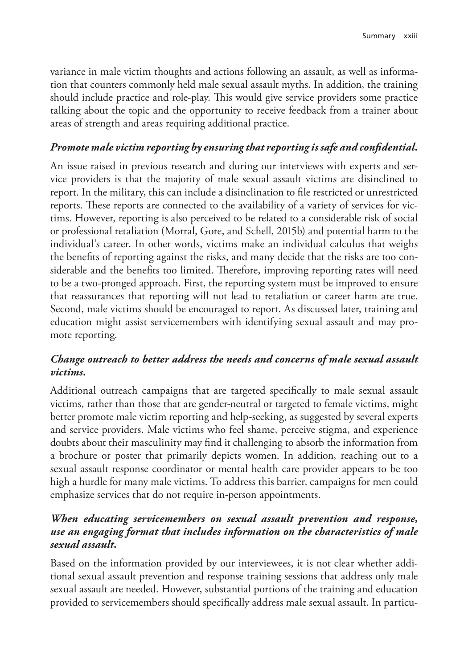variance in male victim thoughts and actions following an assault, as well as information that counters commonly held male sexual assault myths. In addition, the training should include practice and role-play. This would give service providers some practice talking about the topic and the opportunity to receive feedback from a trainer about areas of strength and areas requiring additional practice.

## *Promote male victim reporting by ensuring that reporting is safe and confidential.*

An issue raised in previous research and during our interviews with experts and service providers is that the majority of male sexual assault victims are disinclined to report. In the military, this can include a disinclination to file restricted or unrestricted reports. These reports are connected to the availability of a variety of services for victims. However, reporting is also perceived to be related to a considerable risk of social or professional retaliation (Morral, Gore, and Schell, 2015b) and potential harm to the individual's career. In other words, victims make an individual calculus that weighs the benefits of reporting against the risks, and many decide that the risks are too considerable and the benefits too limited. Therefore, improving reporting rates will need to be a two-pronged approach. First, the reporting system must be improved to ensure that reassurances that reporting will not lead to retaliation or career harm are true. Second, male victims should be encouraged to report. As discussed later, training and education might assist servicemembers with identifying sexual assault and may promote reporting.

## *Change outreach to better address the needs and concerns of male sexual assault victims.*

Additional outreach campaigns that are targeted specifically to male sexual assault victims, rather than those that are gender-neutral or targeted to female victims, might better promote male victim reporting and help-seeking, as suggested by several experts and service providers. Male victims who feel shame, perceive stigma, and experience doubts about their masculinity may find it challenging to absorb the information from a brochure or poster that primarily depicts women. In addition, reaching out to a sexual assault response coordinator or mental health care provider appears to be too high a hurdle for many male victims. To address this barrier, campaigns for men could emphasize services that do not require in-person appointments.

## *When educating servicemembers on sexual assault prevention and response, use an engaging format that includes information on the characteristics of male sexual assault.*

Based on the information provided by our interviewees, it is not clear whether additional sexual assault prevention and response training sessions that address only male sexual assault are needed. However, substantial portions of the training and education provided to servicemembers should specifically address male sexual assault. In particu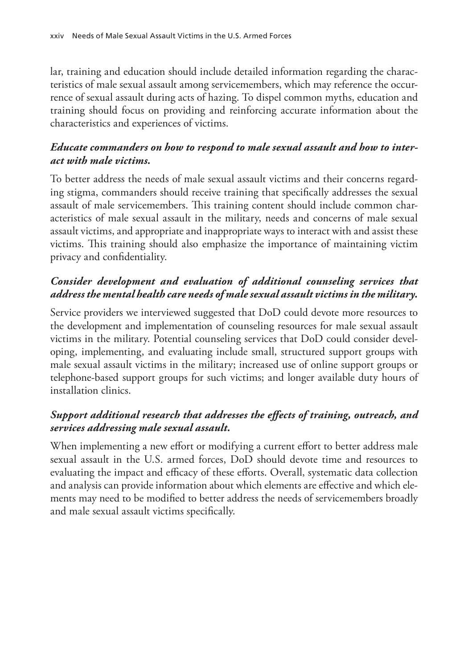lar, training and education should include detailed information regarding the characteristics of male sexual assault among servicemembers, which may reference the occurrence of sexual assault during acts of hazing. To dispel common myths, education and training should focus on providing and reinforcing accurate information about the characteristics and experiences of victims.

## *Educate commanders on how to respond to male sexual assault and how to interact with male victims.*

To better address the needs of male sexual assault victims and their concerns regarding stigma, commanders should receive training that specifically addresses the sexual assault of male servicemembers. This training content should include common characteristics of male sexual assault in the military, needs and concerns of male sexual assault victims, and appropriate and inappropriate ways to interact with and assist these victims. This training should also emphasize the importance of maintaining victim privacy and confidentiality.

## *Consider development and evaluation of additional counseling services that address the mental health care needs of male sexual assault victims in the military.*

Service providers we interviewed suggested that DoD could devote more resources to the development and implementation of counseling resources for male sexual assault victims in the military. Potential counseling services that DoD could consider developing, implementing, and evaluating include small, structured support groups with male sexual assault victims in the military; increased use of online support groups or telephone-based support groups for such victims; and longer available duty hours of installation clinics.

## *Support additional research that addresses the effects of training, outreach, and services addressing male sexual assault.*

When implementing a new effort or modifying a current effort to better address male sexual assault in the U.S. armed forces, DoD should devote time and resources to evaluating the impact and efficacy of these efforts. Overall, systematic data collection and analysis can provide information about which elements are effective and which elements may need to be modified to better address the needs of servicemembers broadly and male sexual assault victims specifically.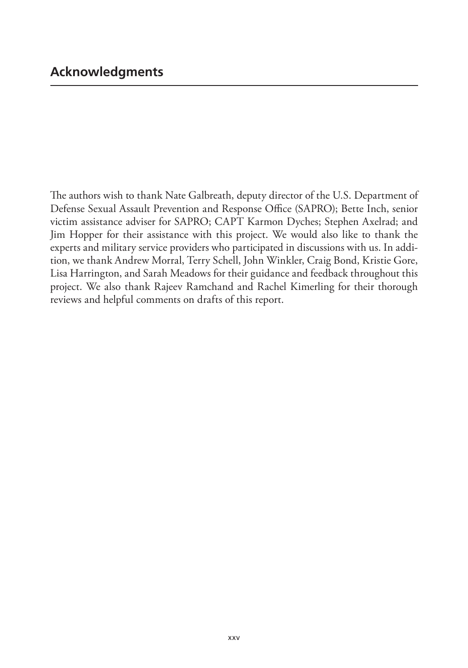The authors wish to thank Nate Galbreath, deputy director of the U.S. Department of Defense Sexual Assault Prevention and Response Office (SAPRO); Bette Inch, senior victim assistance adviser for SAPRO; CAPT Karmon Dyches; Stephen Axelrad; and Jim Hopper for their assistance with this project. We would also like to thank the experts and military service providers who participated in discussions with us. In addition, we thank Andrew Morral, Terry Schell, John Winkler, Craig Bond, Kristie Gore, Lisa Harrington, and Sarah Meadows for their guidance and feedback throughout this project. We also thank Rajeev Ramchand and Rachel Kimerling for their thorough reviews and helpful comments on drafts of this report.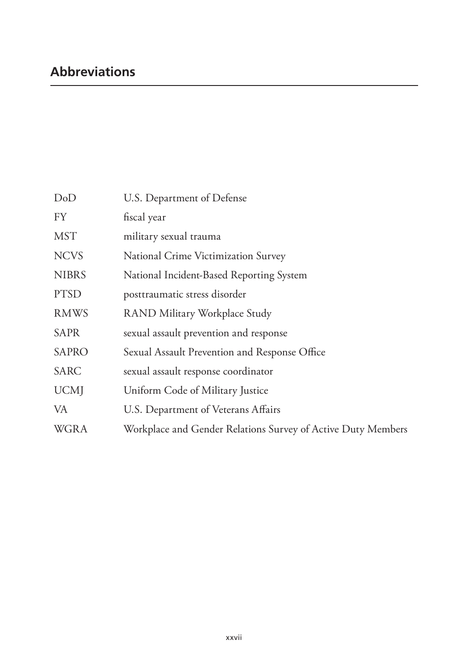# **Abbreviations**

| DoD          | U.S. Department of Defense                                   |
|--------------|--------------------------------------------------------------|
| <b>FY</b>    | fiscal year                                                  |
| <b>MST</b>   | military sexual trauma                                       |
| <b>NCVS</b>  | National Crime Victimization Survey                          |
| <b>NIBRS</b> | National Incident-Based Reporting System                     |
| <b>PTSD</b>  | posttraumatic stress disorder                                |
| <b>RMWS</b>  | RAND Military Workplace Study                                |
| <b>SAPR</b>  | sexual assault prevention and response                       |
| <b>SAPRO</b> | Sexual Assault Prevention and Response Office                |
| <b>SARC</b>  | sexual assault response coordinator                          |
| <b>UCM</b>   | Uniform Code of Military Justice                             |
| VA           | U.S. Department of Veterans Affairs                          |
| <b>WGRA</b>  | Workplace and Gender Relations Survey of Active Duty Members |
|              |                                                              |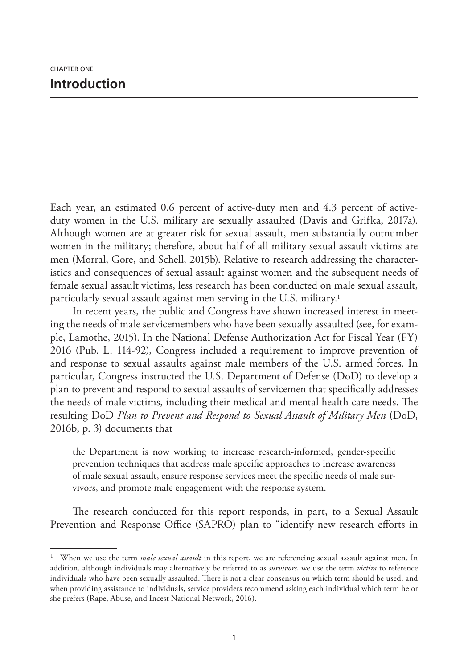Each year, an estimated 0.6 percent of active-duty men and 4.3 percent of activeduty women in the U.S. military are sexually assaulted (Davis and Grifka, 2017a). Although women are at greater risk for sexual assault, men substantially outnumber women in the military; therefore, about half of all military sexual assault victims are men (Morral, Gore, and Schell, 2015b). Relative to research addressing the characteristics and consequences of sexual assault against women and the subsequent needs of female sexual assault victims, less research has been conducted on male sexual assault, particularly sexual assault against men serving in the U.S. military.<sup>1</sup>

In recent years, the public and Congress have shown increased interest in meeting the needs of male servicemembers who have been sexually assaulted (see, for example, Lamothe, 2015). In the National Defense Authorization Act for Fiscal Year (FY) 2016 (Pub. L. 114-92), Congress included a requirement to improve prevention of and response to sexual assaults against male members of the U.S. armed forces. In particular, Congress instructed the U.S. Department of Defense (DoD) to develop a plan to prevent and respond to sexual assaults of servicemen that specifically addresses the needs of male victims, including their medical and mental health care needs. The resulting DoD *Plan to Prevent and Respond to Sexual Assault of Military Men* (DoD, 2016b, p. 3) documents that

the Department is now working to increase research-informed, gender-specific prevention techniques that address male specific approaches to increase awareness of male sexual assault, ensure response services meet the specific needs of male survivors, and promote male engagement with the response system.

The research conducted for this report responds, in part, to a Sexual Assault Prevention and Response Office (SAPRO) plan to "identify new research efforts in

<sup>1</sup> When we use the term *male sexual assault* in this report, we are referencing sexual assault against men. In addition, although individuals may alternatively be referred to as *survivors*, we use the term *victim* to reference individuals who have been sexually assaulted. There is not a clear consensus on which term should be used, and when providing assistance to individuals, service providers recommend asking each individual which term he or she prefers (Rape, Abuse, and Incest National Network, 2016).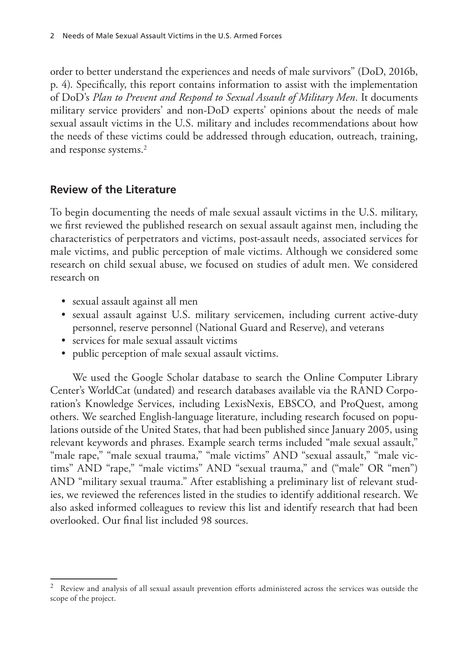order to better understand the experiences and needs of male survivors" (DoD, 2016b, p. 4). Specifically, this report contains information to assist with the implementation of DoD's *Plan to Prevent and Respond to Sexual Assault of Military Men*. It documents military service providers' and non-DoD experts' opinions about the needs of male sexual assault victims in the U.S. military and includes recommendations about how the needs of these victims could be addressed through education, outreach, training, and response systems.2

## **Review of the Literature**

To begin documenting the needs of male sexual assault victims in the U.S. military, we first reviewed the published research on sexual assault against men, including the characteristics of perpetrators and victims, post-assault needs, associated services for male victims, and public perception of male victims. Although we considered some research on child sexual abuse, we focused on studies of adult men. We considered research on

- sexual assault against all men
- sexual assault against U.S. military servicemen, including current active-duty personnel, reserve personnel (National Guard and Reserve), and veterans
- services for male sexual assault victims
- public perception of male sexual assault victims.

We used the Google Scholar database to search the Online Computer Library Center's WorldCat (undated) and research databases available via the RAND Corporation's Knowledge Services, including LexisNexis, EBSCO, and ProQuest, among others. We searched English-language literature, including research focused on populations outside of the United States, that had been published since January 2005, using relevant keywords and phrases. Example search terms included "male sexual assault," "male rape," "male sexual trauma," "male victims" AND "sexual assault," "male victims" AND "rape," "male victims" AND "sexual trauma," and ("male" OR "men") AND "military sexual trauma." After establishing a preliminary list of relevant studies, we reviewed the references listed in the studies to identify additional research. We also asked informed colleagues to review this list and identify research that had been overlooked. Our final list included 98 sources.

<sup>2</sup> Review and analysis of all sexual assault prevention efforts administered across the services was outside the scope of the project.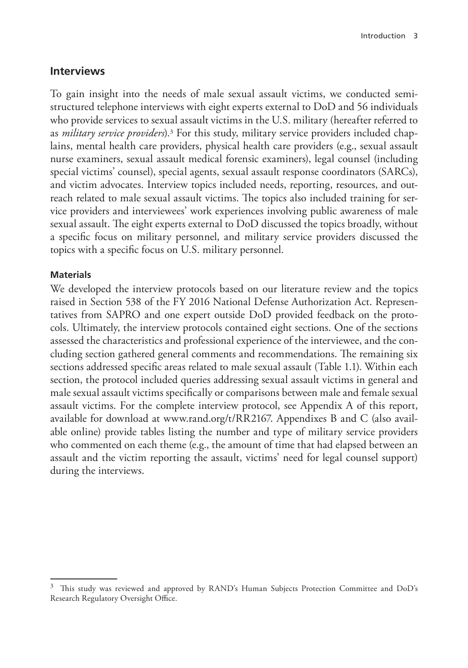#### **Interviews**

To gain insight into the needs of male sexual assault victims, we conducted semistructured telephone interviews with eight experts external to DoD and 56 individuals who provide services to sexual assault victims in the U.S. military (hereafter referred to as *military service providers*).3 For this study, military service providers included chaplains, mental health care providers, physical health care providers (e.g., sexual assault nurse examiners, sexual assault medical forensic examiners), legal counsel (including special victims' counsel), special agents, sexual assault response coordinators (SARCs), and victim advocates. Interview topics included needs, reporting, resources, and outreach related to male sexual assault victims. The topics also included training for service providers and interviewees' work experiences involving public awareness of male sexual assault. The eight experts external to DoD discussed the topics broadly, without a specific focus on military personnel, and military service providers discussed the topics with a specific focus on U.S. military personnel.

#### **Materials**

We developed the interview protocols based on our literature review and the topics raised in Section 538 of the FY 2016 National Defense Authorization Act. Representatives from SAPRO and one expert outside DoD provided feedback on the protocols. Ultimately, the interview protocols contained eight sections. One of the sections assessed the characteristics and professional experience of the interviewee, and the concluding section gathered general comments and recommendations. The remaining six sections addressed specific areas related to male sexual assault (Table 1.1). Within each section, the protocol included queries addressing sexual assault victims in general and male sexual assault victims specifically or comparisons between male and female sexual assault victims. For the complete interview protocol, see Appendix A of this report, available for download at [www.rand.org/t/RR2167.](http://www.rand.org/t/RR2167) Appendixes B and C (also available online) provide tables listing the number and type of military service providers who commented on each theme (e.g., the amount of time that had elapsed between an assault and the victim reporting the assault, victims' need for legal counsel support) during the interviews.

<sup>&</sup>lt;sup>3</sup> This study was reviewed and approved by RAND's Human Subjects Protection Committee and DoD's Research Regulatory Oversight Office.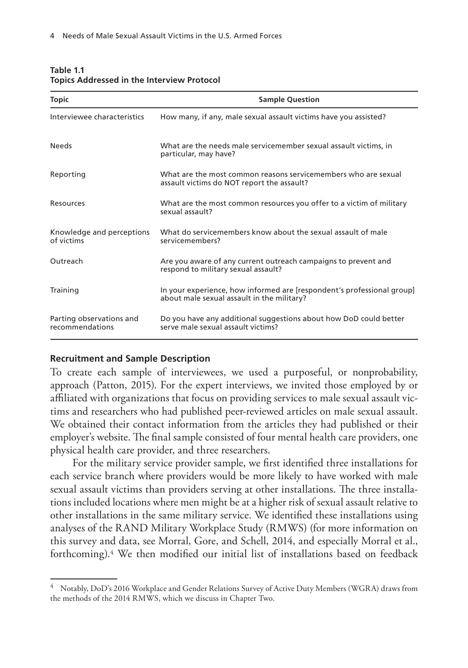| <b>Topic</b>                                | <b>Sample Question</b>                                                                                               |
|---------------------------------------------|----------------------------------------------------------------------------------------------------------------------|
| Interviewee characteristics                 | How many, if any, male sexual assault victims have you assisted?                                                     |
| <b>Needs</b>                                | What are the needs male servicemember sexual assault victims, in<br>particular, may have?                            |
| Reporting                                   | What are the most common reasons servicemembers who are sexual<br>assault victims do NOT report the assault?         |
| Resources                                   | What are the most common resources you offer to a victim of military<br>sexual assault?                              |
| Knowledge and perceptions<br>of victims     | What do servicemembers know about the sexual assault of male<br>servicemembers?                                      |
| Outreach                                    | Are you aware of any current outreach campaigns to prevent and<br>respond to military sexual assault?                |
| Training                                    | In your experience, how informed are [respondent's professional group]<br>about male sexual assault in the military? |
| Parting observations and<br>recommendations | Do you have any additional suggestions about how DoD could better<br>serve male sexual assault victims?              |

#### **Table 1.1 Topics Addressed in the Interview Protocol**

#### **Recruitment and Sample Description**

To create each sample of interviewees, we used a purposeful, or nonprobability, approach (Patton, 2015). For the expert interviews, we invited those employed by or affiliated with organizations that focus on providing services to male sexual assault victims and researchers who had published peer-reviewed articles on male sexual assault. We obtained their contact information from the articles they had published or their employer's website. The final sample consisted of four mental health care providers, one physical health care provider, and three researchers.

For the military service provider sample, we first identified three installations for each service branch where providers would be more likely to have worked with male sexual assault victims than providers serving at other installations. The three installations included locations where men might be at a higher risk of sexual assault relative to other installations in the same military service. We identified these installations using analyses of the RAND Military Workplace Study (RMWS) (for more information on this survey and data, see Morral, Gore, and Schell, 2014, and especially Morral et al., forthcoming).4 We then modified our initial list of installations based on feedback

<sup>4</sup> Notably, DoD's 2016 Workplace and Gender Relations Survey of Active Duty Members (WGRA) draws from the methods of the 2014 RMWS, which we discuss in Chapter Two.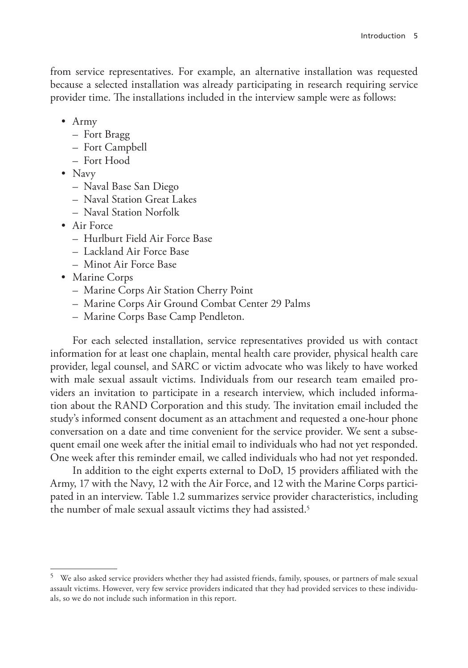from service representatives. For example, an alternative installation was requested because a selected installation was already participating in research requiring service provider time. The installations included in the interview sample were as follows:

- Army
	- Fort Bragg
	- Fort Campbell
	- Fort Hood
- Navy
	- Naval Base San Diego
	- Naval Station Great Lakes
	- Naval Station Norfolk
- Air Force
	- Hurlburt Field Air Force Base
	- Lackland Air Force Base
	- Minot Air Force Base
- Marine Corps
	- Marine Corps Air Station Cherry Point
	- Marine Corps Air Ground Combat Center 29 Palms
	- Marine Corps Base Camp Pendleton.

For each selected installation, service representatives provided us with contact information for at least one chaplain, mental health care provider, physical health care provider, legal counsel, and SARC or victim advocate who was likely to have worked with male sexual assault victims. Individuals from our research team emailed providers an invitation to participate in a research interview, which included information about the RAND Corporation and this study. The invitation email included the study's informed consent document as an attachment and requested a one-hour phone conversation on a date and time convenient for the service provider. We sent a subsequent email one week after the initial email to individuals who had not yet responded. One week after this reminder email, we called individuals who had not yet responded.

In addition to the eight experts external to DoD, 15 providers affiliated with the Army, 17 with the Navy, 12 with the Air Force, and 12 with the Marine Corps participated in an interview. Table 1.2 summarizes service provider characteristics, including the number of male sexual assault victims they had assisted.<sup>5</sup>

<sup>&</sup>lt;sup>5</sup> We also asked service providers whether they had assisted friends, family, spouses, or partners of male sexual assault victims. However, very few service providers indicated that they had provided services to these individuals, so we do not include such information in this report.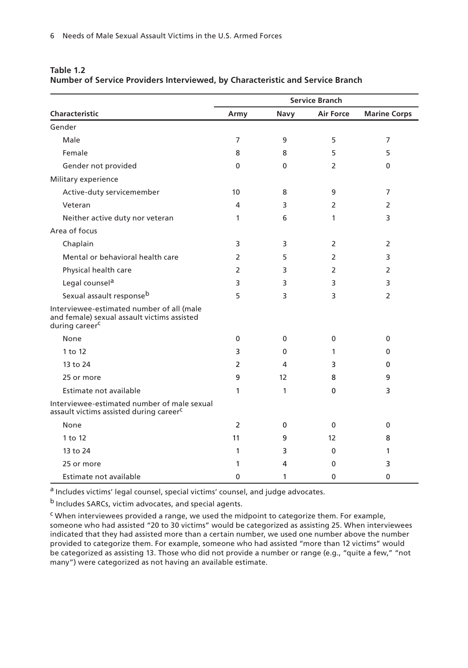|                                                                                                                        | <b>Service Branch</b> |              |                  |                     |
|------------------------------------------------------------------------------------------------------------------------|-----------------------|--------------|------------------|---------------------|
| <b>Characteristic</b>                                                                                                  | Army                  | Navy         | <b>Air Force</b> | <b>Marine Corps</b> |
| Gender                                                                                                                 |                       |              |                  |                     |
| Male                                                                                                                   | 7                     | 9            | 5                | 7                   |
| Female                                                                                                                 | 8                     | 8            | 5                | 5                   |
| Gender not provided                                                                                                    | 0                     | $\mathbf{0}$ | $\overline{2}$   | 0                   |
| Military experience                                                                                                    |                       |              |                  |                     |
| Active-duty servicemember                                                                                              | 10                    | 8            | 9                | 7                   |
| Veteran                                                                                                                | 4                     | 3            | 2                | 2                   |
| Neither active duty nor veteran                                                                                        | 1                     | 6            | 1                | 3                   |
| Area of focus                                                                                                          |                       |              |                  |                     |
| Chaplain                                                                                                               | 3                     | 3            | 2                | 2                   |
| Mental or behavioral health care                                                                                       | $\overline{2}$        | 5            | $\overline{2}$   | 3                   |
| Physical health care                                                                                                   | 2                     | 3            | 2                | 2                   |
| Legal counsel <sup>a</sup>                                                                                             | 3                     | 3            | 3                | 3                   |
| Sexual assault responseb                                                                                               | 5                     | 3            | 3                | $\overline{2}$      |
| Interviewee-estimated number of all (male<br>and female) sexual assault victims assisted<br>during career <sup>c</sup> |                       |              |                  |                     |
| None                                                                                                                   | 0                     | 0            | $\mathbf{0}$     | 0                   |
| 1 to 12                                                                                                                | 3                     | $\mathbf{0}$ | 1                | 0                   |
| 13 to 24                                                                                                               | 2                     | 4            | 3                | 0                   |
| 25 or more                                                                                                             | 9                     | 12           | 8                | 9                   |
| Estimate not available                                                                                                 | 1                     | 1            | $\mathbf{0}$     | 3                   |
| Interviewee-estimated number of male sexual<br>assault victims assisted during career <sup>c</sup>                     |                       |              |                  |                     |
| None                                                                                                                   | $\overline{2}$        | $\Omega$     | $\Omega$         | 0                   |
| 1 to 12                                                                                                                | 11                    | 9            | 12               | 8                   |
| 13 to 24                                                                                                               | 1                     | 3            | 0                | 1                   |
| 25 or more                                                                                                             | 1                     | 4            | 0                | 3                   |
| Estimate not available                                                                                                 | 0                     | 1            | $\Omega$         | $\mathbf{0}$        |

#### **Table 1.2 Number of Service Providers Interviewed, by Characteristic and Service Branch**

a Includes victims' legal counsel, special victims' counsel, and judge advocates.

b Includes SARCs, victim advocates, and special agents.

c When interviewees provided a range, we used the midpoint to categorize them. For example, someone who had assisted "20 to 30 victims" would be categorized as assisting 25. When interviewees indicated that they had assisted more than a certain number, we used one number above the number provided to categorize them. For example, someone who had assisted "more than 12 victims" would be categorized as assisting 13. Those who did not provide a number or range (e.g., "quite a few," "not many") were categorized as not having an available estimate.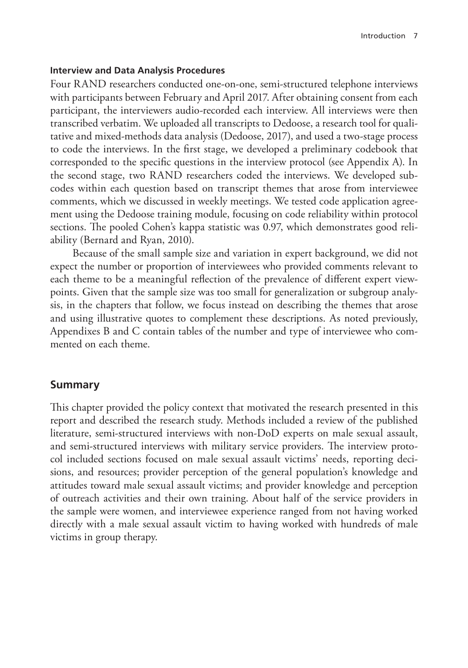#### **Interview and Data Analysis Procedures**

Four RAND researchers conducted one-on-one, semi-structured telephone interviews with participants between February and April 2017. After obtaining consent from each participant, the interviewers audio-recorded each interview. All interviews were then transcribed verbatim. We uploaded all transcripts to Dedoose, a research tool for qualitative and mixed-methods data analysis (Dedoose, 2017), and used a two-stage process to code the interviews. In the first stage, we developed a preliminary codebook that corresponded to the specific questions in the interview protocol (see Appendix A). In the second stage, two RAND researchers coded the interviews. We developed subcodes within each question based on transcript themes that arose from interviewee comments, which we discussed in weekly meetings. We tested code application agreement using the Dedoose training module, focusing on code reliability within protocol sections. The pooled Cohen's kappa statistic was 0.97, which demonstrates good reliability (Bernard and Ryan, 2010).

Because of the small sample size and variation in expert background, we did not expect the number or proportion of interviewees who provided comments relevant to each theme to be a meaningful reflection of the prevalence of different expert viewpoints. Given that the sample size was too small for generalization or subgroup analysis, in the chapters that follow, we focus instead on describing the themes that arose and using illustrative quotes to complement these descriptions. As noted previously, Appendixes B and C contain tables of the number and type of interviewee who commented on each theme.

#### **Summary**

This chapter provided the policy context that motivated the research presented in this report and described the research study. Methods included a review of the published literature, semi-structured interviews with non-DoD experts on male sexual assault, and semi-structured interviews with military service providers. The interview protocol included sections focused on male sexual assault victims' needs, reporting decisions, and resources; provider perception of the general population's knowledge and attitudes toward male sexual assault victims; and provider knowledge and perception of outreach activities and their own training. About half of the service providers in the sample were women, and interviewee experience ranged from not having worked directly with a male sexual assault victim to having worked with hundreds of male victims in group therapy.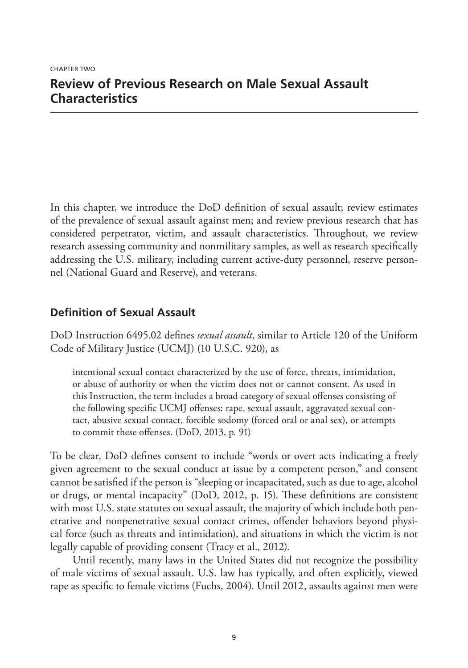# **Review of Previous Research on Male Sexual Assault Characteristics**

In this chapter, we introduce the DoD definition of sexual assault; review estimates of the prevalence of sexual assault against men; and review previous research that has considered perpetrator, victim, and assault characteristics. Throughout, we review research assessing community and nonmilitary samples, as well as research specifically addressing the U.S. military, including current active-duty personnel, reserve personnel (National Guard and Reserve), and veterans.

## **Definition of Sexual Assault**

DoD Instruction 6495.02 defines *sexual assault*, similar to Article 120 of the Uniform Code of Military Justice (UCMJ) (10 U.S.C. 920), as

intentional sexual contact characterized by the use of force, threats, intimidation, or abuse of authority or when the victim does not or cannot consent. As used in this Instruction, the term includes a broad category of sexual offenses consisting of the following specific UCMJ offenses: rape, sexual assault, aggravated sexual contact, abusive sexual contact, forcible sodomy (forced oral or anal sex), or attempts to commit these offenses. (DoD, 2013, p. 91)

To be clear, DoD defines consent to include "words or overt acts indicating a freely given agreement to the sexual conduct at issue by a competent person," and consent cannot be satisfied if the person is "sleeping or incapacitated, such as due to age, alcohol or drugs, or mental incapacity" (DoD, 2012, p. 15). These definitions are consistent with most U.S. state statutes on sexual assault, the majority of which include both penetrative and nonpenetrative sexual contact crimes, offender behaviors beyond physical force (such as threats and intimidation), and situations in which the victim is not legally capable of providing consent (Tracy et al., 2012).

Until recently, many laws in the United States did not recognize the possibility of male victims of sexual assault. U.S. law has typically, and often explicitly, viewed rape as specific to female victims (Fuchs, 2004). Until 2012, assaults against men were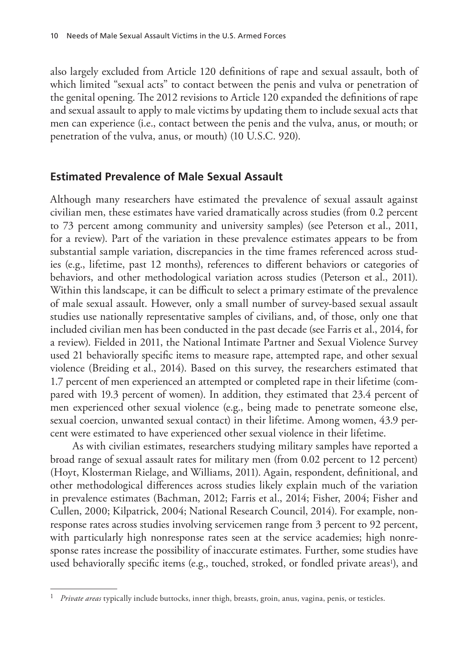also largely excluded from Article 120 definitions of rape and sexual assault, both of which limited "sexual acts" to contact between the penis and vulva or penetration of the genital opening. The 2012 revisions to Article 120 expanded the definitions of rape and sexual assault to apply to male victims by updating them to include sexual acts that men can experience (i.e., contact between the penis and the vulva, anus, or mouth; or penetration of the vulva, anus, or mouth) (10 U.S.C. 920).

## **Estimated Prevalence of Male Sexual Assault**

Although many researchers have estimated the prevalence of sexual assault against civilian men, these estimates have varied dramatically across studies (from 0.2 percent to 73 percent among community and university samples) (see Peterson et al., 2011, for a review). Part of the variation in these prevalence estimates appears to be from substantial sample variation, discrepancies in the time frames referenced across studies (e.g., lifetime, past 12 months), references to different behaviors or categories of behaviors, and other methodological variation across studies (Peterson et al., 2011). Within this landscape, it can be difficult to select a primary estimate of the prevalence of male sexual assault. However, only a small number of survey-based sexual assault studies use nationally representative samples of civilians, and, of those, only one that included civilian men has been conducted in the past decade (see Farris et al., 2014, for a review). Fielded in 2011, the National Intimate Partner and Sexual Violence Survey used 21 behaviorally specific items to measure rape, attempted rape, and other sexual violence (Breiding et al., 2014). Based on this survey, the researchers estimated that 1.7 percent of men experienced an attempted or completed rape in their lifetime (compared with 19.3 percent of women). In addition, they estimated that 23.4 percent of men experienced other sexual violence (e.g., being made to penetrate someone else, sexual coercion, unwanted sexual contact) in their lifetime. Among women, 43.9 percent were estimated to have experienced other sexual violence in their lifetime.

As with civilian estimates, researchers studying military samples have reported a broad range of sexual assault rates for military men (from 0.02 percent to 12 percent) (Hoyt, Klosterman Rielage, and Williams, 2011). Again, respondent, definitional, and other methodological differences across studies likely explain much of the variation in prevalence estimates (Bachman, 2012; Farris et al., 2014; Fisher, 2004; Fisher and Cullen, 2000; Kilpatrick, 2004; National Research Council, 2014). For example, nonresponse rates across studies involving servicemen range from 3 percent to 92 percent, with particularly high nonresponse rates seen at the service academies; high nonresponse rates increase the possibility of inaccurate estimates. Further, some studies have used behaviorally specific items (e.g., touched, stroked, or fondled private areas<sup>1</sup>), and

<sup>1</sup> *Private areas* typically include buttocks, inner thigh, breasts, groin, anus, vagina, penis, or testicles.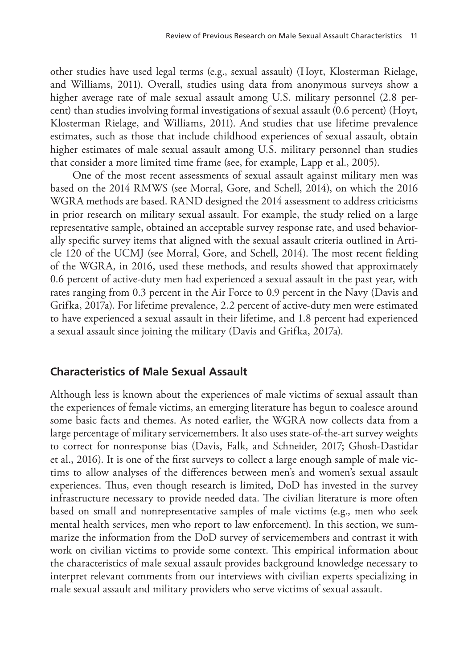other studies have used legal terms (e.g., sexual assault) (Hoyt, Klosterman Rielage, and Williams, 2011). Overall, studies using data from anonymous surveys show a higher average rate of male sexual assault among U.S. military personnel (2.8 percent) than studies involving formal investigations of sexual assault (0.6 percent) (Hoyt, Klosterman Rielage, and Williams, 2011). And studies that use lifetime prevalence estimates, such as those that include childhood experiences of sexual assault, obtain higher estimates of male sexual assault among U.S. military personnel than studies that consider a more limited time frame (see, for example, Lapp et al., 2005).

One of the most recent assessments of sexual assault against military men was based on the 2014 RMWS (see Morral, Gore, and Schell, 2014), on which the 2016 WGRA methods are based. RAND designed the 2014 assessment to address criticisms in prior research on military sexual assault. For example, the study relied on a large representative sample, obtained an acceptable survey response rate, and used behaviorally specific survey items that aligned with the sexual assault criteria outlined in Article 120 of the UCMJ (see Morral, Gore, and Schell, 2014). The most recent fielding of the WGRA, in 2016, used these methods, and results showed that approximately 0.6 percent of active-duty men had experienced a sexual assault in the past year, with rates ranging from 0.3 percent in the Air Force to 0.9 percent in the Navy (Davis and Grifka, 2017a). For lifetime prevalence, 2.2 percent of active-duty men were estimated to have experienced a sexual assault in their lifetime, and 1.8 percent had experienced a sexual assault since joining the military (Davis and Grifka, 2017a).

## **Characteristics of Male Sexual Assault**

Although less is known about the experiences of male victims of sexual assault than the experiences of female victims, an emerging literature has begun to coalesce around some basic facts and themes. As noted earlier, the WGRA now collects data from a large percentage of military servicemembers. It also uses state-of-the-art survey weights to correct for nonresponse bias (Davis, Falk, and Schneider, 2017; Ghosh-Dastidar et al., 2016). It is one of the first surveys to collect a large enough sample of male victims to allow analyses of the differences between men's and women's sexual assault experiences. Thus, even though research is limited, DoD has invested in the survey infrastructure necessary to provide needed data. The civilian literature is more often based on small and nonrepresentative samples of male victims (e.g., men who seek mental health services, men who report to law enforcement). In this section, we summarize the information from the DoD survey of servicemembers and contrast it with work on civilian victims to provide some context. This empirical information about the characteristics of male sexual assault provides background knowledge necessary to interpret relevant comments from our interviews with civilian experts specializing in male sexual assault and military providers who serve victims of sexual assault.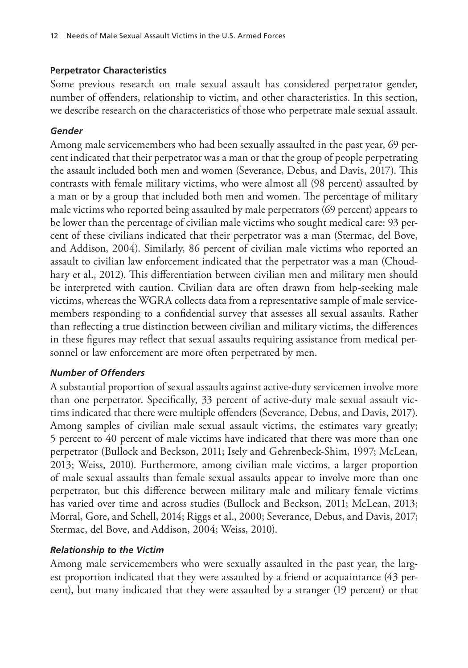## **Perpetrator Characteristics**

Some previous research on male sexual assault has considered perpetrator gender, number of offenders, relationship to victim, and other characteristics. In this section, we describe research on the characteristics of those who perpetrate male sexual assault.

## *Gender*

Among male servicemembers who had been sexually assaulted in the past year, 69 percent indicated that their perpetrator was a man or that the group of people perpetrating the assault included both men and women (Severance, Debus, and Davis, 2017). This contrasts with female military victims, who were almost all (98 percent) assaulted by a man or by a group that included both men and women. The percentage of military male victims who reported being assaulted by male perpetrators (69 percent) appears to be lower than the percentage of civilian male victims who sought medical care: 93 percent of these civilians indicated that their perpetrator was a man (Stermac, del Bove, and Addison, 2004). Similarly, 86 percent of civilian male victims who reported an assault to civilian law enforcement indicated that the perpetrator was a man (Choudhary et al., 2012). This differentiation between civilian men and military men should be interpreted with caution. Civilian data are often drawn from help-seeking male victims, whereas the WGRA collects data from a representative sample of male servicemembers responding to a confidential survey that assesses all sexual assaults. Rather than reflecting a true distinction between civilian and military victims, the differences in these figures may reflect that sexual assaults requiring assistance from medical personnel or law enforcement are more often perpetrated by men.

## *Number of Offenders*

A substantial proportion of sexual assaults against active-duty servicemen involve more than one perpetrator. Specifically, 33 percent of active-duty male sexual assault victims indicated that there were multiple offenders (Severance, Debus, and Davis, 2017). Among samples of civilian male sexual assault victims, the estimates vary greatly; 5 percent to 40 percent of male victims have indicated that there was more than one perpetrator (Bullock and Beckson, 2011; Isely and Gehrenbeck-Shim, 1997; McLean, 2013; Weiss, 2010). Furthermore, among civilian male victims, a larger proportion of male sexual assaults than female sexual assaults appear to involve more than one perpetrator, but this difference between military male and military female victims has varied over time and across studies (Bullock and Beckson, 2011; McLean, 2013; Morral, Gore, and Schell, 2014; Riggs et al., 2000; Severance, Debus, and Davis, 2017; Stermac, del Bove, and Addison, 2004; Weiss, 2010).

## *Relationship to the Victim*

Among male servicemembers who were sexually assaulted in the past year, the largest proportion indicated that they were assaulted by a friend or acquaintance (43 percent), but many indicated that they were assaulted by a stranger (19 percent) or that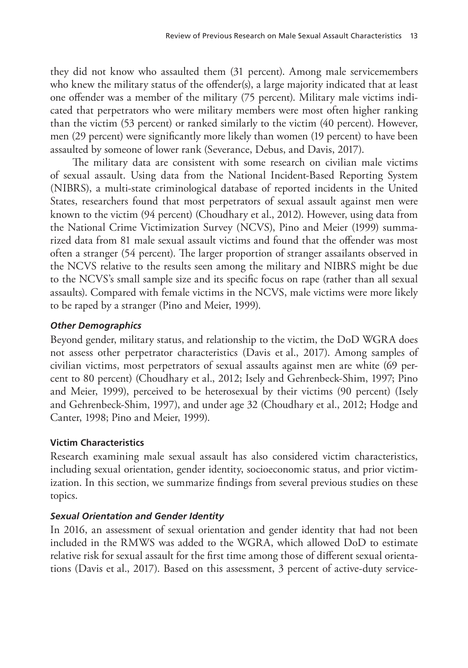they did not know who assaulted them (31 percent). Among male servicemembers who knew the military status of the offender(s), a large majority indicated that at least one offender was a member of the military (75 percent). Military male victims indicated that perpetrators who were military members were most often higher ranking than the victim (53 percent) or ranked similarly to the victim (40 percent). However, men (29 percent) were significantly more likely than women (19 percent) to have been assaulted by someone of lower rank (Severance, Debus, and Davis, 2017).

The military data are consistent with some research on civilian male victims of sexual assault. Using data from the National Incident-Based Reporting System (NIBRS), a multi-state criminological database of reported incidents in the United States, researchers found that most perpetrators of sexual assault against men were known to the victim (94 percent) (Choudhary et al., 2012). However, using data from the National Crime Victimization Survey (NCVS), Pino and Meier (1999) summarized data from 81 male sexual assault victims and found that the offender was most often a stranger (54 percent). The larger proportion of stranger assailants observed in the NCVS relative to the results seen among the military and NIBRS might be due to the NCVS's small sample size and its specific focus on rape (rather than all sexual assaults). Compared with female victims in the NCVS, male victims were more likely to be raped by a stranger (Pino and Meier, 1999).

## *Other Demographics*

Beyond gender, military status, and relationship to the victim, the DoD WGRA does not assess other perpetrator characteristics (Davis et al., 2017). Among samples of civilian victims, most perpetrators of sexual assaults against men are white (69 percent to 80 percent) (Choudhary et al., 2012; Isely and Gehrenbeck-Shim, 1997; Pino and Meier, 1999), perceived to be heterosexual by their victims (90 percent) (Isely and Gehrenbeck-Shim, 1997), and under age 32 (Choudhary et al., 2012; Hodge and Canter, 1998; Pino and Meier, 1999).

## **Victim Characteristics**

Research examining male sexual assault has also considered victim characteristics, including sexual orientation, gender identity, socioeconomic status, and prior victimization. In this section, we summarize findings from several previous studies on these topics.

## *Sexual Orientation and Gender Identity*

In 2016, an assessment of sexual orientation and gender identity that had not been included in the RMWS was added to the WGRA, which allowed DoD to estimate relative risk for sexual assault for the first time among those of different sexual orientations (Davis et al., 2017). Based on this assessment, 3 percent of active-duty service-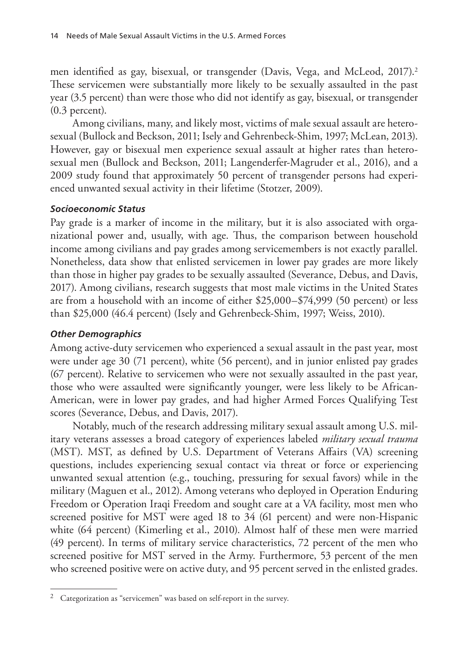men identified as gay, bisexual, or transgender (Davis, Vega, and McLeod, 2017).2 These servicemen were substantially more likely to be sexually assaulted in the past year (3.5 percent) than were those who did not identify as gay, bisexual, or transgender (0.3 percent).

Among civilians, many, and likely most, victims of male sexual assault are heterosexual (Bullock and Beckson, 2011; Isely and Gehrenbeck-Shim, 1997; McLean, 2013). However, gay or bisexual men experience sexual assault at higher rates than heterosexual men (Bullock and Beckson, 2011; Langenderfer-Magruder et al., 2016), and a 2009 study found that approximately 50 percent of transgender persons had experienced unwanted sexual activity in their lifetime (Stotzer, 2009).

## *Socioeconomic Status*

Pay grade is a marker of income in the military, but it is also associated with organizational power and, usually, with age. Thus, the comparison between household income among civilians and pay grades among servicemembers is not exactly parallel. Nonetheless, data show that enlisted servicemen in lower pay grades are more likely than those in higher pay grades to be sexually assaulted (Severance, Debus, and Davis, 2017). Among civilians, research suggests that most male victims in the United States are from a household with an income of either \$25,000–\$74,999 (50 percent) or less than \$25,000 (46.4 percent) (Isely and Gehrenbeck-Shim, 1997; Weiss, 2010).

## *Other Demographics*

Among active-duty servicemen who experienced a sexual assault in the past year, most were under age 30 (71 percent), white (56 percent), and in junior enlisted pay grades (67 percent). Relative to servicemen who were not sexually assaulted in the past year, those who were assaulted were significantly younger, were less likely to be African-American, were in lower pay grades, and had higher Armed Forces Qualifying Test scores (Severance, Debus, and Davis, 2017).

Notably, much of the research addressing military sexual assault among U.S. military veterans assesses a broad category of experiences labeled *military sexual trauma* (MST). MST, as defined by U.S. Department of Veterans Affairs (VA) screening questions, includes experiencing sexual contact via threat or force or experiencing unwanted sexual attention (e.g., touching, pressuring for sexual favors) while in the military (Maguen et al., 2012). Among veterans who deployed in Operation Enduring Freedom or Operation Iraqi Freedom and sought care at a VA facility, most men who screened positive for MST were aged 18 to 34 (61 percent) and were non-Hispanic white (64 percent) (Kimerling et al., 2010). Almost half of these men were married (49 percent). In terms of military service characteristics, 72 percent of the men who screened positive for MST served in the Army. Furthermore, 53 percent of the men who screened positive were on active duty, and 95 percent served in the enlisted grades.

<sup>&</sup>lt;sup>2</sup> Categorization as "servicemen" was based on self-report in the survey.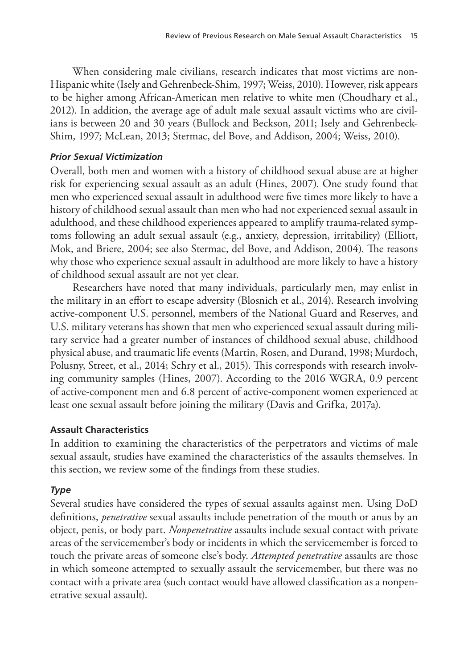When considering male civilians, research indicates that most victims are non-Hispanic white (Isely and Gehrenbeck-Shim, 1997; Weiss, 2010). However, risk appears to be higher among African-American men relative to white men (Choudhary et al., 2012). In addition, the average age of adult male sexual assault victims who are civilians is between 20 and 30 years (Bullock and Beckson, 2011; Isely and Gehrenbeck-Shim, 1997; McLean, 2013; Stermac, del Bove, and Addison, 2004; Weiss, 2010).

## *Prior Sexual Victimization*

Overall, both men and women with a history of childhood sexual abuse are at higher risk for experiencing sexual assault as an adult (Hines, 2007). One study found that men who experienced sexual assault in adulthood were five times more likely to have a history of childhood sexual assault than men who had not experienced sexual assault in adulthood, and these childhood experiences appeared to amplify trauma-related symptoms following an adult sexual assault (e.g., anxiety, depression, irritability) (Elliott, Mok, and Briere, 2004; see also Stermac, del Bove, and Addison, 2004). The reasons why those who experience sexual assault in adulthood are more likely to have a history of childhood sexual assault are not yet clear.

Researchers have noted that many individuals, particularly men, may enlist in the military in an effort to escape adversity (Blosnich et al., 2014). Research involving active-component U.S. personnel, members of the National Guard and Reserves, and U.S. military veterans has shown that men who experienced sexual assault during military service had a greater number of instances of childhood sexual abuse, childhood physical abuse, and traumatic life events (Martin, Rosen, and Durand, 1998; Murdoch, Polusny, Street, et al., 2014; Schry et al., 2015). This corresponds with research involving community samples (Hines, 2007). According to the 2016 WGRA, 0.9 percent of active-component men and 6.8 percent of active-component women experienced at least one sexual assault before joining the military (Davis and Grifka, 2017a).

## **Assault Characteristics**

In addition to examining the characteristics of the perpetrators and victims of male sexual assault, studies have examined the characteristics of the assaults themselves. In this section, we review some of the findings from these studies.

## *Type*

Several studies have considered the types of sexual assaults against men. Using DoD definitions, *penetrative* sexual assaults include penetration of the mouth or anus by an object, penis, or body part. *Nonpenetrative* assaults include sexual contact with private areas of the servicemember's body or incidents in which the servicemember is forced to touch the private areas of someone else's body. *Attempted penetrative* assaults are those in which someone attempted to sexually assault the servicemember, but there was no contact with a private area (such contact would have allowed classification as a nonpenetrative sexual assault).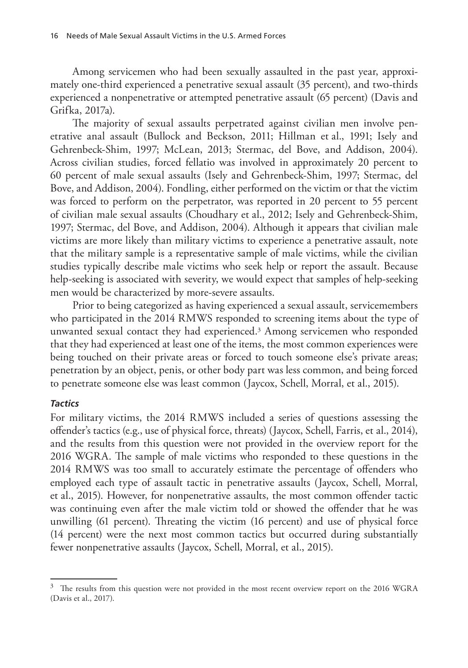Among servicemen who had been sexually assaulted in the past year, approximately one-third experienced a penetrative sexual assault (35 percent), and two-thirds experienced a nonpenetrative or attempted penetrative assault (65 percent) (Davis and Grifka, 2017a).

The majority of sexual assaults perpetrated against civilian men involve penetrative anal assault (Bullock and Beckson, 2011; Hillman et al., 1991; Isely and Gehrenbeck-Shim, 1997; McLean, 2013; Stermac, del Bove, and Addison, 2004). Across civilian studies, forced fellatio was involved in approximately 20 percent to 60 percent of male sexual assaults (Isely and Gehrenbeck-Shim, 1997; Stermac, del Bove, and Addison, 2004). Fondling, either performed on the victim or that the victim was forced to perform on the perpetrator, was reported in 20 percent to 55 percent of civilian male sexual assaults (Choudhary et al., 2012; Isely and Gehrenbeck-Shim, 1997; Stermac, del Bove, and Addison, 2004). Although it appears that civilian male victims are more likely than military victims to experience a penetrative assault, note that the military sample is a representative sample of male victims, while the civilian studies typically describe male victims who seek help or report the assault. Because help-seeking is associated with severity, we would expect that samples of help-seeking men would be characterized by more-severe assaults.

Prior to being categorized as having experienced a sexual assault, servicemembers who participated in the 2014 RMWS responded to screening items about the type of unwanted sexual contact they had experienced.3 Among servicemen who responded that they had experienced at least one of the items, the most common experiences were being touched on their private areas or forced to touch someone else's private areas; penetration by an object, penis, or other body part was less common, and being forced to penetrate someone else was least common (Jaycox, Schell, Morral, et al., 2015).

#### *Tactics*

For military victims, the 2014 RMWS included a series of questions assessing the offender's tactics (e.g., use of physical force, threats) (Jaycox, Schell, Farris, et al., 2014), and the results from this question were not provided in the overview report for the 2016 WGRA. The sample of male victims who responded to these questions in the 2014 RMWS was too small to accurately estimate the percentage of offenders who employed each type of assault tactic in penetrative assaults (Jaycox, Schell, Morral, et al., 2015). However, for nonpenetrative assaults, the most common offender tactic was continuing even after the male victim told or showed the offender that he was unwilling (61 percent). Threating the victim (16 percent) and use of physical force (14 percent) were the next most common tactics but occurred during substantially fewer nonpenetrative assaults (Jaycox, Schell, Morral, et al., 2015).

<sup>&</sup>lt;sup>3</sup> The results from this question were not provided in the most recent overview report on the 2016 WGRA (Davis et al., 2017).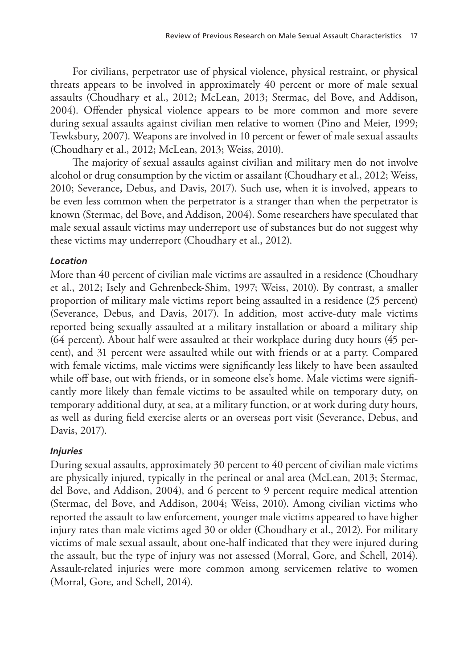For civilians, perpetrator use of physical violence, physical restraint, or physical threats appears to be involved in approximately 40 percent or more of male sexual assaults (Choudhary et al., 2012; McLean, 2013; Stermac, del Bove, and Addison, 2004). Offender physical violence appears to be more common and more severe during sexual assaults against civilian men relative to women (Pino and Meier, 1999; Tewksbury, 2007). Weapons are involved in 10 percent or fewer of male sexual assaults (Choudhary et al., 2012; McLean, 2013; Weiss, 2010).

The majority of sexual assaults against civilian and military men do not involve alcohol or drug consumption by the victim or assailant (Choudhary et al., 2012; Weiss, 2010; Severance, Debus, and Davis, 2017). Such use, when it is involved, appears to be even less common when the perpetrator is a stranger than when the perpetrator is known (Stermac, del Bove, and Addison, 2004). Some researchers have speculated that male sexual assault victims may underreport use of substances but do not suggest why these victims may underreport (Choudhary et al., 2012).

## *Location*

More than 40 percent of civilian male victims are assaulted in a residence (Choudhary et al., 2012; Isely and Gehrenbeck-Shim, 1997; Weiss, 2010). By contrast, a smaller proportion of military male victims report being assaulted in a residence (25 percent) (Severance, Debus, and Davis, 2017). In addition, most active-duty male victims reported being sexually assaulted at a military installation or aboard a military ship (64 percent). About half were assaulted at their workplace during duty hours (45 percent), and 31 percent were assaulted while out with friends or at a party. Compared with female victims, male victims were significantly less likely to have been assaulted while off base, out with friends, or in someone else's home. Male victims were significantly more likely than female victims to be assaulted while on temporary duty, on temporary additional duty, at sea, at a military function, or at work during duty hours, as well as during field exercise alerts or an overseas port visit (Severance, Debus, and Davis, 2017).

## *Injuries*

During sexual assaults, approximately 30 percent to 40 percent of civilian male victims are physically injured, typically in the perineal or anal area (McLean, 2013; Stermac, del Bove, and Addison, 2004), and 6 percent to 9 percent require medical attention (Stermac, del Bove, and Addison, 2004; Weiss, 2010). Among civilian victims who reported the assault to law enforcement, younger male victims appeared to have higher injury rates than male victims aged 30 or older (Choudhary et al., 2012). For military victims of male sexual assault, about one-half indicated that they were injured during the assault, but the type of injury was not assessed (Morral, Gore, and Schell, 2014). Assault-related injuries were more common among servicemen relative to women (Morral, Gore, and Schell, 2014).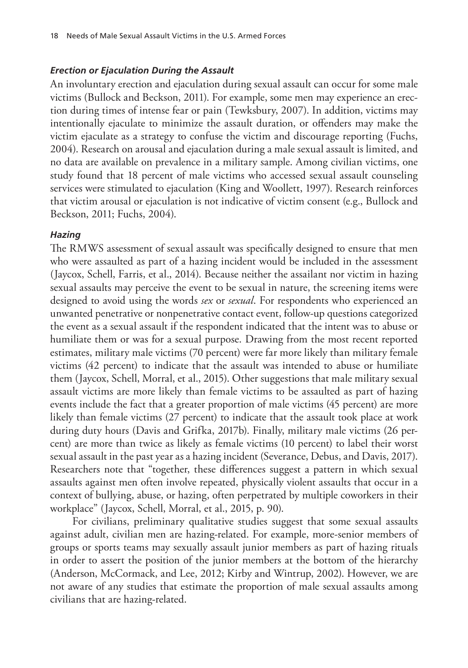#### *Erection or Ejaculation During the Assault*

An involuntary erection and ejaculation during sexual assault can occur for some male victims (Bullock and Beckson, 2011). For example, some men may experience an erection during times of intense fear or pain (Tewksbury, 2007). In addition, victims may intentionally ejaculate to minimize the assault duration, or offenders may make the victim ejaculate as a strategy to confuse the victim and discourage reporting (Fuchs, 2004). Research on arousal and ejaculation during a male sexual assault is limited, and no data are available on prevalence in a military sample. Among civilian victims, one study found that 18 percent of male victims who accessed sexual assault counseling services were stimulated to ejaculation (King and Woollett, 1997). Research reinforces that victim arousal or ejaculation is not indicative of victim consent (e.g., Bullock and Beckson, 2011; Fuchs, 2004).

#### *Hazing*

The RMWS assessment of sexual assault was specifically designed to ensure that men who were assaulted as part of a hazing incident would be included in the assessment (Jaycox, Schell, Farris, et al., 2014). Because neither the assailant nor victim in hazing sexual assaults may perceive the event to be sexual in nature, the screening items were designed to avoid using the words *sex* or *sexual*. For respondents who experienced an unwanted penetrative or nonpenetrative contact event, follow-up questions categorized the event as a sexual assault if the respondent indicated that the intent was to abuse or humiliate them or was for a sexual purpose. Drawing from the most recent reported estimates, military male victims (70 percent) were far more likely than military female victims (42 percent) to indicate that the assault was intended to abuse or humiliate them (Jaycox, Schell, Morral, et al., 2015). Other suggestions that male military sexual assault victims are more likely than female victims to be assaulted as part of hazing events include the fact that a greater proportion of male victims (45 percent) are more likely than female victims (27 percent) to indicate that the assault took place at work during duty hours (Davis and Grifka, 2017b). Finally, military male victims (26 percent) are more than twice as likely as female victims (10 percent) to label their worst sexual assault in the past year as a hazing incident (Severance, Debus, and Davis, 2017). Researchers note that "together, these differences suggest a pattern in which sexual assaults against men often involve repeated, physically violent assaults that occur in a context of bullying, abuse, or hazing, often perpetrated by multiple coworkers in their workplace" (Jaycox, Schell, Morral, et al., 2015, p. 90).

For civilians, preliminary qualitative studies suggest that some sexual assaults against adult, civilian men are hazing-related. For example, more-senior members of groups or sports teams may sexually assault junior members as part of hazing rituals in order to assert the position of the junior members at the bottom of the hierarchy (Anderson, McCormack, and Lee, 2012; Kirby and Wintrup, 2002). However, we are not aware of any studies that estimate the proportion of male sexual assaults among civilians that are hazing-related.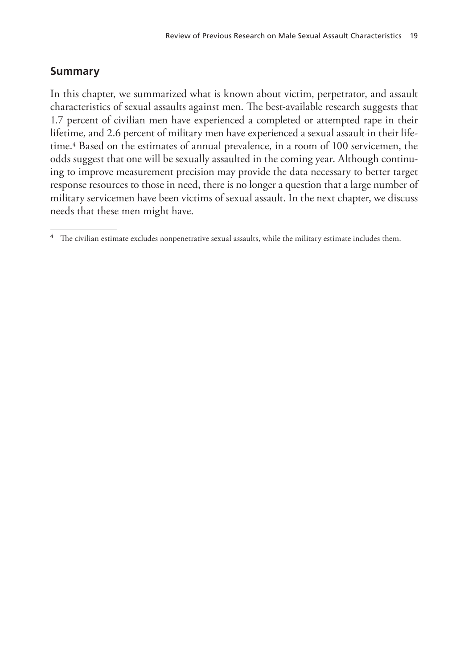## **Summary**

In this chapter, we summarized what is known about victim, perpetrator, and assault characteristics of sexual assaults against men. The best-available research suggests that 1.7 percent of civilian men have experienced a completed or attempted rape in their lifetime, and 2.6 percent of military men have experienced a sexual assault in their lifetime.4 Based on the estimates of annual prevalence, in a room of 100 servicemen, the odds suggest that one will be sexually assaulted in the coming year. Although continuing to improve measurement precision may provide the data necessary to better target response resources to those in need, there is no longer a question that a large number of military servicemen have been victims of sexual assault. In the next chapter, we discuss needs that these men might have.

 $^4$  The civilian estimate excludes nonpenetrative sexual assaults, while the military estimate includes them.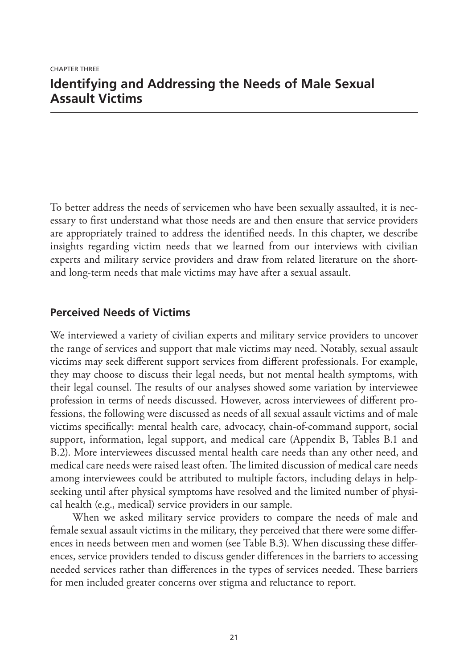To better address the needs of servicemen who have been sexually assaulted, it is necessary to first understand what those needs are and then ensure that service providers are appropriately trained to address the identified needs. In this chapter, we describe insights regarding victim needs that we learned from our interviews with civilian experts and military service providers and draw from related literature on the shortand long-term needs that male victims may have after a sexual assault.

## **Perceived Needs of Victims**

We interviewed a variety of civilian experts and military service providers to uncover the range of services and support that male victims may need. Notably, sexual assault victims may seek different support services from different professionals. For example, they may choose to discuss their legal needs, but not mental health symptoms, with their legal counsel. The results of our analyses showed some variation by interviewee profession in terms of needs discussed. However, across interviewees of different professions, the following were discussed as needs of all sexual assault victims and of male victims specifically: mental health care, advocacy, chain-of-command support, social support, information, legal support, and medical care (Appendix B, Tables B.1 and B.2). More interviewees discussed mental health care needs than any other need, and medical care needs were raised least often. The limited discussion of medical care needs among interviewees could be attributed to multiple factors, including delays in helpseeking until after physical symptoms have resolved and the limited number of physical health (e.g., medical) service providers in our sample.

When we asked military service providers to compare the needs of male and female sexual assault victims in the military, they perceived that there were some differences in needs between men and women (see Table B.3). When discussing these differences, service providers tended to discuss gender differences in the barriers to accessing needed services rather than differences in the types of services needed. These barriers for men included greater concerns over stigma and reluctance to report.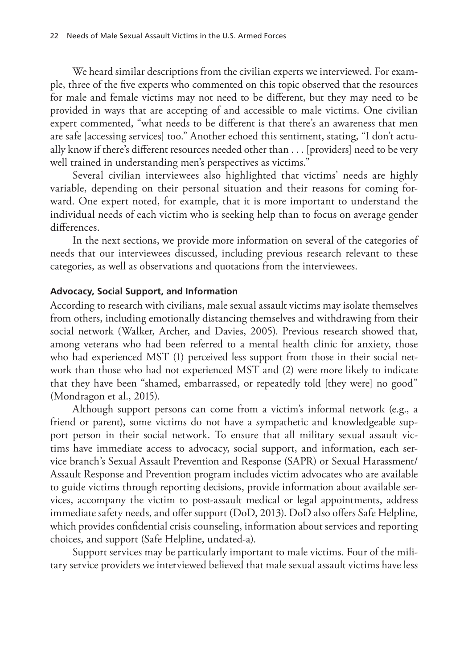We heard similar descriptions from the civilian experts we interviewed. For example, three of the five experts who commented on this topic observed that the resources for male and female victims may not need to be different, but they may need to be provided in ways that are accepting of and accessible to male victims. One civilian expert commented, "what needs to be different is that there's an awareness that men are safe [accessing services] too." Another echoed this sentiment, stating, "I don't actually know if there's different resources needed other than . . . [providers] need to be very well trained in understanding men's perspectives as victims."

Several civilian interviewees also highlighted that victims' needs are highly variable, depending on their personal situation and their reasons for coming forward. One expert noted, for example, that it is more important to understand the individual needs of each victim who is seeking help than to focus on average gender differences.

In the next sections, we provide more information on several of the categories of needs that our interviewees discussed, including previous research relevant to these categories, as well as observations and quotations from the interviewees.

#### **Advocacy, Social Support, and Information**

According to research with civilians, male sexual assault victims may isolate themselves from others, including emotionally distancing themselves and withdrawing from their social network (Walker, Archer, and Davies, 2005). Previous research showed that, among veterans who had been referred to a mental health clinic for anxiety, those who had experienced MST (1) perceived less support from those in their social network than those who had not experienced MST and (2) were more likely to indicate that they have been "shamed, embarrassed, or repeatedly told [they were] no good" (Mondragon et al., 2015).

Although support persons can come from a victim's informal network (e.g., a friend or parent), some victims do not have a sympathetic and knowledgeable support person in their social network. To ensure that all military sexual assault victims have immediate access to advocacy, social support, and information, each service branch's Sexual Assault Prevention and Response (SAPR) or Sexual Harassment/ Assault Response and Prevention program includes victim advocates who are available to guide victims through reporting decisions, provide information about available services, accompany the victim to post-assault medical or legal appointments, address immediate safety needs, and offer support (DoD, 2013). DoD also offers Safe Helpline, which provides confidential crisis counseling, information about services and reporting choices, and support (Safe Helpline, undated-a).

Support services may be particularly important to male victims. Four of the military service providers we interviewed believed that male sexual assault victims have less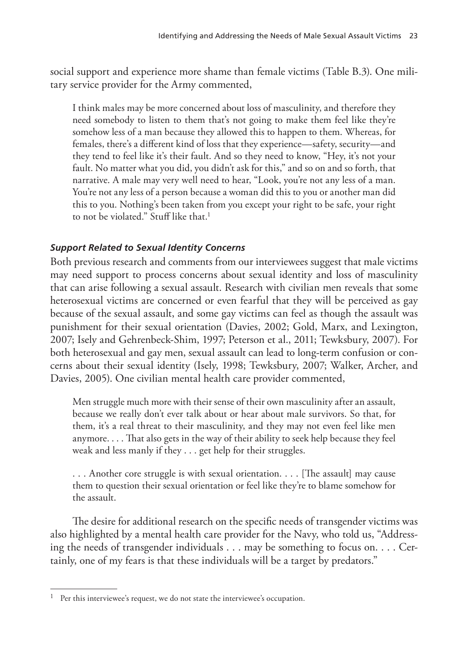social support and experience more shame than female victims (Table B.3). One military service provider for the Army commented,

I think males may be more concerned about loss of masculinity, and therefore they need somebody to listen to them that's not going to make them feel like they're somehow less of a man because they allowed this to happen to them. Whereas, for females, there's a different kind of loss that they experience—safety, security—and they tend to feel like it's their fault. And so they need to know, "Hey, it's not your fault. No matter what you did, you didn't ask for this," and so on and so forth, that narrative. A male may very well need to hear, "Look, you're not any less of a man. You're not any less of a person because a woman did this to you or another man did this to you. Nothing's been taken from you except your right to be safe, your right to not be violated." Stuff like that.<sup>1</sup>

## *Support Related to Sexual Identity Concerns*

Both previous research and comments from our interviewees suggest that male victims may need support to process concerns about sexual identity and loss of masculinity that can arise following a sexual assault. Research with civilian men reveals that some heterosexual victims are concerned or even fearful that they will be perceived as gay because of the sexual assault, and some gay victims can feel as though the assault was punishment for their sexual orientation (Davies, 2002; Gold, Marx, and Lexington, 2007; Isely and Gehrenbeck-Shim, 1997; Peterson et al., 2011; Tewksbury, 2007). For both heterosexual and gay men, sexual assault can lead to long-term confusion or concerns about their sexual identity (Isely, 1998; Tewksbury, 2007; Walker, Archer, and Davies, 2005). One civilian mental health care provider commented,

Men struggle much more with their sense of their own masculinity after an assault, because we really don't ever talk about or hear about male survivors. So that, for them, it's a real threat to their masculinity, and they may not even feel like men anymore. . . . That also gets in the way of their ability to seek help because they feel weak and less manly if they . . . get help for their struggles.

. . . Another core struggle is with sexual orientation. . . . [The assault] may cause them to question their sexual orientation or feel like they're to blame somehow for the assault.

The desire for additional research on the specific needs of transgender victims was also highlighted by a mental health care provider for the Navy, who told us, "Addressing the needs of transgender individuals . . . may be something to focus on. . . . Certainly, one of my fears is that these individuals will be a target by predators."

 $1$  Per this interviewee's request, we do not state the interviewee's occupation.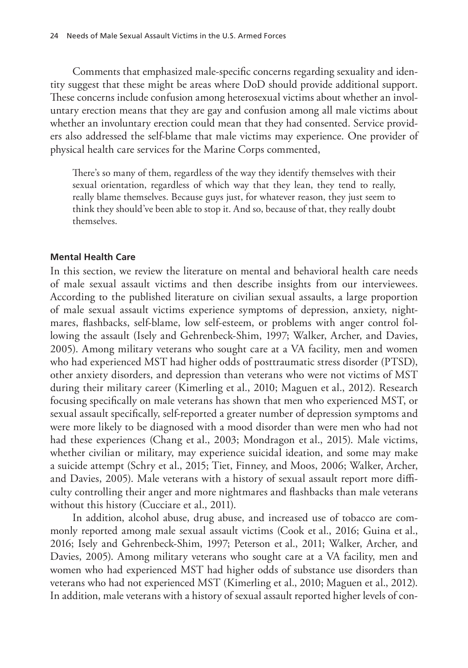Comments that emphasized male-specific concerns regarding sexuality and identity suggest that these might be areas where DoD should provide additional support. These concerns include confusion among heterosexual victims about whether an involuntary erection means that they are gay and confusion among all male victims about whether an involuntary erection could mean that they had consented. Service providers also addressed the self-blame that male victims may experience. One provider of physical health care services for the Marine Corps commented,

There's so many of them, regardless of the way they identify themselves with their sexual orientation, regardless of which way that they lean, they tend to really, really blame themselves. Because guys just, for whatever reason, they just seem to think they should've been able to stop it. And so, because of that, they really doubt themselves.

#### **Mental Health Care**

In this section, we review the literature on mental and behavioral health care needs of male sexual assault victims and then describe insights from our interviewees. According to the published literature on civilian sexual assaults, a large proportion of male sexual assault victims experience symptoms of depression, anxiety, nightmares, flashbacks, self-blame, low self-esteem, or problems with anger control following the assault (Isely and Gehrenbeck-Shim, 1997; Walker, Archer, and Davies, 2005). Among military veterans who sought care at a VA facility, men and women who had experienced MST had higher odds of posttraumatic stress disorder (PTSD), other anxiety disorders, and depression than veterans who were not victims of MST during their military career (Kimerling et al., 2010; Maguen et al., 2012). Research focusing specifically on male veterans has shown that men who experienced MST, or sexual assault specifically, self-reported a greater number of depression symptoms and were more likely to be diagnosed with a mood disorder than were men who had not had these experiences (Chang et al., 2003; Mondragon et al., 2015). Male victims, whether civilian or military, may experience suicidal ideation, and some may make a suicide attempt (Schry et al., 2015; Tiet, Finney, and Moos, 2006; Walker, Archer, and Davies, 2005). Male veterans with a history of sexual assault report more difficulty controlling their anger and more nightmares and flashbacks than male veterans without this history (Cucciare et al., 2011).

In addition, alcohol abuse, drug abuse, and increased use of tobacco are commonly reported among male sexual assault victims (Cook et al., 2016; Guina et al., 2016; Isely and Gehrenbeck-Shim, 1997; Peterson et al., 2011; Walker, Archer, and Davies, 2005). Among military veterans who sought care at a VA facility, men and women who had experienced MST had higher odds of substance use disorders than veterans who had not experienced MST (Kimerling et al., 2010; Maguen et al., 2012). In addition, male veterans with a history of sexual assault reported higher levels of con-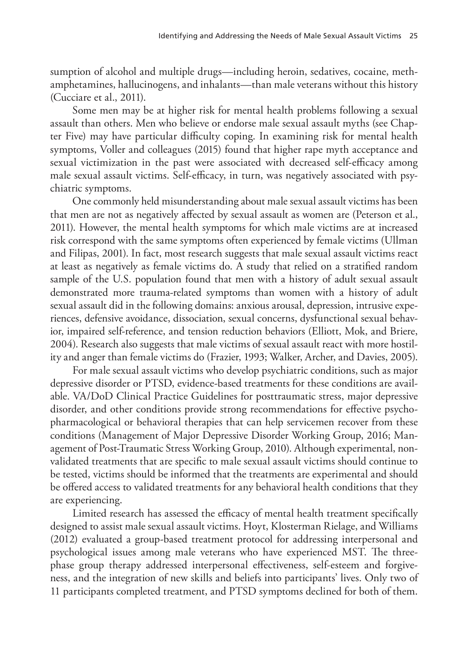sumption of alcohol and multiple drugs—including heroin, sedatives, cocaine, methamphetamines, hallucinogens, and inhalants—than male veterans without this history (Cucciare et al., 2011).

Some men may be at higher risk for mental health problems following a sexual assault than others. Men who believe or endorse male sexual assault myths (see Chapter Five) may have particular difficulty coping. In examining risk for mental health symptoms, Voller and colleagues (2015) found that higher rape myth acceptance and sexual victimization in the past were associated with decreased self-efficacy among male sexual assault victims. Self-efficacy, in turn, was negatively associated with psychiatric symptoms.

One commonly held misunderstanding about male sexual assault victims has been that men are not as negatively affected by sexual assault as women are (Peterson et al., 2011). However, the mental health symptoms for which male victims are at increased risk correspond with the same symptoms often experienced by female victims (Ullman and Filipas, 2001). In fact, most research suggests that male sexual assault victims react at least as negatively as female victims do. A study that relied on a stratified random sample of the U.S. population found that men with a history of adult sexual assault demonstrated more trauma-related symptoms than women with a history of adult sexual assault did in the following domains: anxious arousal, depression, intrusive experiences, defensive avoidance, dissociation, sexual concerns, dysfunctional sexual behavior, impaired self-reference, and tension reduction behaviors (Elliott, Mok, and Briere, 2004). Research also suggests that male victims of sexual assault react with more hostility and anger than female victims do (Frazier, 1993; Walker, Archer, and Davies, 2005).

For male sexual assault victims who develop psychiatric conditions, such as major depressive disorder or PTSD, evidence-based treatments for these conditions are available. VA/DoD Clinical Practice Guidelines for posttraumatic stress, major depressive disorder, and other conditions provide strong recommendations for effective psychopharmacological or behavioral therapies that can help servicemen recover from these conditions (Management of Major Depressive Disorder Working Group, 2016; Management of Post-Traumatic Stress Working Group, 2010). Although experimental, nonvalidated treatments that are specific to male sexual assault victims should continue to be tested, victims should be informed that the treatments are experimental and should be offered access to validated treatments for any behavioral health conditions that they are experiencing.

Limited research has assessed the efficacy of mental health treatment specifically designed to assist male sexual assault victims. Hoyt, Klosterman Rielage, and Williams (2012) evaluated a group-based treatment protocol for addressing interpersonal and psychological issues among male veterans who have experienced MST. The threephase group therapy addressed interpersonal effectiveness, self-esteem and forgiveness, and the integration of new skills and beliefs into participants' lives. Only two of 11 participants completed treatment, and PTSD symptoms declined for both of them.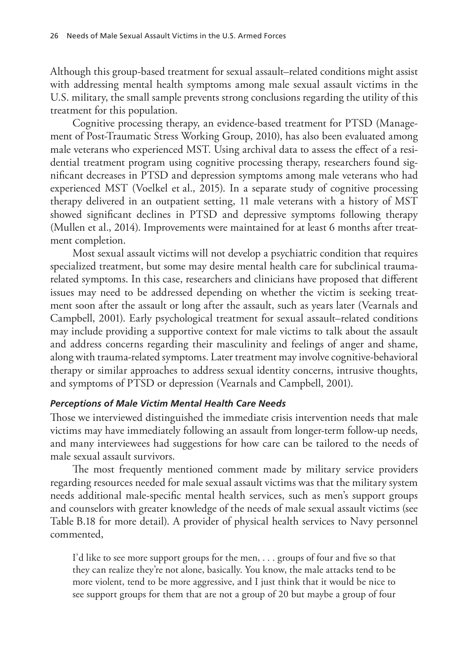Although this group-based treatment for sexual assault–related conditions might assist with addressing mental health symptoms among male sexual assault victims in the U.S. military, the small sample prevents strong conclusions regarding the utility of this treatment for this population.

Cognitive processing therapy, an evidence-based treatment for PTSD (Management of Post-Traumatic Stress Working Group, 2010), has also been evaluated among male veterans who experienced MST. Using archival data to assess the effect of a residential treatment program using cognitive processing therapy, researchers found significant decreases in PTSD and depression symptoms among male veterans who had experienced MST (Voelkel et al., 2015). In a separate study of cognitive processing therapy delivered in an outpatient setting, 11 male veterans with a history of MST showed significant declines in PTSD and depressive symptoms following therapy (Mullen et al., 2014). Improvements were maintained for at least 6 months after treatment completion.

Most sexual assault victims will not develop a psychiatric condition that requires specialized treatment, but some may desire mental health care for subclinical traumarelated symptoms. In this case, researchers and clinicians have proposed that different issues may need to be addressed depending on whether the victim is seeking treatment soon after the assault or long after the assault, such as years later (Vearnals and Campbell, 2001). Early psychological treatment for sexual assault–related conditions may include providing a supportive context for male victims to talk about the assault and address concerns regarding their masculinity and feelings of anger and shame, along with trauma-related symptoms. Later treatment may involve cognitive-behavioral therapy or similar approaches to address sexual identity concerns, intrusive thoughts, and symptoms of PTSD or depression (Vearnals and Campbell, 2001).

## *Perceptions of Male Victim Mental Health Care Needs*

Those we interviewed distinguished the immediate crisis intervention needs that male victims may have immediately following an assault from longer-term follow-up needs, and many interviewees had suggestions for how care can be tailored to the needs of male sexual assault survivors.

The most frequently mentioned comment made by military service providers regarding resources needed for male sexual assault victims was that the military system needs additional male-specific mental health services, such as men's support groups and counselors with greater knowledge of the needs of male sexual assault victims (see Table B.18 for more detail). A provider of physical health services to Navy personnel commented,

I'd like to see more support groups for the men, . . . groups of four and five so that they can realize they're not alone, basically. You know, the male attacks tend to be more violent, tend to be more aggressive, and I just think that it would be nice to see support groups for them that are not a group of 20 but maybe a group of four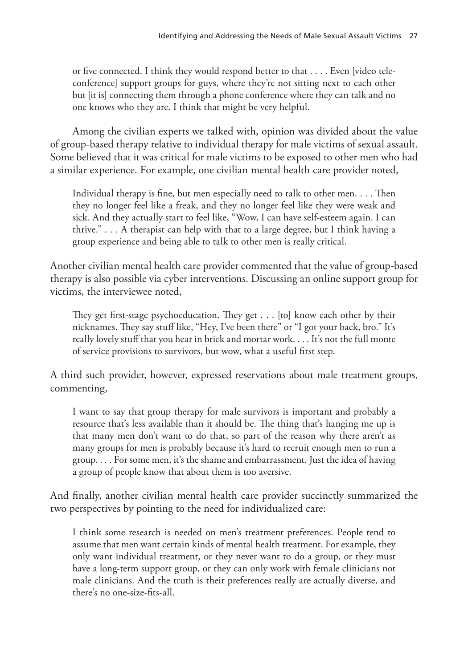or five connected. I think they would respond better to that . . . . Even [video teleconference] support groups for guys, where they're not sitting next to each other but [it is] connecting them through a phone conference where they can talk and no one knows who they are. I think that might be very helpful.

Among the civilian experts we talked with, opinion was divided about the value of group-based therapy relative to individual therapy for male victims of sexual assault. Some believed that it was critical for male victims to be exposed to other men who had a similar experience. For example, one civilian mental health care provider noted,

Individual therapy is fine, but men especially need to talk to other men. . . . Then they no longer feel like a freak, and they no longer feel like they were weak and sick. And they actually start to feel like, "Wow, I can have self-esteem again. I can thrive." . . . A therapist can help with that to a large degree, but I think having a group experience and being able to talk to other men is really critical.

Another civilian mental health care provider commented that the value of group-based therapy is also possible via cyber interventions. Discussing an online support group for victims, the interviewee noted,

They get first-stage psychoeducation. They get . . . [to] know each other by their nicknames. They say stuff like, "Hey, I've been there" or "I got your back, bro." It's really lovely stuff that you hear in brick and mortar work. . . . It's not the full monte of service provisions to survivors, but wow, what a useful first step.

A third such provider, however, expressed reservations about male treatment groups, commenting,

I want to say that group therapy for male survivors is important and probably a resource that's less available than it should be. The thing that's hanging me up is that many men don't want to do that, so part of the reason why there aren't as many groups for men is probably because it's hard to recruit enough men to run a group. . . . For some men, it's the shame and embarrassment. Just the idea of having a group of people know that about them is too aversive.

And finally, another civilian mental health care provider succinctly summarized the two perspectives by pointing to the need for individualized care:

I think some research is needed on men's treatment preferences. People tend to assume that men want certain kinds of mental health treatment. For example, they only want individual treatment, or they never want to do a group, or they must have a long-term support group, or they can only work with female clinicians not male clinicians. And the truth is their preferences really are actually diverse, and there's no one-size-fits-all.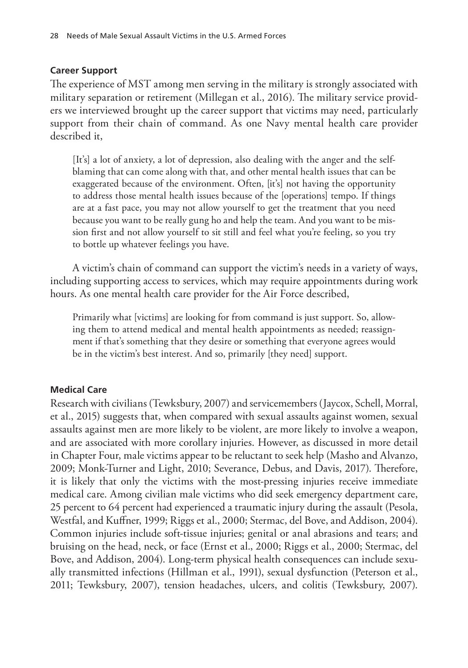### **Career Support**

The experience of MST among men serving in the military is strongly associated with military separation or retirement (Millegan et al., 2016). The military service providers we interviewed brought up the career support that victims may need, particularly support from their chain of command. As one Navy mental health care provider described it,

[It's] a lot of anxiety, a lot of depression, also dealing with the anger and the selfblaming that can come along with that, and other mental health issues that can be exaggerated because of the environment. Often, [it's] not having the opportunity to address those mental health issues because of the [operations] tempo. If things are at a fast pace, you may not allow yourself to get the treatment that you need because you want to be really gung ho and help the team. And you want to be mission first and not allow yourself to sit still and feel what you're feeling, so you try to bottle up whatever feelings you have.

A victim's chain of command can support the victim's needs in a variety of ways, including supporting access to services, which may require appointments during work hours. As one mental health care provider for the Air Force described,

Primarily what [victims] are looking for from command is just support. So, allowing them to attend medical and mental health appointments as needed; reassignment if that's something that they desire or something that everyone agrees would be in the victim's best interest. And so, primarily [they need] support.

## **Medical Care**

Research with civilians (Tewksbury, 2007) and servicemembers (Jaycox, Schell, Morral, et al., 2015) suggests that, when compared with sexual assaults against women, sexual assaults against men are more likely to be violent, are more likely to involve a weapon, and are associated with more corollary injuries. However, as discussed in more detail in Chapter Four, male victims appear to be reluctant to seek help (Masho and Alvanzo, 2009; Monk-Turner and Light, 2010; Severance, Debus, and Davis, 2017). Therefore, it is likely that only the victims with the most-pressing injuries receive immediate medical care. Among civilian male victims who did seek emergency department care, 25 percent to 64 percent had experienced a traumatic injury during the assault (Pesola, Westfal, and Kuffner, 1999; Riggs et al., 2000; Stermac, del Bove, and Addison, 2004). Common injuries include soft-tissue injuries; genital or anal abrasions and tears; and bruising on the head, neck, or face (Ernst et al., 2000; Riggs et al., 2000; Stermac, del Bove, and Addison, 2004). Long-term physical health consequences can include sexually transmitted infections (Hillman et al., 1991), sexual dysfunction (Peterson et al., 2011; Tewksbury, 2007), tension headaches, ulcers, and colitis (Tewksbury, 2007).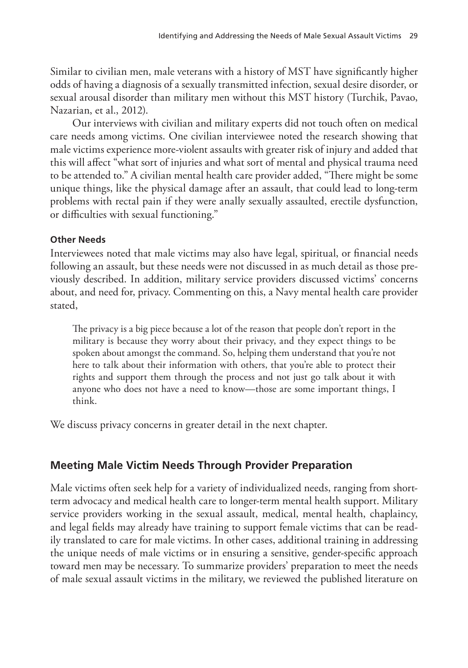Similar to civilian men, male veterans with a history of MST have significantly higher odds of having a diagnosis of a sexually transmitted infection, sexual desire disorder, or sexual arousal disorder than military men without this MST history (Turchik, Pavao, Nazarian, et al., 2012).

Our interviews with civilian and military experts did not touch often on medical care needs among victims. One civilian interviewee noted the research showing that male victims experience more-violent assaults with greater risk of injury and added that this will affect "what sort of injuries and what sort of mental and physical trauma need to be attended to." A civilian mental health care provider added, "There might be some unique things, like the physical damage after an assault, that could lead to long-term problems with rectal pain if they were anally sexually assaulted, erectile dysfunction, or difficulties with sexual functioning."

## **Other Needs**

Interviewees noted that male victims may also have legal, spiritual, or financial needs following an assault, but these needs were not discussed in as much detail as those previously described. In addition, military service providers discussed victims' concerns about, and need for, privacy. Commenting on this, a Navy mental health care provider stated,

The privacy is a big piece because a lot of the reason that people don't report in the military is because they worry about their privacy, and they expect things to be spoken about amongst the command. So, helping them understand that you're not here to talk about their information with others, that you're able to protect their rights and support them through the process and not just go talk about it with anyone who does not have a need to know—those are some important things, I think.

We discuss privacy concerns in greater detail in the next chapter.

## **Meeting Male Victim Needs Through Provider Preparation**

Male victims often seek help for a variety of individualized needs, ranging from shortterm advocacy and medical health care to longer-term mental health support. Military service providers working in the sexual assault, medical, mental health, chaplaincy, and legal fields may already have training to support female victims that can be readily translated to care for male victims. In other cases, additional training in addressing the unique needs of male victims or in ensuring a sensitive, gender-specific approach toward men may be necessary. To summarize providers' preparation to meet the needs of male sexual assault victims in the military, we reviewed the published literature on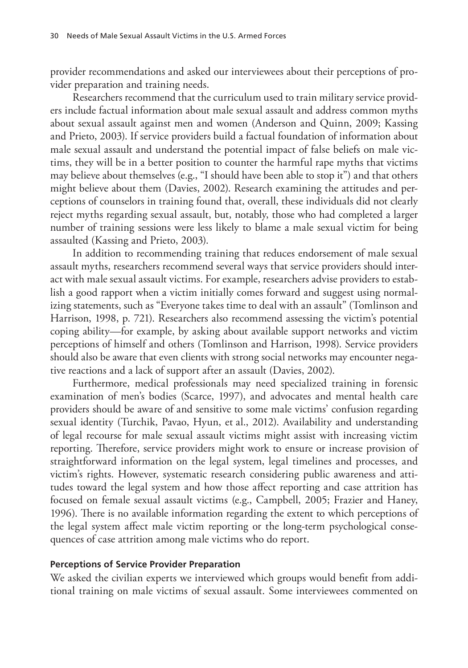provider recommendations and asked our interviewees about their perceptions of provider preparation and training needs.

Researchers recommend that the curriculum used to train military service providers include factual information about male sexual assault and address common myths about sexual assault against men and women (Anderson and Quinn, 2009; Kassing and Prieto, 2003). If service providers build a factual foundation of information about male sexual assault and understand the potential impact of false beliefs on male victims, they will be in a better position to counter the harmful rape myths that victims may believe about themselves (e.g., "I should have been able to stop it") and that others might believe about them (Davies, 2002). Research examining the attitudes and perceptions of counselors in training found that, overall, these individuals did not clearly reject myths regarding sexual assault, but, notably, those who had completed a larger number of training sessions were less likely to blame a male sexual victim for being assaulted (Kassing and Prieto, 2003).

In addition to recommending training that reduces endorsement of male sexual assault myths, researchers recommend several ways that service providers should interact with male sexual assault victims. For example, researchers advise providers to establish a good rapport when a victim initially comes forward and suggest using normalizing statements, such as "Everyone takes time to deal with an assault" (Tomlinson and Harrison, 1998, p. 721). Researchers also recommend assessing the victim's potential coping ability—for example, by asking about available support networks and victim perceptions of himself and others (Tomlinson and Harrison, 1998). Service providers should also be aware that even clients with strong social networks may encounter negative reactions and a lack of support after an assault (Davies, 2002).

Furthermore, medical professionals may need specialized training in forensic examination of men's bodies (Scarce, 1997), and advocates and mental health care providers should be aware of and sensitive to some male victims' confusion regarding sexual identity (Turchik, Pavao, Hyun, et al., 2012). Availability and understanding of legal recourse for male sexual assault victims might assist with increasing victim reporting. Therefore, service providers might work to ensure or increase provision of straightforward information on the legal system, legal timelines and processes, and victim's rights. However, systematic research considering public awareness and attitudes toward the legal system and how those affect reporting and case attrition has focused on female sexual assault victims (e.g., Campbell, 2005; Frazier and Haney, 1996). There is no available information regarding the extent to which perceptions of the legal system affect male victim reporting or the long-term psychological consequences of case attrition among male victims who do report.

#### **Perceptions of Service Provider Preparation**

We asked the civilian experts we interviewed which groups would benefit from additional training on male victims of sexual assault. Some interviewees commented on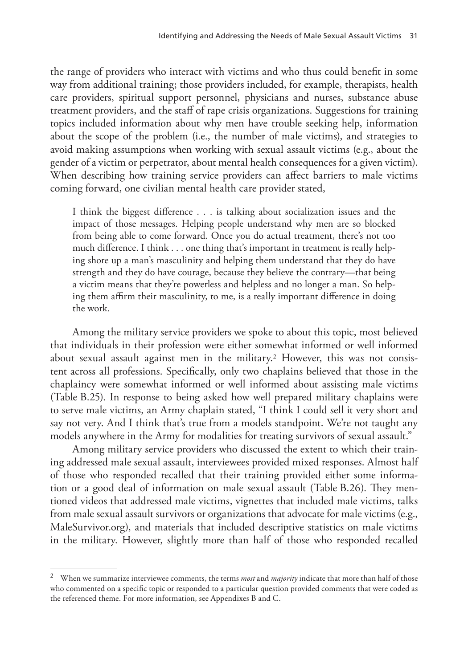the range of providers who interact with victims and who thus could benefit in some way from additional training; those providers included, for example, therapists, health care providers, spiritual support personnel, physicians and nurses, substance abuse treatment providers, and the staff of rape crisis organizations. Suggestions for training topics included information about why men have trouble seeking help, information about the scope of the problem (i.e., the number of male victims), and strategies to avoid making assumptions when working with sexual assault victims (e.g., about the gender of a victim or perpetrator, about mental health consequences for a given victim). When describing how training service providers can affect barriers to male victims coming forward, one civilian mental health care provider stated,

I think the biggest difference . . . is talking about socialization issues and the impact of those messages. Helping people understand why men are so blocked from being able to come forward. Once you do actual treatment, there's not too much difference. I think . . . one thing that's important in treatment is really helping shore up a man's masculinity and helping them understand that they do have strength and they do have courage, because they believe the contrary—that being a victim means that they're powerless and helpless and no longer a man. So helping them affirm their masculinity, to me, is a really important difference in doing the work.

Among the military service providers we spoke to about this topic, most believed that individuals in their profession were either somewhat informed or well informed about sexual assault against men in the military.<sup>2</sup> However, this was not consistent across all professions. Specifically, only two chaplains believed that those in the chaplaincy were somewhat informed or well informed about assisting male victims (Table B.25). In response to being asked how well prepared military chaplains were to serve male victims, an Army chaplain stated, "I think I could sell it very short and say not very. And I think that's true from a models standpoint. We're not taught any models anywhere in the Army for modalities for treating survivors of sexual assault."

Among military service providers who discussed the extent to which their training addressed male sexual assault, interviewees provided mixed responses. Almost half of those who responded recalled that their training provided either some information or a good deal of information on male sexual assault (Table B.26). They mentioned videos that addressed male victims, vignettes that included male victims, talks from male sexual assault survivors or organizations that advocate for male victims (e.g., MaleSurvivor.org), and materials that included descriptive statistics on male victims in the military. However, slightly more than half of those who responded recalled

<sup>2</sup> When we summarize interviewee comments, the terms *most* and *majority* indicate that more than half of those who commented on a specific topic or responded to a particular question provided comments that were coded as the referenced theme. For more information, see Appendixes B and C.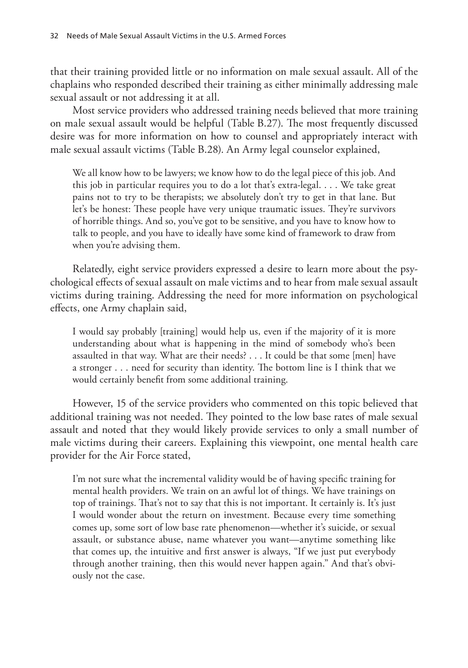that their training provided little or no information on male sexual assault. All of the chaplains who responded described their training as either minimally addressing male sexual assault or not addressing it at all.

Most service providers who addressed training needs believed that more training on male sexual assault would be helpful (Table B.27). The most frequently discussed desire was for more information on how to counsel and appropriately interact with male sexual assault victims (Table B.28). An Army legal counselor explained,

We all know how to be lawyers; we know how to do the legal piece of this job. And this job in particular requires you to do a lot that's extra-legal. . . . We take great pains not to try to be therapists; we absolutely don't try to get in that lane. But let's be honest: These people have very unique traumatic issues. They're survivors of horrible things. And so, you've got to be sensitive, and you have to know how to talk to people, and you have to ideally have some kind of framework to draw from when you're advising them.

Relatedly, eight service providers expressed a desire to learn more about the psychological effects of sexual assault on male victims and to hear from male sexual assault victims during training. Addressing the need for more information on psychological effects, one Army chaplain said,

I would say probably [training] would help us, even if the majority of it is more understanding about what is happening in the mind of somebody who's been assaulted in that way. What are their needs? . . . It could be that some [men] have a stronger . . . need for security than identity. The bottom line is I think that we would certainly benefit from some additional training.

However, 15 of the service providers who commented on this topic believed that additional training was not needed. They pointed to the low base rates of male sexual assault and noted that they would likely provide services to only a small number of male victims during their careers. Explaining this viewpoint, one mental health care provider for the Air Force stated,

I'm not sure what the incremental validity would be of having specific training for mental health providers. We train on an awful lot of things. We have trainings on top of trainings. That's not to say that this is not important. It certainly is. It's just I would wonder about the return on investment. Because every time something comes up, some sort of low base rate phenomenon—whether it's suicide, or sexual assault, or substance abuse, name whatever you want—anytime something like that comes up, the intuitive and first answer is always, "If we just put everybody through another training, then this would never happen again." And that's obviously not the case.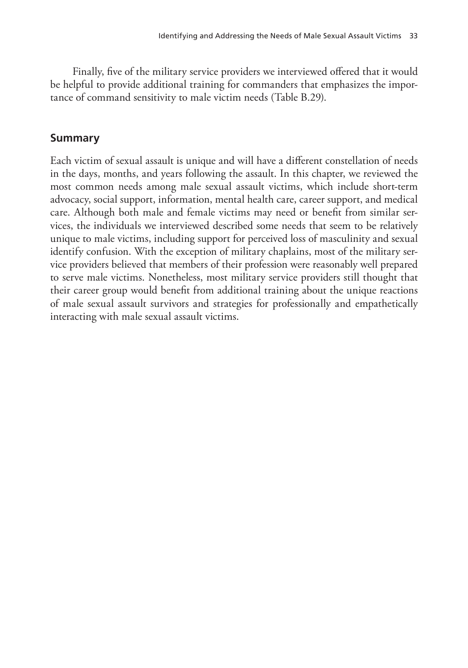Finally, five of the military service providers we interviewed offered that it would be helpful to provide additional training for commanders that emphasizes the importance of command sensitivity to male victim needs (Table B.29).

## **Summary**

Each victim of sexual assault is unique and will have a different constellation of needs in the days, months, and years following the assault. In this chapter, we reviewed the most common needs among male sexual assault victims, which include short-term advocacy, social support, information, mental health care, career support, and medical care. Although both male and female victims may need or benefit from similar services, the individuals we interviewed described some needs that seem to be relatively unique to male victims, including support for perceived loss of masculinity and sexual identify confusion. With the exception of military chaplains, most of the military service providers believed that members of their profession were reasonably well prepared to serve male victims. Nonetheless, most military service providers still thought that their career group would benefit from additional training about the unique reactions of male sexual assault survivors and strategies for professionally and empathetically interacting with male sexual assault victims.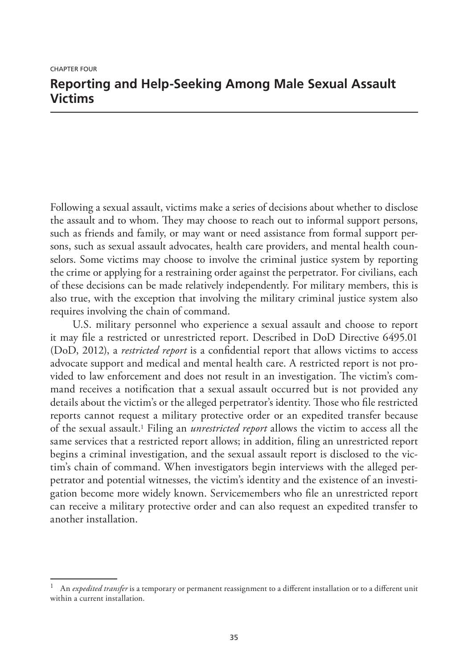# **Reporting and Help-Seeking Among Male Sexual Assault Victims**

Following a sexual assault, victims make a series of decisions about whether to disclose the assault and to whom. They may choose to reach out to informal support persons, such as friends and family, or may want or need assistance from formal support persons, such as sexual assault advocates, health care providers, and mental health counselors. Some victims may choose to involve the criminal justice system by reporting the crime or applying for a restraining order against the perpetrator. For civilians, each of these decisions can be made relatively independently. For military members, this is also true, with the exception that involving the military criminal justice system also requires involving the chain of command.

U.S. military personnel who experience a sexual assault and choose to report it may file a restricted or unrestricted report. Described in DoD Directive 6495.01 (DoD, 2012), a *restricted report* is a confidential report that allows victims to access advocate support and medical and mental health care. A restricted report is not provided to law enforcement and does not result in an investigation. The victim's command receives a notification that a sexual assault occurred but is not provided any details about the victim's or the alleged perpetrator's identity. Those who file restricted reports cannot request a military protective order or an expedited transfer because of the sexual assault.1 Filing an *unrestricted report* allows the victim to access all the same services that a restricted report allows; in addition, filing an unrestricted report begins a criminal investigation, and the sexual assault report is disclosed to the victim's chain of command. When investigators begin interviews with the alleged perpetrator and potential witnesses, the victim's identity and the existence of an investigation become more widely known. Servicemembers who file an unrestricted report can receive a military protective order and can also request an expedited transfer to another installation.

<sup>1</sup> An *expedited transfer* is a temporary or permanent reassignment to a different installation or to a different unit within a current installation.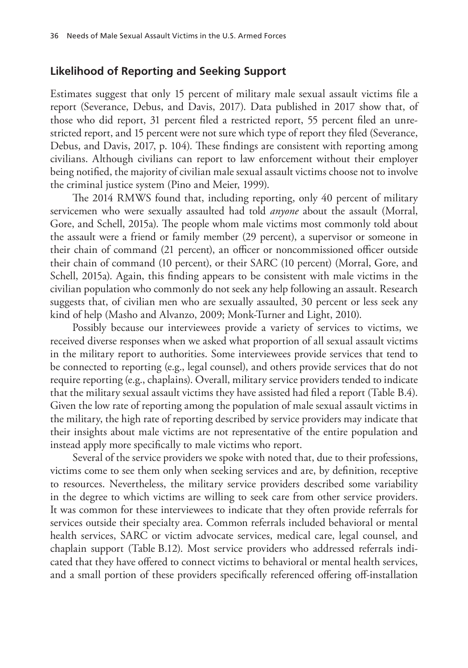## **Likelihood of Reporting and Seeking Support**

Estimates suggest that only 15 percent of military male sexual assault victims file a report (Severance, Debus, and Davis, 2017). Data published in 2017 show that, of those who did report, 31 percent filed a restricted report, 55 percent filed an unrestricted report, and 15 percent were not sure which type of report they filed (Severance, Debus, and Davis, 2017, p. 104). These findings are consistent with reporting among civilians. Although civilians can report to law enforcement without their employer being notified, the majority of civilian male sexual assault victims choose not to involve the criminal justice system (Pino and Meier, 1999).

The 2014 RMWS found that, including reporting, only 40 percent of military servicemen who were sexually assaulted had told *anyone* about the assault (Morral, Gore, and Schell, 2015a). The people whom male victims most commonly told about the assault were a friend or family member (29 percent), a supervisor or someone in their chain of command (21 percent), an officer or noncommissioned officer outside their chain of command (10 percent), or their SARC (10 percent) (Morral, Gore, and Schell, 2015a). Again, this finding appears to be consistent with male victims in the civilian population who commonly do not seek any help following an assault. Research suggests that, of civilian men who are sexually assaulted, 30 percent or less seek any kind of help (Masho and Alvanzo, 2009; Monk-Turner and Light, 2010).

Possibly because our interviewees provide a variety of services to victims, we received diverse responses when we asked what proportion of all sexual assault victims in the military report to authorities. Some interviewees provide services that tend to be connected to reporting (e.g., legal counsel), and others provide services that do not require reporting (e.g., chaplains). Overall, military service providers tended to indicate that the military sexual assault victims they have assisted had filed a report (Table B.4). Given the low rate of reporting among the population of male sexual assault victims in the military, the high rate of reporting described by service providers may indicate that their insights about male victims are not representative of the entire population and instead apply more specifically to male victims who report.

Several of the service providers we spoke with noted that, due to their professions, victims come to see them only when seeking services and are, by definition, receptive to resources. Nevertheless, the military service providers described some variability in the degree to which victims are willing to seek care from other service providers. It was common for these interviewees to indicate that they often provide referrals for services outside their specialty area. Common referrals included behavioral or mental health services, SARC or victim advocate services, medical care, legal counsel, and chaplain support (Table B.12). Most service providers who addressed referrals indicated that they have offered to connect victims to behavioral or mental health services, and a small portion of these providers specifically referenced offering off-installation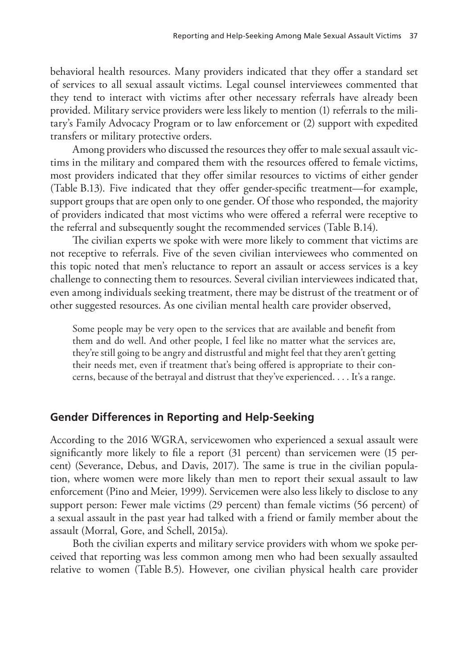behavioral health resources. Many providers indicated that they offer a standard set of services to all sexual assault victims. Legal counsel interviewees commented that they tend to interact with victims after other necessary referrals have already been provided. Military service providers were less likely to mention (1) referrals to the military's Family Advocacy Program or to law enforcement or (2) support with expedited transfers or military protective orders.

Among providers who discussed the resources they offer to male sexual assault victims in the military and compared them with the resources offered to female victims, most providers indicated that they offer similar resources to victims of either gender (Table B.13). Five indicated that they offer gender-specific treatment—for example, support groups that are open only to one gender. Of those who responded, the majority of providers indicated that most victims who were offered a referral were receptive to the referral and subsequently sought the recommended services (Table B.14).

The civilian experts we spoke with were more likely to comment that victims are not receptive to referrals. Five of the seven civilian interviewees who commented on this topic noted that men's reluctance to report an assault or access services is a key challenge to connecting them to resources. Several civilian interviewees indicated that, even among individuals seeking treatment, there may be distrust of the treatment or of other suggested resources. As one civilian mental health care provider observed,

Some people may be very open to the services that are available and benefit from them and do well. And other people, I feel like no matter what the services are, they're still going to be angry and distrustful and might feel that they aren't getting their needs met, even if treatment that's being offered is appropriate to their concerns, because of the betrayal and distrust that they've experienced. . . . It's a range.

## **Gender Differences in Reporting and Help-Seeking**

According to the 2016 WGRA, servicewomen who experienced a sexual assault were significantly more likely to file a report (31 percent) than servicemen were (15 percent) (Severance, Debus, and Davis, 2017). The same is true in the civilian population, where women were more likely than men to report their sexual assault to law enforcement (Pino and Meier, 1999). Servicemen were also less likely to disclose to any support person: Fewer male victims (29 percent) than female victims (56 percent) of a sexual assault in the past year had talked with a friend or family member about the assault (Morral, Gore, and Schell, 2015a).

Both the civilian experts and military service providers with whom we spoke perceived that reporting was less common among men who had been sexually assaulted relative to women (Table B.5). However, one civilian physical health care provider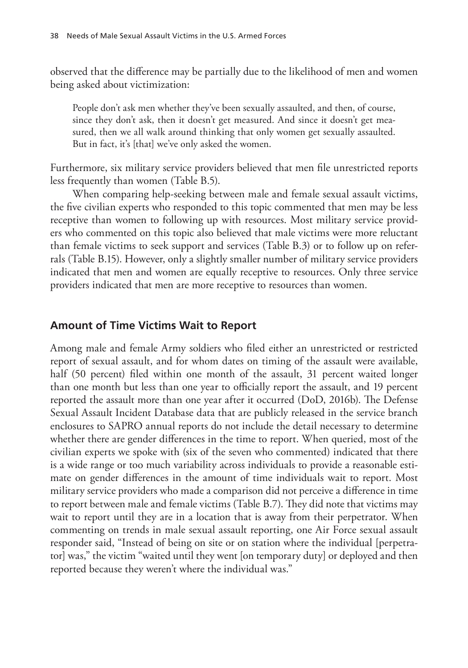observed that the difference may be partially due to the likelihood of men and women being asked about victimization:

People don't ask men whether they've been sexually assaulted, and then, of course, since they don't ask, then it doesn't get measured. And since it doesn't get measured, then we all walk around thinking that only women get sexually assaulted. But in fact, it's [that] we've only asked the women.

Furthermore, six military service providers believed that men file unrestricted reports less frequently than women (Table B.5).

When comparing help-seeking between male and female sexual assault victims, the five civilian experts who responded to this topic commented that men may be less receptive than women to following up with resources. Most military service providers who commented on this topic also believed that male victims were more reluctant than female victims to seek support and services (Table B.3) or to follow up on referrals (Table B.15). However, only a slightly smaller number of military service providers indicated that men and women are equally receptive to resources. Only three service providers indicated that men are more receptive to resources than women.

## **Amount of Time Victims Wait to Report**

Among male and female Army soldiers who filed either an unrestricted or restricted report of sexual assault, and for whom dates on timing of the assault were available, half (50 percent) filed within one month of the assault, 31 percent waited longer than one month but less than one year to officially report the assault, and 19 percent reported the assault more than one year after it occurred (DoD, 2016b). The Defense Sexual Assault Incident Database data that are publicly released in the service branch enclosures to SAPRO annual reports do not include the detail necessary to determine whether there are gender differences in the time to report. When queried, most of the civilian experts we spoke with (six of the seven who commented) indicated that there is a wide range or too much variability across individuals to provide a reasonable estimate on gender differences in the amount of time individuals wait to report. Most military service providers who made a comparison did not perceive a difference in time to report between male and female victims (Table B.7). They did note that victims may wait to report until they are in a location that is away from their perpetrator. When commenting on trends in male sexual assault reporting, one Air Force sexual assault responder said, "Instead of being on site or on station where the individual [perpetrator] was," the victim "waited until they went [on temporary duty] or deployed and then reported because they weren't where the individual was."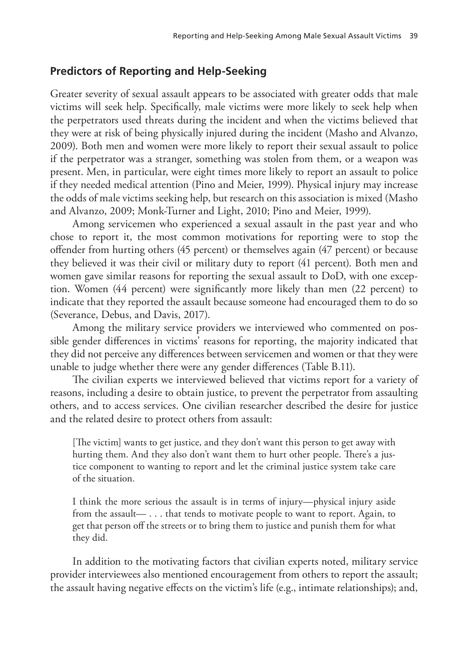## **Predictors of Reporting and Help-Seeking**

Greater severity of sexual assault appears to be associated with greater odds that male victims will seek help. Specifically, male victims were more likely to seek help when the perpetrators used threats during the incident and when the victims believed that they were at risk of being physically injured during the incident (Masho and Alvanzo, 2009). Both men and women were more likely to report their sexual assault to police if the perpetrator was a stranger, something was stolen from them, or a weapon was present. Men, in particular, were eight times more likely to report an assault to police if they needed medical attention (Pino and Meier, 1999). Physical injury may increase the odds of male victims seeking help, but research on this association is mixed (Masho and Alvanzo, 2009; Monk-Turner and Light, 2010; Pino and Meier, 1999).

Among servicemen who experienced a sexual assault in the past year and who chose to report it, the most common motivations for reporting were to stop the offender from hurting others (45 percent) or themselves again (47 percent) or because they believed it was their civil or military duty to report (41 percent). Both men and women gave similar reasons for reporting the sexual assault to DoD, with one exception. Women (44 percent) were significantly more likely than men (22 percent) to indicate that they reported the assault because someone had encouraged them to do so (Severance, Debus, and Davis, 2017).

Among the military service providers we interviewed who commented on possible gender differences in victims' reasons for reporting, the majority indicated that they did not perceive any differences between servicemen and women or that they were unable to judge whether there were any gender differences (Table B.11).

The civilian experts we interviewed believed that victims report for a variety of reasons, including a desire to obtain justice, to prevent the perpetrator from assaulting others, and to access services. One civilian researcher described the desire for justice and the related desire to protect others from assault:

[The victim] wants to get justice, and they don't want this person to get away with hurting them. And they also don't want them to hurt other people. There's a justice component to wanting to report and let the criminal justice system take care of the situation.

I think the more serious the assault is in terms of injury—physical injury aside from the assault— . . . that tends to motivate people to want to report. Again, to get that person off the streets or to bring them to justice and punish them for what they did.

In addition to the motivating factors that civilian experts noted, military service provider interviewees also mentioned encouragement from others to report the assault; the assault having negative effects on the victim's life (e.g., intimate relationships); and,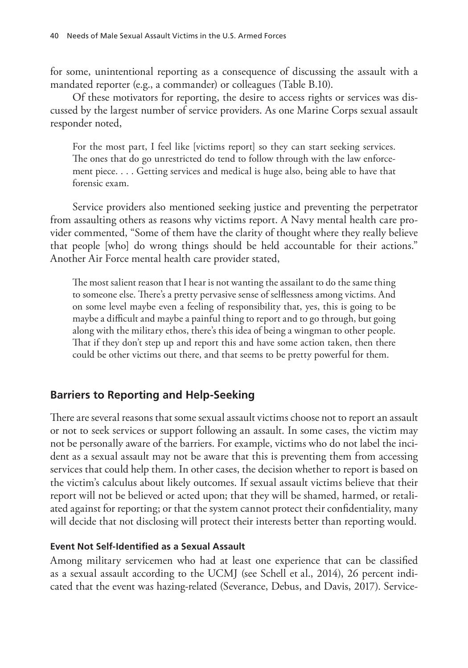for some, unintentional reporting as a consequence of discussing the assault with a mandated reporter (e.g., a commander) or colleagues (Table B.10).

Of these motivators for reporting, the desire to access rights or services was discussed by the largest number of service providers. As one Marine Corps sexual assault responder noted,

For the most part, I feel like [victims report] so they can start seeking services. The ones that do go unrestricted do tend to follow through with the law enforcement piece. . . . Getting services and medical is huge also, being able to have that forensic exam.

Service providers also mentioned seeking justice and preventing the perpetrator from assaulting others as reasons why victims report. A Navy mental health care provider commented, "Some of them have the clarity of thought where they really believe that people [who] do wrong things should be held accountable for their actions." Another Air Force mental health care provider stated,

The most salient reason that I hear is not wanting the assailant to do the same thing to someone else. There's a pretty pervasive sense of selflessness among victims. And on some level maybe even a feeling of responsibility that, yes, this is going to be maybe a difficult and maybe a painful thing to report and to go through, but going along with the military ethos, there's this idea of being a wingman to other people. That if they don't step up and report this and have some action taken, then there could be other victims out there, and that seems to be pretty powerful for them.

## **Barriers to Reporting and Help-Seeking**

There are several reasons that some sexual assault victims choose not to report an assault or not to seek services or support following an assault. In some cases, the victim may not be personally aware of the barriers. For example, victims who do not label the incident as a sexual assault may not be aware that this is preventing them from accessing services that could help them. In other cases, the decision whether to report is based on the victim's calculus about likely outcomes. If sexual assault victims believe that their report will not be believed or acted upon; that they will be shamed, harmed, or retaliated against for reporting; or that the system cannot protect their confidentiality, many will decide that not disclosing will protect their interests better than reporting would.

#### **Event Not Self-Identified as a Sexual Assault**

Among military servicemen who had at least one experience that can be classified as a sexual assault according to the UCMJ (see Schell et al., 2014), 26 percent indicated that the event was hazing-related (Severance, Debus, and Davis, 2017). Service-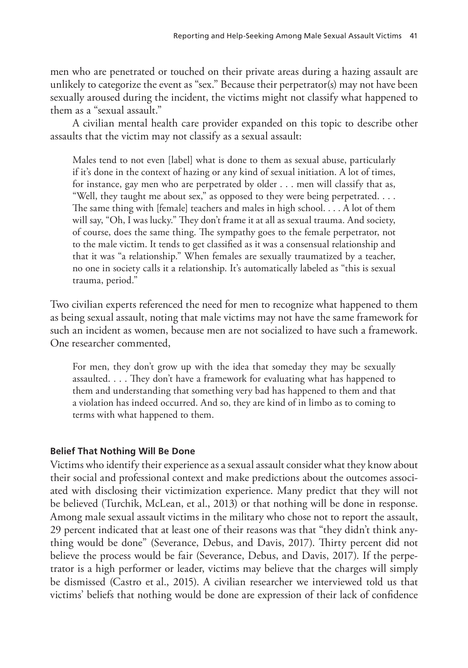men who are penetrated or touched on their private areas during a hazing assault are unlikely to categorize the event as "sex." Because their perpetrator(s) may not have been sexually aroused during the incident, the victims might not classify what happened to them as a "sexual assault."

A civilian mental health care provider expanded on this topic to describe other assaults that the victim may not classify as a sexual assault:

Males tend to not even [label] what is done to them as sexual abuse, particularly if it's done in the context of hazing or any kind of sexual initiation. A lot of times, for instance, gay men who are perpetrated by older . . . men will classify that as, "Well, they taught me about sex," as opposed to they were being perpetrated. . . . The same thing with [female] teachers and males in high school. . . . A lot of them will say, "Oh, I was lucky." They don't frame it at all as sexual trauma. And society, of course, does the same thing. The sympathy goes to the female perpetrator, not to the male victim. It tends to get classified as it was a consensual relationship and that it was "a relationship." When females are sexually traumatized by a teacher, no one in society calls it a relationship. It's automatically labeled as "this is sexual trauma, period."

Two civilian experts referenced the need for men to recognize what happened to them as being sexual assault, noting that male victims may not have the same framework for such an incident as women, because men are not socialized to have such a framework. One researcher commented,

For men, they don't grow up with the idea that someday they may be sexually assaulted. . . . They don't have a framework for evaluating what has happened to them and understanding that something very bad has happened to them and that a violation has indeed occurred. And so, they are kind of in limbo as to coming to terms with what happened to them.

## **Belief That Nothing Will Be Done**

Victims who identify their experience as a sexual assault consider what they know about their social and professional context and make predictions about the outcomes associated with disclosing their victimization experience. Many predict that they will not be believed (Turchik, McLean, et al., 2013) or that nothing will be done in response. Among male sexual assault victims in the military who chose not to report the assault, 29 percent indicated that at least one of their reasons was that "they didn't think anything would be done" (Severance, Debus, and Davis, 2017). Thirty percent did not believe the process would be fair (Severance, Debus, and Davis, 2017). If the perpetrator is a high performer or leader, victims may believe that the charges will simply be dismissed (Castro et al., 2015). A civilian researcher we interviewed told us that victims' beliefs that nothing would be done are expression of their lack of confidence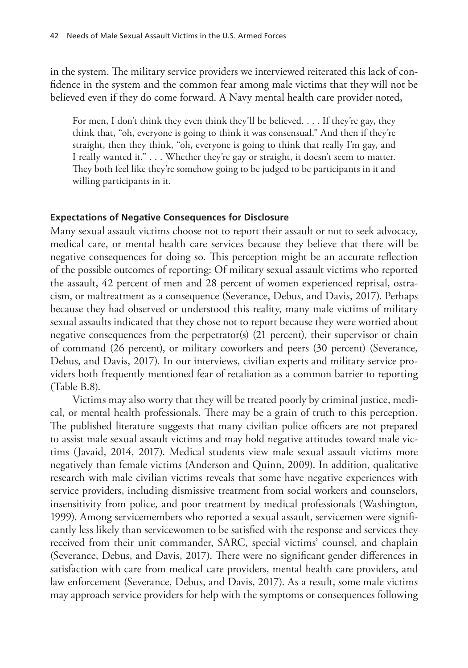in the system. The military service providers we interviewed reiterated this lack of confidence in the system and the common fear among male victims that they will not be believed even if they do come forward. A Navy mental health care provider noted,

For men, I don't think they even think they'll be believed. . . . If they're gay, they think that, "oh, everyone is going to think it was consensual." And then if they're straight, then they think, "oh, everyone is going to think that really I'm gay, and I really wanted it." . . . Whether they're gay or straight, it doesn't seem to matter. They both feel like they're somehow going to be judged to be participants in it and willing participants in it.

#### **Expectations of Negative Consequences for Disclosure**

Many sexual assault victims choose not to report their assault or not to seek advocacy, medical care, or mental health care services because they believe that there will be negative consequences for doing so. This perception might be an accurate reflection of the possible outcomes of reporting: Of military sexual assault victims who reported the assault, 42 percent of men and 28 percent of women experienced reprisal, ostracism, or maltreatment as a consequence (Severance, Debus, and Davis, 2017). Perhaps because they had observed or understood this reality, many male victims of military sexual assaults indicated that they chose not to report because they were worried about negative consequences from the perpetrator(s) (21 percent), their supervisor or chain of command (26 percent), or military coworkers and peers (30 percent) (Severance, Debus, and Davis, 2017). In our interviews, civilian experts and military service providers both frequently mentioned fear of retaliation as a common barrier to reporting (Table B.8).

Victims may also worry that they will be treated poorly by criminal justice, medical, or mental health professionals. There may be a grain of truth to this perception. The published literature suggests that many civilian police officers are not prepared to assist male sexual assault victims and may hold negative attitudes toward male victims (Javaid, 2014, 2017). Medical students view male sexual assault victims more negatively than female victims (Anderson and Quinn, 2009). In addition, qualitative research with male civilian victims reveals that some have negative experiences with service providers, including dismissive treatment from social workers and counselors, insensitivity from police, and poor treatment by medical professionals (Washington, 1999). Among servicemembers who reported a sexual assault, servicemen were significantly less likely than servicewomen to be satisfied with the response and services they received from their unit commander, SARC, special victims' counsel, and chaplain (Severance, Debus, and Davis, 2017). There were no significant gender differences in satisfaction with care from medical care providers, mental health care providers, and law enforcement (Severance, Debus, and Davis, 2017). As a result, some male victims may approach service providers for help with the symptoms or consequences following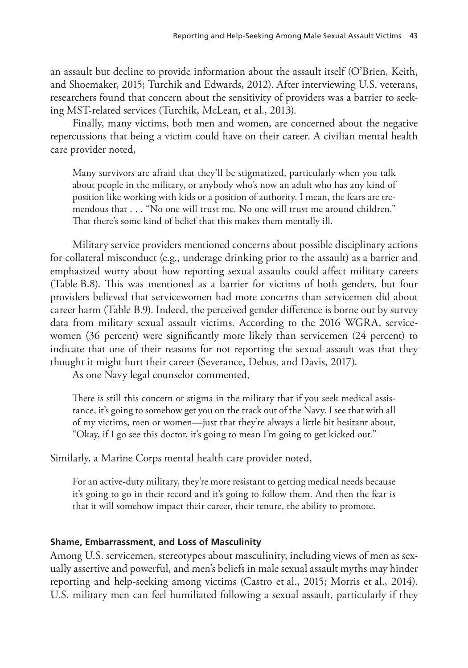an assault but decline to provide information about the assault itself (O'Brien, Keith, and Shoemaker, 2015; Turchik and Edwards, 2012). After interviewing U.S. veterans, researchers found that concern about the sensitivity of providers was a barrier to seeking MST-related services (Turchik, McLean, et al., 2013).

Finally, many victims, both men and women, are concerned about the negative repercussions that being a victim could have on their career. A civilian mental health care provider noted,

Many survivors are afraid that they'll be stigmatized, particularly when you talk about people in the military, or anybody who's now an adult who has any kind of position like working with kids or a position of authority. I mean, the fears are tremendous that . . . "No one will trust me. No one will trust me around children." That there's some kind of belief that this makes them mentally ill.

Military service providers mentioned concerns about possible disciplinary actions for collateral misconduct (e.g., underage drinking prior to the assault) as a barrier and emphasized worry about how reporting sexual assaults could affect military careers (Table B.8). This was mentioned as a barrier for victims of both genders, but four providers believed that servicewomen had more concerns than servicemen did about career harm (Table B.9). Indeed, the perceived gender difference is borne out by survey data from military sexual assault victims. According to the 2016 WGRA, servicewomen (36 percent) were significantly more likely than servicemen (24 percent) to indicate that one of their reasons for not reporting the sexual assault was that they thought it might hurt their career (Severance, Debus, and Davis, 2017).

As one Navy legal counselor commented,

There is still this concern or stigma in the military that if you seek medical assistance, it's going to somehow get you on the track out of the Navy. I see that with all of my victims, men or women—just that they're always a little bit hesitant about, "Okay, if I go see this doctor, it's going to mean I'm going to get kicked out."

Similarly, a Marine Corps mental health care provider noted,

For an active-duty military, they're more resistant to getting medical needs because it's going to go in their record and it's going to follow them. And then the fear is that it will somehow impact their career, their tenure, the ability to promote.

## **Shame, Embarrassment, and Loss of Masculinity**

Among U.S. servicemen, stereotypes about masculinity, including views of men as sexually assertive and powerful, and men's beliefs in male sexual assault myths may hinder reporting and help-seeking among victims (Castro et al., 2015; Morris et al., 2014). U.S. military men can feel humiliated following a sexual assault, particularly if they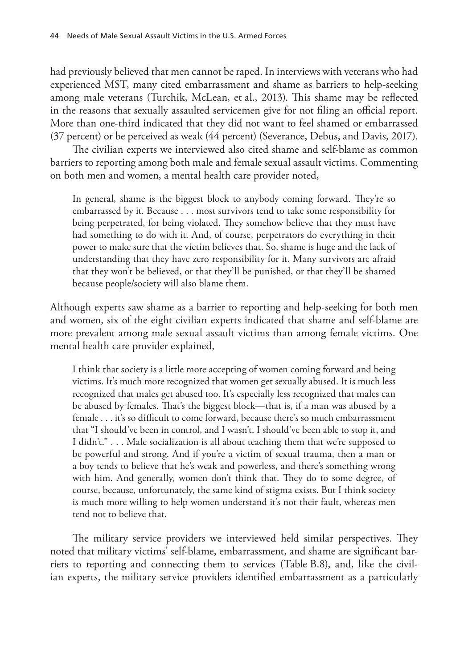had previously believed that men cannot be raped. In interviews with veterans who had experienced MST, many cited embarrassment and shame as barriers to help-seeking among male veterans (Turchik, McLean, et al., 2013). This shame may be reflected in the reasons that sexually assaulted servicemen give for not filing an official report. More than one-third indicated that they did not want to feel shamed or embarrassed (37 percent) or be perceived as weak (44 percent) (Severance, Debus, and Davis, 2017).

The civilian experts we interviewed also cited shame and self-blame as common barriers to reporting among both male and female sexual assault victims. Commenting on both men and women, a mental health care provider noted,

In general, shame is the biggest block to anybody coming forward. They're so embarrassed by it. Because . . . most survivors tend to take some responsibility for being perpetrated, for being violated. They somehow believe that they must have had something to do with it. And, of course, perpetrators do everything in their power to make sure that the victim believes that. So, shame is huge and the lack of understanding that they have zero responsibility for it. Many survivors are afraid that they won't be believed, or that they'll be punished, or that they'll be shamed because people/society will also blame them.

Although experts saw shame as a barrier to reporting and help-seeking for both men and women, six of the eight civilian experts indicated that shame and self-blame are more prevalent among male sexual assault victims than among female victims. One mental health care provider explained,

I think that society is a little more accepting of women coming forward and being victims. It's much more recognized that women get sexually abused. It is much less recognized that males get abused too. It's especially less recognized that males can be abused by females. That's the biggest block—that is, if a man was abused by a female . . . it's so difficult to come forward, because there's so much embarrassment that "I should've been in control, and I wasn't. I should've been able to stop it, and I didn't." . . . Male socialization is all about teaching them that we're supposed to be powerful and strong. And if you're a victim of sexual trauma, then a man or a boy tends to believe that he's weak and powerless, and there's something wrong with him. And generally, women don't think that. They do to some degree, of course, because, unfortunately, the same kind of stigma exists. But I think society is much more willing to help women understand it's not their fault, whereas men tend not to believe that.

The military service providers we interviewed held similar perspectives. They noted that military victims' self-blame, embarrassment, and shame are significant barriers to reporting and connecting them to services (Table B.8), and, like the civilian experts, the military service providers identified embarrassment as a particularly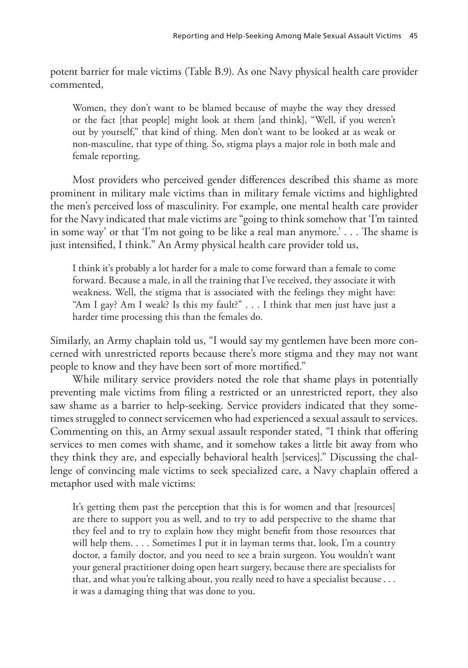potent barrier for male victims (Table B.9). As one Navy physical health care provider commented,

Women, they don't want to be blamed because of maybe the way they dressed or the fact [that people] might look at them [and think], "Well, if you weren't out by yourself," that kind of thing. Men don't want to be looked at as weak or non-masculine, that type of thing. So, stigma plays a major role in both male and female reporting.

Most providers who perceived gender differences described this shame as more prominent in military male victims than in military female victims and highlighted the men's perceived loss of masculinity. For example, one mental health care provider for the Navy indicated that male victims are "going to think somehow that 'I'm tainted in some way' or that 'I'm not going to be like a real man anymore.' . . . The shame is just intensified, I think." An Army physical health care provider told us,

I think it's probably a lot harder for a male to come forward than a female to come forward. Because a male, in all the training that I've received, they associate it with weakness. Well, the stigma that is associated with the feelings they might have: "Am I gay? Am I weak? Is this my fault?" . . . I think that men just have just a harder time processing this than the females do.

Similarly, an Army chaplain told us, "I would say my gentlemen have been more concerned with unrestricted reports because there's more stigma and they may not want people to know and they have been sort of more mortified."

While military service providers noted the role that shame plays in potentially preventing male victims from filing a restricted or an unrestricted report, they also saw shame as a barrier to help-seeking. Service providers indicated that they sometimes struggled to connect servicemen who had experienced a sexual assault to services. Commenting on this, an Army sexual assault responder stated, "I think that offering services to men comes with shame, and it somehow takes a little bit away from who they think they are, and especially behavioral health [services]." Discussing the challenge of convincing male victims to seek specialized care, a Navy chaplain offered a metaphor used with male victims:

It's getting them past the perception that this is for women and that [resources] are there to support you as well, and to try to add perspective to the shame that they feel and to try to explain how they might benefit from those resources that will help them. . . . Sometimes I put it in layman terms that, look, I'm a country doctor, a family doctor, and you need to see a brain surgeon. You wouldn't want your general practitioner doing open heart surgery, because there are specialists for that, and what you're talking about, you really need to have a specialist because . . . it was a damaging thing that was done to you.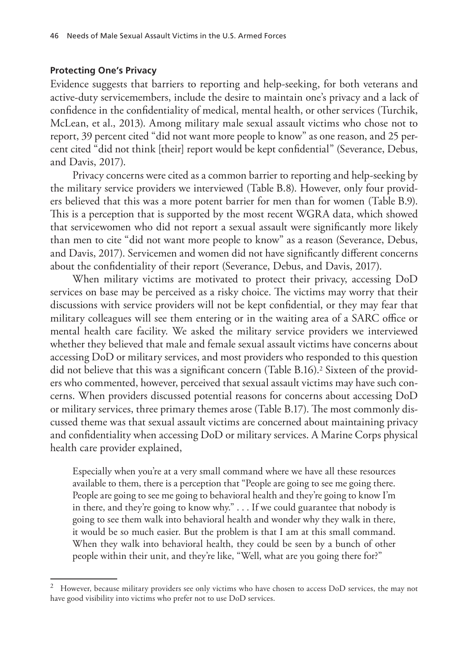#### **Protecting One's Privacy**

Evidence suggests that barriers to reporting and help-seeking, for both veterans and active-duty servicemembers, include the desire to maintain one's privacy and a lack of confidence in the confidentiality of medical, mental health, or other services (Turchik, McLean, et al., 2013). Among military male sexual assault victims who chose not to report, 39 percent cited "did not want more people to know" as one reason, and 25 percent cited "did not think [their] report would be kept confidential" (Severance, Debus, and Davis, 2017).

Privacy concerns were cited as a common barrier to reporting and help-seeking by the military service providers we interviewed (Table B.8). However, only four providers believed that this was a more potent barrier for men than for women (Table B.9). This is a perception that is supported by the most recent WGRA data, which showed that servicewomen who did not report a sexual assault were significantly more likely than men to cite "did not want more people to know" as a reason (Severance, Debus, and Davis, 2017). Servicemen and women did not have significantly different concerns about the confidentiality of their report (Severance, Debus, and Davis, 2017).

When military victims are motivated to protect their privacy, accessing DoD services on base may be perceived as a risky choice. The victims may worry that their discussions with service providers will not be kept confidential, or they may fear that military colleagues will see them entering or in the waiting area of a SARC office or mental health care facility. We asked the military service providers we interviewed whether they believed that male and female sexual assault victims have concerns about accessing DoD or military services, and most providers who responded to this question did not believe that this was a significant concern (Table B.16).<sup>2</sup> Sixteen of the providers who commented, however, perceived that sexual assault victims may have such concerns. When providers discussed potential reasons for concerns about accessing DoD or military services, three primary themes arose (Table B.17). The most commonly discussed theme was that sexual assault victims are concerned about maintaining privacy and confidentiality when accessing DoD or military services. A Marine Corps physical health care provider explained,

Especially when you're at a very small command where we have all these resources available to them, there is a perception that "People are going to see me going there. People are going to see me going to behavioral health and they're going to know I'm in there, and they're going to know why." . . . If we could guarantee that nobody is going to see them walk into behavioral health and wonder why they walk in there, it would be so much easier. But the problem is that I am at this small command. When they walk into behavioral health, they could be seen by a bunch of other people within their unit, and they're like, "Well, what are you going there for?"

<sup>2</sup> However, because military providers see only victims who have chosen to access DoD services, the may not have good visibility into victims who prefer not to use DoD services.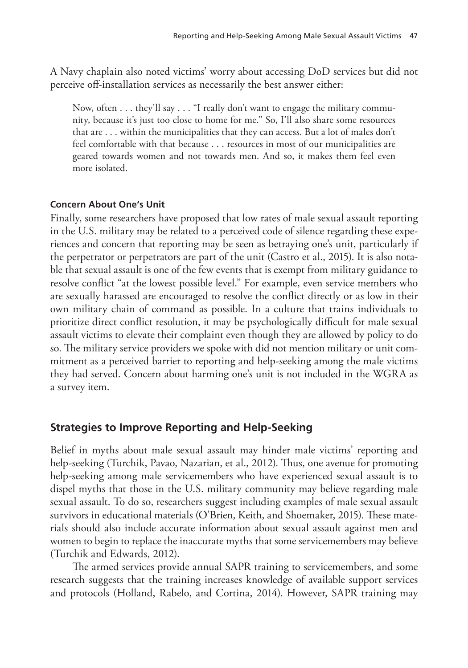A Navy chaplain also noted victims' worry about accessing DoD services but did not perceive off-installation services as necessarily the best answer either:

Now, often . . . they'll say . . . "I really don't want to engage the military community, because it's just too close to home for me." So, I'll also share some resources that are . . . within the municipalities that they can access. But a lot of males don't feel comfortable with that because . . . resources in most of our municipalities are geared towards women and not towards men. And so, it makes them feel even more isolated.

#### **Concern About One's Unit**

Finally, some researchers have proposed that low rates of male sexual assault reporting in the U.S. military may be related to a perceived code of silence regarding these experiences and concern that reporting may be seen as betraying one's unit, particularly if the perpetrator or perpetrators are part of the unit (Castro et al., 2015). It is also notable that sexual assault is one of the few events that is exempt from military guidance to resolve conflict "at the lowest possible level." For example, even service members who are sexually harassed are encouraged to resolve the conflict directly or as low in their own military chain of command as possible. In a culture that trains individuals to prioritize direct conflict resolution, it may be psychologically difficult for male sexual assault victims to elevate their complaint even though they are allowed by policy to do so. The military service providers we spoke with did not mention military or unit commitment as a perceived barrier to reporting and help-seeking among the male victims they had served. Concern about harming one's unit is not included in the WGRA as a survey item.

### **Strategies to Improve Reporting and Help-Seeking**

Belief in myths about male sexual assault may hinder male victims' reporting and help-seeking (Turchik, Pavao, Nazarian, et al., 2012). Thus, one avenue for promoting help-seeking among male servicemembers who have experienced sexual assault is to dispel myths that those in the U.S. military community may believe regarding male sexual assault. To do so, researchers suggest including examples of male sexual assault survivors in educational materials (O'Brien, Keith, and Shoemaker, 2015). These materials should also include accurate information about sexual assault against men and women to begin to replace the inaccurate myths that some servicemembers may believe (Turchik and Edwards, 2012).

The armed services provide annual SAPR training to servicemembers, and some research suggests that the training increases knowledge of available support services and protocols (Holland, Rabelo, and Cortina, 2014). However, SAPR training may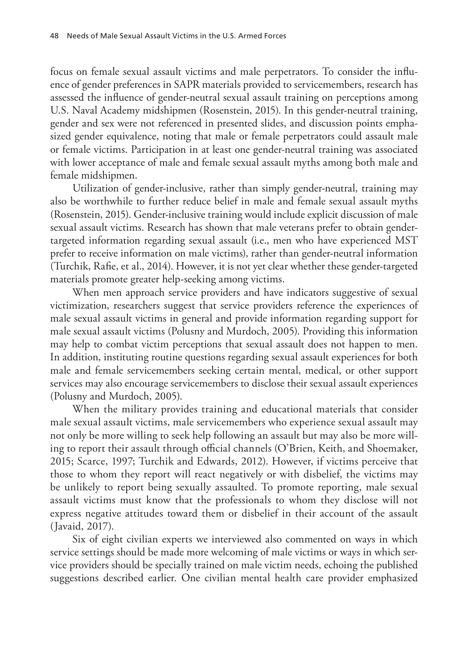focus on female sexual assault victims and male perpetrators. To consider the influence of gender preferences in SAPR materials provided to servicemembers, research has assessed the influence of gender-neutral sexual assault training on perceptions among U.S. Naval Academy midshipmen (Rosenstein, 2015). In this gender-neutral training, gender and sex were not referenced in presented slides, and discussion points emphasized gender equivalence, noting that male or female perpetrators could assault male or female victims. Participation in at least one gender-neutral training was associated with lower acceptance of male and female sexual assault myths among both male and female midshipmen.

Utilization of gender-inclusive, rather than simply gender-neutral, training may also be worthwhile to further reduce belief in male and female sexual assault myths (Rosenstein, 2015). Gender-inclusive training would include explicit discussion of male sexual assault victims. Research has shown that male veterans prefer to obtain gendertargeted information regarding sexual assault (i.e., men who have experienced MST prefer to receive information on male victims), rather than gender-neutral information (Turchik, Rafie, et al., 2014). However, it is not yet clear whether these gender-targeted materials promote greater help-seeking among victims.

When men approach service providers and have indicators suggestive of sexual victimization, researchers suggest that service providers reference the experiences of male sexual assault victims in general and provide information regarding support for male sexual assault victims (Polusny and Murdoch, 2005). Providing this information may help to combat victim perceptions that sexual assault does not happen to men. In addition, instituting routine questions regarding sexual assault experiences for both male and female servicemembers seeking certain mental, medical, or other support services may also encourage servicemembers to disclose their sexual assault experiences (Polusny and Murdoch, 2005).

When the military provides training and educational materials that consider male sexual assault victims, male servicemembers who experience sexual assault may not only be more willing to seek help following an assault but may also be more willing to report their assault through official channels (O'Brien, Keith, and Shoemaker, 2015; Scarce, 1997; Turchik and Edwards, 2012). However, if victims perceive that those to whom they report will react negatively or with disbelief, the victims may be unlikely to report being sexually assaulted. To promote reporting, male sexual assault victims must know that the professionals to whom they disclose will not express negative attitudes toward them or disbelief in their account of the assault (Javaid, 2017).

Six of eight civilian experts we interviewed also commented on ways in which service settings should be made more welcoming of male victims or ways in which service providers should be specially trained on male victim needs, echoing the published suggestions described earlier. One civilian mental health care provider emphasized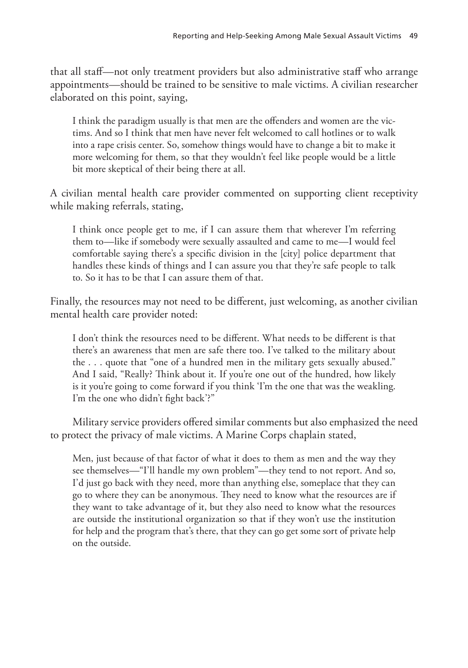that all staff—not only treatment providers but also administrative staff who arrange appointments—should be trained to be sensitive to male victims. A civilian researcher elaborated on this point, saying,

I think the paradigm usually is that men are the offenders and women are the victims. And so I think that men have never felt welcomed to call hotlines or to walk into a rape crisis center. So, somehow things would have to change a bit to make it more welcoming for them, so that they wouldn't feel like people would be a little bit more skeptical of their being there at all.

A civilian mental health care provider commented on supporting client receptivity while making referrals, stating,

I think once people get to me, if I can assure them that wherever I'm referring them to—like if somebody were sexually assaulted and came to me—I would feel comfortable saying there's a specific division in the [city] police department that handles these kinds of things and I can assure you that they're safe people to talk to. So it has to be that I can assure them of that.

Finally, the resources may not need to be different, just welcoming, as another civilian mental health care provider noted:

I don't think the resources need to be different. What needs to be different is that there's an awareness that men are safe there too. I've talked to the military about the . . . quote that "one of a hundred men in the military gets sexually abused." And I said, "Really? Think about it. If you're one out of the hundred, how likely is it you're going to come forward if you think 'I'm the one that was the weakling. I'm the one who didn't fight back'?"

Military service providers offered similar comments but also emphasized the need to protect the privacy of male victims. A Marine Corps chaplain stated,

Men, just because of that factor of what it does to them as men and the way they see themselves—"I'll handle my own problem"—they tend to not report. And so, I'd just go back with they need, more than anything else, someplace that they can go to where they can be anonymous. They need to know what the resources are if they want to take advantage of it, but they also need to know what the resources are outside the institutional organization so that if they won't use the institution for help and the program that's there, that they can go get some sort of private help on the outside.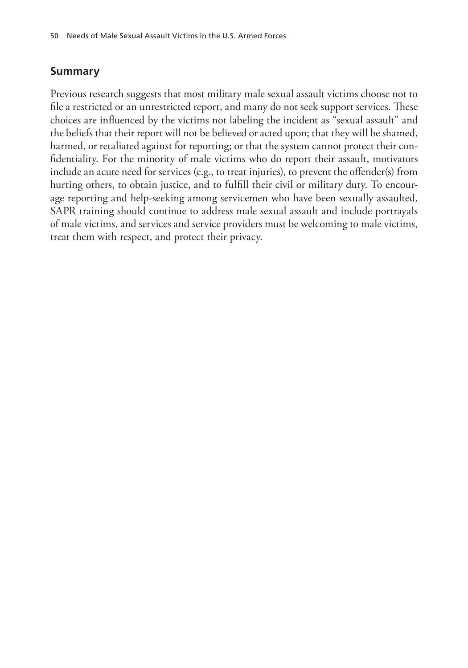#### **Summary**

Previous research suggests that most military male sexual assault victims choose not to file a restricted or an unrestricted report, and many do not seek support services. These choices are influenced by the victims not labeling the incident as "sexual assault" and the beliefs that their report will not be believed or acted upon; that they will be shamed, harmed, or retaliated against for reporting; or that the system cannot protect their confidentiality. For the minority of male victims who do report their assault, motivators include an acute need for services (e.g., to treat injuries), to prevent the offender(s) from hurting others, to obtain justice, and to fulfill their civil or military duty. To encourage reporting and help-seeking among servicemen who have been sexually assaulted, SAPR training should continue to address male sexual assault and include portrayals of male victims, and services and service providers must be welcoming to male victims, treat them with respect, and protect their privacy.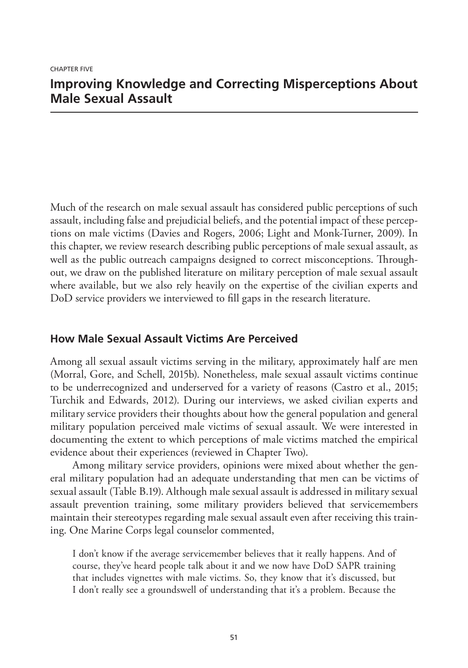## **Improving Knowledge and Correcting Misperceptions About Male Sexual Assault**

Much of the research on male sexual assault has considered public perceptions of such assault, including false and prejudicial beliefs, and the potential impact of these perceptions on male victims (Davies and Rogers, 2006; Light and Monk-Turner, 2009). In this chapter, we review research describing public perceptions of male sexual assault, as well as the public outreach campaigns designed to correct misconceptions. Throughout, we draw on the published literature on military perception of male sexual assault where available, but we also rely heavily on the expertise of the civilian experts and DoD service providers we interviewed to fill gaps in the research literature.

#### **How Male Sexual Assault Victims Are Perceived**

Among all sexual assault victims serving in the military, approximately half are men (Morral, Gore, and Schell, 2015b). Nonetheless, male sexual assault victims continue to be underrecognized and underserved for a variety of reasons (Castro et al., 2015; Turchik and Edwards, 2012). During our interviews, we asked civilian experts and military service providers their thoughts about how the general population and general military population perceived male victims of sexual assault. We were interested in documenting the extent to which perceptions of male victims matched the empirical evidence about their experiences (reviewed in Chapter Two).

Among military service providers, opinions were mixed about whether the general military population had an adequate understanding that men can be victims of sexual assault (Table B.19). Although male sexual assault is addressed in military sexual assault prevention training, some military providers believed that servicemembers maintain their stereotypes regarding male sexual assault even after receiving this training. One Marine Corps legal counselor commented,

I don't know if the average servicemember believes that it really happens. And of course, they've heard people talk about it and we now have DoD SAPR training that includes vignettes with male victims. So, they know that it's discussed, but I don't really see a groundswell of understanding that it's a problem. Because the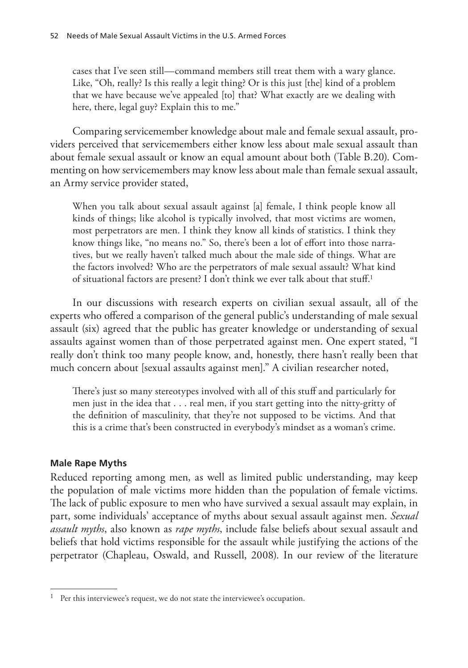cases that I've seen still—command members still treat them with a wary glance. Like, "Oh, really? Is this really a legit thing? Or is this just [the] kind of a problem that we have because we've appealed [to] that? What exactly are we dealing with here, there, legal guy? Explain this to me."

Comparing servicemember knowledge about male and female sexual assault, providers perceived that servicemembers either know less about male sexual assault than about female sexual assault or know an equal amount about both (Table B.20). Commenting on how servicemembers may know less about male than female sexual assault, an Army service provider stated,

When you talk about sexual assault against [a] female, I think people know all kinds of things; like alcohol is typically involved, that most victims are women, most perpetrators are men. I think they know all kinds of statistics. I think they know things like, "no means no." So, there's been a lot of effort into those narratives, but we really haven't talked much about the male side of things. What are the factors involved? Who are the perpetrators of male sexual assault? What kind of situational factors are present? I don't think we ever talk about that stuff.1

In our discussions with research experts on civilian sexual assault, all of the experts who offered a comparison of the general public's understanding of male sexual assault (six) agreed that the public has greater knowledge or understanding of sexual assaults against women than of those perpetrated against men. One expert stated, "I really don't think too many people know, and, honestly, there hasn't really been that much concern about [sexual assaults against men]." A civilian researcher noted,

There's just so many stereotypes involved with all of this stuff and particularly for men just in the idea that . . . real men, if you start getting into the nitty-gritty of the definition of masculinity, that they're not supposed to be victims. And that this is a crime that's been constructed in everybody's mindset as a woman's crime.

#### **Male Rape Myths**

Reduced reporting among men, as well as limited public understanding, may keep the population of male victims more hidden than the population of female victims. The lack of public exposure to men who have survived a sexual assault may explain, in part, some individuals' acceptance of myths about sexual assault against men. *Sexual assault myths*, also known as *rape myths*, include false beliefs about sexual assault and beliefs that hold victims responsible for the assault while justifying the actions of the perpetrator (Chapleau, Oswald, and Russell, 2008). In our review of the literature

 $1$  Per this interviewee's request, we do not state the interviewee's occupation.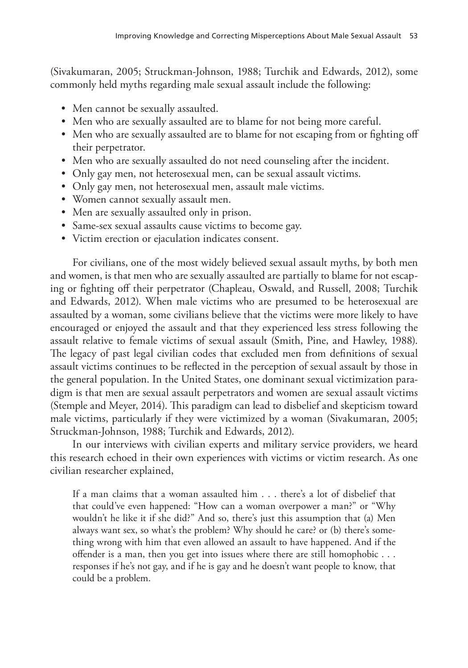(Sivakumaran, 2005; Struckman-Johnson, 1988; Turchik and Edwards, 2012), some commonly held myths regarding male sexual assault include the following:

- Men cannot be sexually assaulted.
- Men who are sexually assaulted are to blame for not being more careful.
- Men who are sexually assaulted are to blame for not escaping from or fighting off their perpetrator.
- Men who are sexually assaulted do not need counseling after the incident.
- Only gay men, not heterosexual men, can be sexual assault victims.
- Only gay men, not heterosexual men, assault male victims.
- Women cannot sexually assault men.
- Men are sexually assaulted only in prison.
- Same-sex sexual assaults cause victims to become gay.
- Victim erection or ejaculation indicates consent.

For civilians, one of the most widely believed sexual assault myths, by both men and women, is that men who are sexually assaulted are partially to blame for not escaping or fighting off their perpetrator (Chapleau, Oswald, and Russell, 2008; Turchik and Edwards, 2012). When male victims who are presumed to be heterosexual are assaulted by a woman, some civilians believe that the victims were more likely to have encouraged or enjoyed the assault and that they experienced less stress following the assault relative to female victims of sexual assault (Smith, Pine, and Hawley, 1988). The legacy of past legal civilian codes that excluded men from definitions of sexual assault victims continues to be reflected in the perception of sexual assault by those in the general population. In the United States, one dominant sexual victimization paradigm is that men are sexual assault perpetrators and women are sexual assault victims (Stemple and Meyer, 2014). This paradigm can lead to disbelief and skepticism toward male victims, particularly if they were victimized by a woman (Sivakumaran, 2005; Struckman-Johnson, 1988; Turchik and Edwards, 2012).

In our interviews with civilian experts and military service providers, we heard this research echoed in their own experiences with victims or victim research. As one civilian researcher explained,

If a man claims that a woman assaulted him . . . there's a lot of disbelief that that could've even happened: "How can a woman overpower a man?" or "Why wouldn't he like it if she did?" And so, there's just this assumption that (a) Men always want sex, so what's the problem? Why should he care? or (b) there's something wrong with him that even allowed an assault to have happened. And if the offender is a man, then you get into issues where there are still homophobic . . . responses if he's not gay, and if he is gay and he doesn't want people to know, that could be a problem.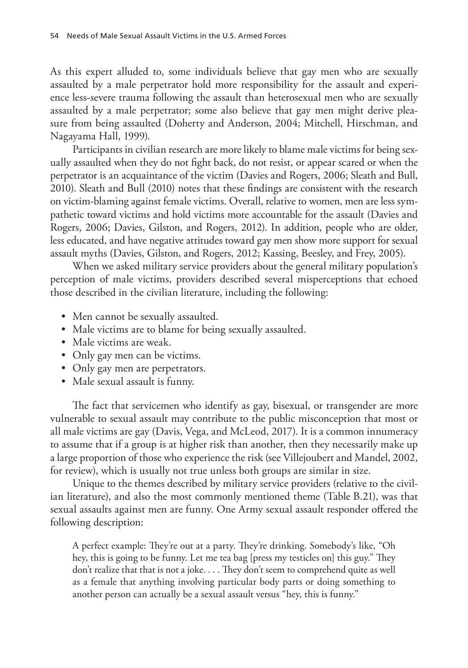As this expert alluded to, some individuals believe that gay men who are sexually assaulted by a male perpetrator hold more responsibility for the assault and experience less-severe trauma following the assault than heterosexual men who are sexually assaulted by a male perpetrator; some also believe that gay men might derive pleasure from being assaulted (Doherty and Anderson, 2004; Mitchell, Hirschman, and Nagayama Hall, 1999).

Participants in civilian research are more likely to blame male victims for being sexually assaulted when they do not fight back, do not resist, or appear scared or when the perpetrator is an acquaintance of the victim (Davies and Rogers, 2006; Sleath and Bull, 2010). Sleath and Bull (2010) notes that these findings are consistent with the research on victim-blaming against female victims. Overall, relative to women, men are less sympathetic toward victims and hold victims more accountable for the assault (Davies and Rogers, 2006; Davies, Gilston, and Rogers, 2012). In addition, people who are older, less educated, and have negative attitudes toward gay men show more support for sexual assault myths (Davies, Gilston, and Rogers, 2012; Kassing, Beesley, and Frey, 2005).

When we asked military service providers about the general military population's perception of male victims, providers described several misperceptions that echoed those described in the civilian literature, including the following:

- Men cannot be sexually assaulted.
- Male victims are to blame for being sexually assaulted.
- Male victims are weak.
- Only gay men can be victims.
- Only gay men are perpetrators.
- Male sexual assault is funny.

The fact that servicemen who identify as gay, bisexual, or transgender are more vulnerable to sexual assault may contribute to the public misconception that most or all male victims are gay (Davis, Vega, and McLeod, 2017). It is a common innumeracy to assume that if a group is at higher risk than another, then they necessarily make up a large proportion of those who experience the risk (see Villejoubert and Mandel, 2002, for review), which is usually not true unless both groups are similar in size.

Unique to the themes described by military service providers (relative to the civilian literature), and also the most commonly mentioned theme (Table B.21), was that sexual assaults against men are funny. One Army sexual assault responder offered the following description:

A perfect example: They're out at a party. They're drinking. Somebody's like, "Oh hey, this is going to be funny. Let me tea bag [press my testicles on] this guy." They don't realize that that is not a joke. . . . They don't seem to comprehend quite as well as a female that anything involving particular body parts or doing something to another person can actually be a sexual assault versus "hey, this is funny."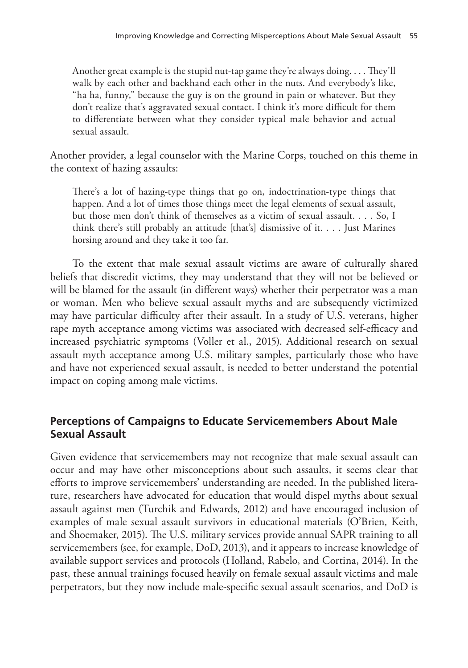Another great example is the stupid nut-tap game they're always doing. . . . They'll walk by each other and backhand each other in the nuts. And everybody's like, "ha ha, funny," because the guy is on the ground in pain or whatever. But they don't realize that's aggravated sexual contact. I think it's more difficult for them to differentiate between what they consider typical male behavior and actual sexual assault.

Another provider, a legal counselor with the Marine Corps, touched on this theme in the context of hazing assaults:

There's a lot of hazing-type things that go on, indoctrination-type things that happen. And a lot of times those things meet the legal elements of sexual assault, but those men don't think of themselves as a victim of sexual assault. . . . So, I think there's still probably an attitude [that's] dismissive of it. . . . Just Marines horsing around and they take it too far.

To the extent that male sexual assault victims are aware of culturally shared beliefs that discredit victims, they may understand that they will not be believed or will be blamed for the assault (in different ways) whether their perpetrator was a man or woman. Men who believe sexual assault myths and are subsequently victimized may have particular difficulty after their assault. In a study of U.S. veterans, higher rape myth acceptance among victims was associated with decreased self-efficacy and increased psychiatric symptoms (Voller et al., 2015). Additional research on sexual assault myth acceptance among U.S. military samples, particularly those who have and have not experienced sexual assault, is needed to better understand the potential impact on coping among male victims.

#### **Perceptions of Campaigns to Educate Servicemembers About Male Sexual Assault**

Given evidence that servicemembers may not recognize that male sexual assault can occur and may have other misconceptions about such assaults, it seems clear that efforts to improve servicemembers' understanding are needed. In the published literature, researchers have advocated for education that would dispel myths about sexual assault against men (Turchik and Edwards, 2012) and have encouraged inclusion of examples of male sexual assault survivors in educational materials (O'Brien, Keith, and Shoemaker, 2015). The U.S. military services provide annual SAPR training to all servicemembers (see, for example, DoD, 2013), and it appears to increase knowledge of available support services and protocols (Holland, Rabelo, and Cortina, 2014). In the past, these annual trainings focused heavily on female sexual assault victims and male perpetrators, but they now include male-specific sexual assault scenarios, and DoD is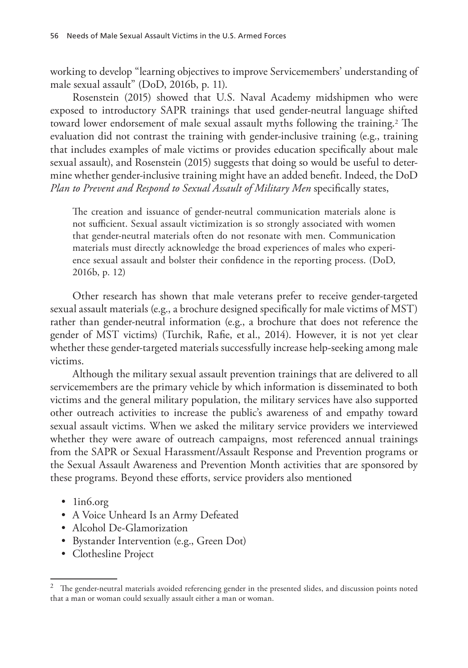working to develop "learning objectives to improve Servicemembers' understanding of male sexual assault" (DoD, 2016b, p. 11).

Rosenstein (2015) showed that U.S. Naval Academy midshipmen who were exposed to introductory SAPR trainings that used gender-neutral language shifted toward lower endorsement of male sexual assault myths following the training.2 The evaluation did not contrast the training with gender-inclusive training (e.g., training that includes examples of male victims or provides education specifically about male sexual assault), and Rosenstein (2015) suggests that doing so would be useful to determine whether gender-inclusive training might have an added benefit. Indeed, the DoD *Plan to Prevent and Respond to Sexual Assault of Military Men* specifically states,

The creation and issuance of gender-neutral communication materials alone is not sufficient. Sexual assault victimization is so strongly associated with women that gender-neutral materials often do not resonate with men. Communication materials must directly acknowledge the broad experiences of males who experience sexual assault and bolster their confidence in the reporting process. (DoD, 2016b, p. 12)

Other research has shown that male veterans prefer to receive gender-targeted sexual assault materials (e.g., a brochure designed specifically for male victims of MST) rather than gender-neutral information (e.g., a brochure that does not reference the gender of MST victims) (Turchik, Rafie, et al., 2014). However, it is not yet clear whether these gender-targeted materials successfully increase help-seeking among male victims.

Although the military sexual assault prevention trainings that are delivered to all servicemembers are the primary vehicle by which information is disseminated to both victims and the general military population, the military services have also supported other outreach activities to increase the public's awareness of and empathy toward sexual assault victims. When we asked the military service providers we interviewed whether they were aware of outreach campaigns, most referenced annual trainings from the SAPR or Sexual Harassment/Assault Response and Prevention programs or the Sexual Assault Awareness and Prevention Month activities that are sponsored by these programs. Beyond these efforts, service providers also mentioned

- lin6.org
- A Voice Unheard Is an Army Defeated
- Alcohol De-Glamorization
- Bystander Intervention (e.g., Green Dot)
- Clothesline Project

<sup>&</sup>lt;sup>2</sup> The gender-neutral materials avoided referencing gender in the presented slides, and discussion points noted that a man or woman could sexually assault either a man or woman.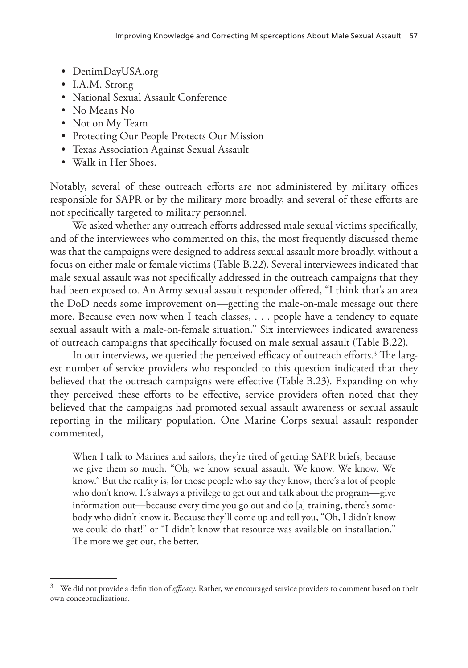- DenimDayUSA.org
- I.A.M. Strong
- National Sexual Assault Conference
- No Means No
- Not on My Team
- Protecting Our People Protects Our Mission
- Texas Association Against Sexual Assault
- Walk in Her Shoes.

Notably, several of these outreach efforts are not administered by military offices responsible for SAPR or by the military more broadly, and several of these efforts are not specifically targeted to military personnel.

We asked whether any outreach efforts addressed male sexual victims specifically, and of the interviewees who commented on this, the most frequently discussed theme was that the campaigns were designed to address sexual assault more broadly, without a focus on either male or female victims (Table B.22). Several interviewees indicated that male sexual assault was not specifically addressed in the outreach campaigns that they had been exposed to. An Army sexual assault responder offered, "I think that's an area the DoD needs some improvement on—getting the male-on-male message out there more. Because even now when I teach classes, . . . people have a tendency to equate sexual assault with a male-on-female situation." Six interviewees indicated awareness of outreach campaigns that specifically focused on male sexual assault (Table B.22).

In our interviews, we queried the perceived efficacy of outreach efforts.<sup>3</sup> The largest number of service providers who responded to this question indicated that they believed that the outreach campaigns were effective (Table B.23). Expanding on why they perceived these efforts to be effective, service providers often noted that they believed that the campaigns had promoted sexual assault awareness or sexual assault reporting in the military population. One Marine Corps sexual assault responder commented,

When I talk to Marines and sailors, they're tired of getting SAPR briefs, because we give them so much. "Oh, we know sexual assault. We know. We know. We know." But the reality is, for those people who say they know, there's a lot of people who don't know. It's always a privilege to get out and talk about the program—give information out—because every time you go out and do [a] training, there's somebody who didn't know it. Because they'll come up and tell you, "Oh, I didn't know we could do that!" or "I didn't know that resource was available on installation." The more we get out, the better.

<sup>3</sup> We did not provide a definition of *efficacy*. Rather, we encouraged service providers to comment based on their own conceptualizations.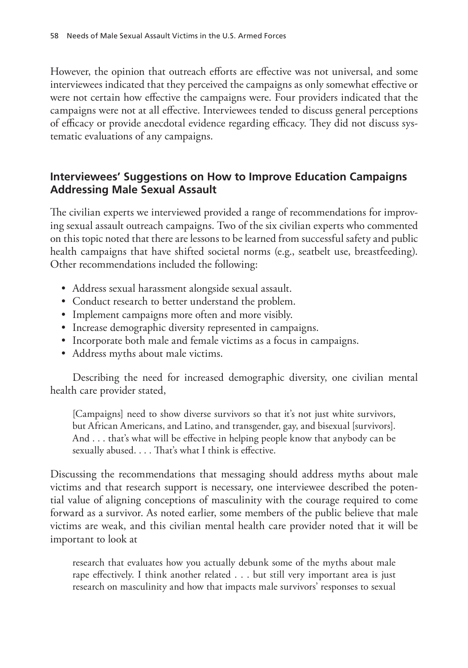However, the opinion that outreach efforts are effective was not universal, and some interviewees indicated that they perceived the campaigns as only somewhat effective or were not certain how effective the campaigns were. Four providers indicated that the campaigns were not at all effective. Interviewees tended to discuss general perceptions of efficacy or provide anecdotal evidence regarding efficacy. They did not discuss systematic evaluations of any campaigns.

#### **Interviewees' Suggestions on How to Improve Education Campaigns Addressing Male Sexual Assault**

The civilian experts we interviewed provided a range of recommendations for improving sexual assault outreach campaigns. Two of the six civilian experts who commented on this topic noted that there are lessons to be learned from successful safety and public health campaigns that have shifted societal norms (e.g., seatbelt use, breastfeeding). Other recommendations included the following:

- Address sexual harassment alongside sexual assault.
- Conduct research to better understand the problem.
- Implement campaigns more often and more visibly.
- Increase demographic diversity represented in campaigns.
- Incorporate both male and female victims as a focus in campaigns.
- Address myths about male victims.

Describing the need for increased demographic diversity, one civilian mental health care provider stated,

[Campaigns] need to show diverse survivors so that it's not just white survivors, but African Americans, and Latino, and transgender, gay, and bisexual [survivors]. And . . . that's what will be effective in helping people know that anybody can be sexually abused. . . . That's what I think is effective.

Discussing the recommendations that messaging should address myths about male victims and that research support is necessary, one interviewee described the potential value of aligning conceptions of masculinity with the courage required to come forward as a survivor. As noted earlier, some members of the public believe that male victims are weak, and this civilian mental health care provider noted that it will be important to look at

research that evaluates how you actually debunk some of the myths about male rape effectively. I think another related . . . but still very important area is just research on masculinity and how that impacts male survivors' responses to sexual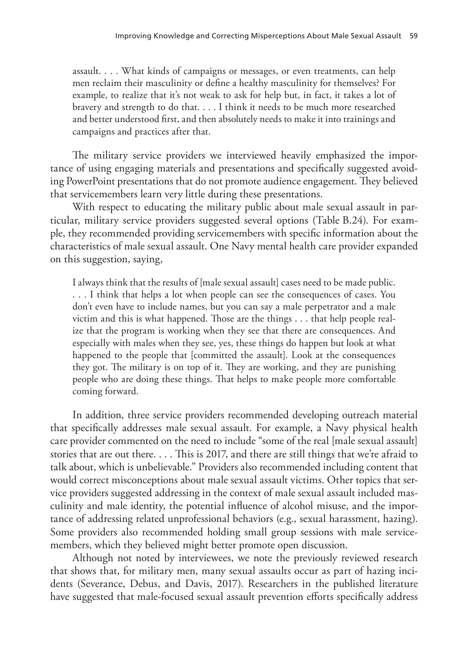assault. . . . What kinds of campaigns or messages, or even treatments, can help men reclaim their masculinity or define a healthy masculinity for themselves? For example, to realize that it's not weak to ask for help but, in fact, it takes a lot of bravery and strength to do that. . . . I think it needs to be much more researched and better understood first, and then absolutely needs to make it into trainings and campaigns and practices after that.

The military service providers we interviewed heavily emphasized the importance of using engaging materials and presentations and specifically suggested avoiding PowerPoint presentations that do not promote audience engagement. They believed that servicemembers learn very little during these presentations.

With respect to educating the military public about male sexual assault in particular, military service providers suggested several options (Table B.24). For example, they recommended providing servicemembers with specific information about the characteristics of male sexual assault. One Navy mental health care provider expanded on this suggestion, saying,

I always think that the results of [male sexual assault] cases need to be made public. . . . I think that helps a lot when people can see the consequences of cases. You don't even have to include names, but you can say a male perpetrator and a male victim and this is what happened. Those are the things . . . that help people realize that the program is working when they see that there are consequences. And especially with males when they see, yes, these things do happen but look at what happened to the people that [committed the assault]. Look at the consequences they got. The military is on top of it. They are working, and they are punishing people who are doing these things. That helps to make people more comfortable coming forward.

In addition, three service providers recommended developing outreach material that specifically addresses male sexual assault. For example, a Navy physical health care provider commented on the need to include "some of the real [male sexual assault] stories that are out there. . . . This is 2017, and there are still things that we're afraid to talk about, which is unbelievable." Providers also recommended including content that would correct misconceptions about male sexual assault victims. Other topics that service providers suggested addressing in the context of male sexual assault included masculinity and male identity, the potential influence of alcohol misuse, and the importance of addressing related unprofessional behaviors (e.g., sexual harassment, hazing). Some providers also recommended holding small group sessions with male servicemembers, which they believed might better promote open discussion.

Although not noted by interviewees, we note the previously reviewed research that shows that, for military men, many sexual assaults occur as part of hazing incidents (Severance, Debus, and Davis, 2017). Researchers in the published literature have suggested that male-focused sexual assault prevention efforts specifically address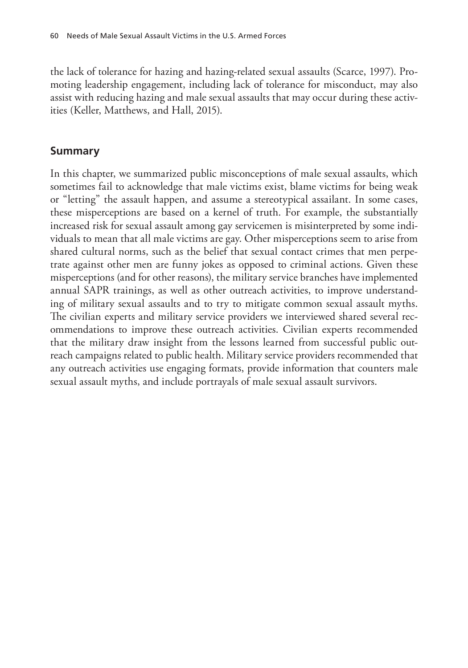the lack of tolerance for hazing and hazing-related sexual assaults (Scarce, 1997). Promoting leadership engagement, including lack of tolerance for misconduct, may also assist with reducing hazing and male sexual assaults that may occur during these activities (Keller, Matthews, and Hall, 2015).

#### **Summary**

In this chapter, we summarized public misconceptions of male sexual assaults, which sometimes fail to acknowledge that male victims exist, blame victims for being weak or "letting" the assault happen, and assume a stereotypical assailant. In some cases, these misperceptions are based on a kernel of truth. For example, the substantially increased risk for sexual assault among gay servicemen is misinterpreted by some individuals to mean that all male victims are gay. Other misperceptions seem to arise from shared cultural norms, such as the belief that sexual contact crimes that men perpetrate against other men are funny jokes as opposed to criminal actions. Given these misperceptions (and for other reasons), the military service branches have implemented annual SAPR trainings, as well as other outreach activities, to improve understanding of military sexual assaults and to try to mitigate common sexual assault myths. The civilian experts and military service providers we interviewed shared several recommendations to improve these outreach activities. Civilian experts recommended that the military draw insight from the lessons learned from successful public outreach campaigns related to public health. Military service providers recommended that any outreach activities use engaging formats, provide information that counters male sexual assault myths, and include portrayals of male sexual assault survivors.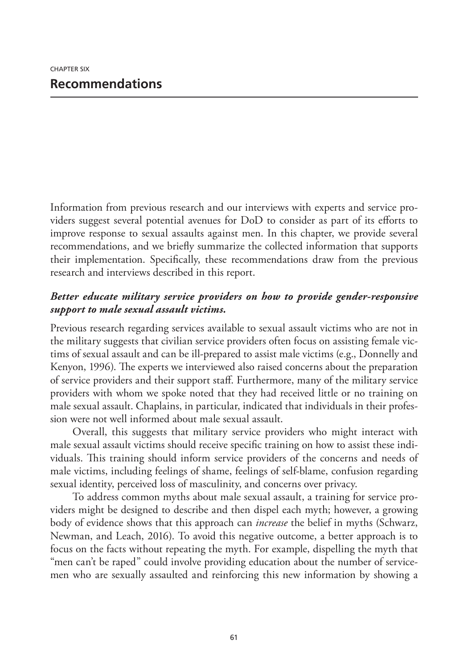Information from previous research and our interviews with experts and service providers suggest several potential avenues for DoD to consider as part of its efforts to improve response to sexual assaults against men. In this chapter, we provide several recommendations, and we briefly summarize the collected information that supports their implementation. Specifically, these recommendations draw from the previous research and interviews described in this report.

#### *Better educate military service providers on how to provide gender-responsive support to male sexual assault victims.*

Previous research regarding services available to sexual assault victims who are not in the military suggests that civilian service providers often focus on assisting female victims of sexual assault and can be ill-prepared to assist male victims (e.g., Donnelly and Kenyon, 1996). The experts we interviewed also raised concerns about the preparation of service providers and their support staff. Furthermore, many of the military service providers with whom we spoke noted that they had received little or no training on male sexual assault. Chaplains, in particular, indicated that individuals in their profession were not well informed about male sexual assault.

Overall, this suggests that military service providers who might interact with male sexual assault victims should receive specific training on how to assist these individuals. This training should inform service providers of the concerns and needs of male victims, including feelings of shame, feelings of self-blame, confusion regarding sexual identity, perceived loss of masculinity, and concerns over privacy.

To address common myths about male sexual assault, a training for service providers might be designed to describe and then dispel each myth; however, a growing body of evidence shows that this approach can *increase* the belief in myths (Schwarz, Newman, and Leach, 2016). To avoid this negative outcome, a better approach is to focus on the facts without repeating the myth. For example, dispelling the myth that "men can't be raped" could involve providing education about the number of servicemen who are sexually assaulted and reinforcing this new information by showing a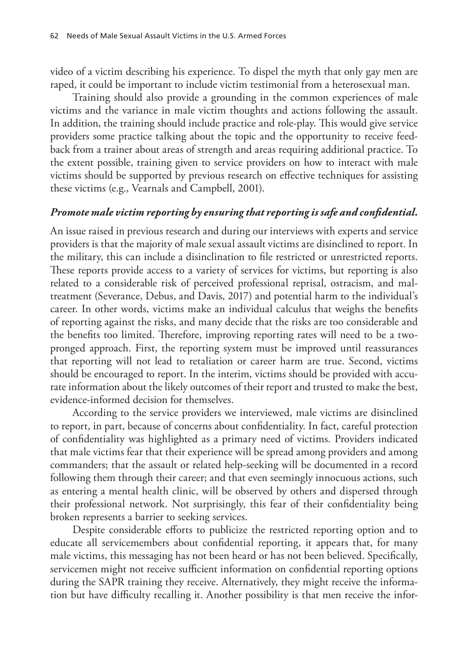video of a victim describing his experience. To dispel the myth that only gay men are raped, it could be important to include victim testimonial from a heterosexual man.

Training should also provide a grounding in the common experiences of male victims and the variance in male victim thoughts and actions following the assault. In addition, the training should include practice and role-play. This would give service providers some practice talking about the topic and the opportunity to receive feedback from a trainer about areas of strength and areas requiring additional practice. To the extent possible, training given to service providers on how to interact with male victims should be supported by previous research on effective techniques for assisting these victims (e.g., Vearnals and Campbell, 2001).

#### *Promote male victim reporting by ensuring that reporting is safe and confidential.*

An issue raised in previous research and during our interviews with experts and service providers is that the majority of male sexual assault victims are disinclined to report. In the military, this can include a disinclination to file restricted or unrestricted reports. These reports provide access to a variety of services for victims, but reporting is also related to a considerable risk of perceived professional reprisal, ostracism, and maltreatment (Severance, Debus, and Davis, 2017) and potential harm to the individual's career. In other words, victims make an individual calculus that weighs the benefits of reporting against the risks, and many decide that the risks are too considerable and the benefits too limited. Therefore, improving reporting rates will need to be a twopronged approach. First, the reporting system must be improved until reassurances that reporting will not lead to retaliation or career harm are true. Second, victims should be encouraged to report. In the interim, victims should be provided with accurate information about the likely outcomes of their report and trusted to make the best, evidence-informed decision for themselves.

According to the service providers we interviewed, male victims are disinclined to report, in part, because of concerns about confidentiality. In fact, careful protection of confidentiality was highlighted as a primary need of victims. Providers indicated that male victims fear that their experience will be spread among providers and among commanders; that the assault or related help-seeking will be documented in a record following them through their career; and that even seemingly innocuous actions, such as entering a mental health clinic, will be observed by others and dispersed through their professional network. Not surprisingly, this fear of their confidentiality being broken represents a barrier to seeking services.

Despite considerable efforts to publicize the restricted reporting option and to educate all servicemembers about confidential reporting, it appears that, for many male victims, this messaging has not been heard or has not been believed. Specifically, servicemen might not receive sufficient information on confidential reporting options during the SAPR training they receive. Alternatively, they might receive the information but have difficulty recalling it. Another possibility is that men receive the infor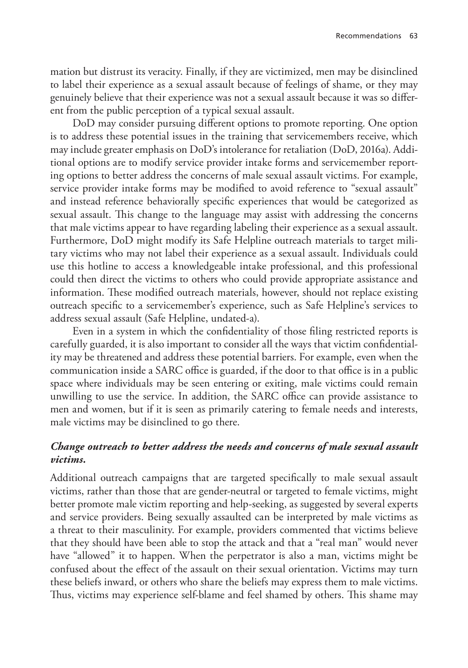mation but distrust its veracity. Finally, if they are victimized, men may be disinclined to label their experience as a sexual assault because of feelings of shame, or they may genuinely believe that their experience was not a sexual assault because it was so different from the public perception of a typical sexual assault.

DoD may consider pursuing different options to promote reporting. One option is to address these potential issues in the training that servicemembers receive, which may include greater emphasis on DoD's intolerance for retaliation (DoD, 2016a). Additional options are to modify service provider intake forms and servicemember reporting options to better address the concerns of male sexual assault victims. For example, service provider intake forms may be modified to avoid reference to "sexual assault" and instead reference behaviorally specific experiences that would be categorized as sexual assault. This change to the language may assist with addressing the concerns that male victims appear to have regarding labeling their experience as a sexual assault. Furthermore, DoD might modify its Safe Helpline outreach materials to target military victims who may not label their experience as a sexual assault. Individuals could use this hotline to access a knowledgeable intake professional, and this professional could then direct the victims to others who could provide appropriate assistance and information. These modified outreach materials, however, should not replace existing outreach specific to a servicemember's experience, such as Safe Helpline's services to address sexual assault (Safe Helpline, undated-a).

Even in a system in which the confidentiality of those filing restricted reports is carefully guarded, it is also important to consider all the ways that victim confidentiality may be threatened and address these potential barriers. For example, even when the communication inside a SARC office is guarded, if the door to that office is in a public space where individuals may be seen entering or exiting, male victims could remain unwilling to use the service. In addition, the SARC office can provide assistance to men and women, but if it is seen as primarily catering to female needs and interests, male victims may be disinclined to go there.

#### *Change outreach to better address the needs and concerns of male sexual assault victims.*

Additional outreach campaigns that are targeted specifically to male sexual assault victims, rather than those that are gender-neutral or targeted to female victims, might better promote male victim reporting and help-seeking, as suggested by several experts and service providers. Being sexually assaulted can be interpreted by male victims as a threat to their masculinity. For example, providers commented that victims believe that they should have been able to stop the attack and that a "real man" would never have "allowed" it to happen. When the perpetrator is also a man, victims might be confused about the effect of the assault on their sexual orientation. Victims may turn these beliefs inward, or others who share the beliefs may express them to male victims. Thus, victims may experience self-blame and feel shamed by others. This shame may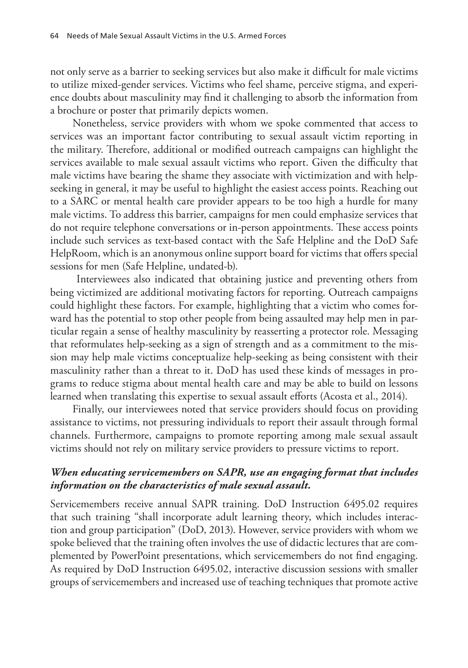not only serve as a barrier to seeking services but also make it difficult for male victims to utilize mixed-gender services. Victims who feel shame, perceive stigma, and experience doubts about masculinity may find it challenging to absorb the information from a brochure or poster that primarily depicts women.

Nonetheless, service providers with whom we spoke commented that access to services was an important factor contributing to sexual assault victim reporting in the military. Therefore, additional or modified outreach campaigns can highlight the services available to male sexual assault victims who report. Given the difficulty that male victims have bearing the shame they associate with victimization and with helpseeking in general, it may be useful to highlight the easiest access points. Reaching out to a SARC or mental health care provider appears to be too high a hurdle for many male victims. To address this barrier, campaigns for men could emphasize services that do not require telephone conversations or in-person appointments. These access points include such services as text-based contact with the Safe Helpline and the DoD Safe HelpRoom, which is an anonymous online support board for victims that offers special sessions for men (Safe Helpline, undated-b).

 Interviewees also indicated that obtaining justice and preventing others from being victimized are additional motivating factors for reporting. Outreach campaigns could highlight these factors. For example, highlighting that a victim who comes forward has the potential to stop other people from being assaulted may help men in particular regain a sense of healthy masculinity by reasserting a protector role. Messaging that reformulates help-seeking as a sign of strength and as a commitment to the mission may help male victims conceptualize help-seeking as being consistent with their masculinity rather than a threat to it. DoD has used these kinds of messages in programs to reduce stigma about mental health care and may be able to build on lessons learned when translating this expertise to sexual assault efforts (Acosta et al., 2014).

Finally, our interviewees noted that service providers should focus on providing assistance to victims, not pressuring individuals to report their assault through formal channels. Furthermore, campaigns to promote reporting among male sexual assault victims should not rely on military service providers to pressure victims to report.

#### *When educating servicemembers on SAPR, use an engaging format that includes information on the characteristics of male sexual assault.*

Servicemembers receive annual SAPR training. DoD Instruction 6495.02 requires that such training "shall incorporate adult learning theory, which includes interaction and group participation" (DoD, 2013). However, service providers with whom we spoke believed that the training often involves the use of didactic lectures that are complemented by PowerPoint presentations, which servicemembers do not find engaging. As required by DoD Instruction 6495.02, interactive discussion sessions with smaller groups of servicemembers and increased use of teaching techniques that promote active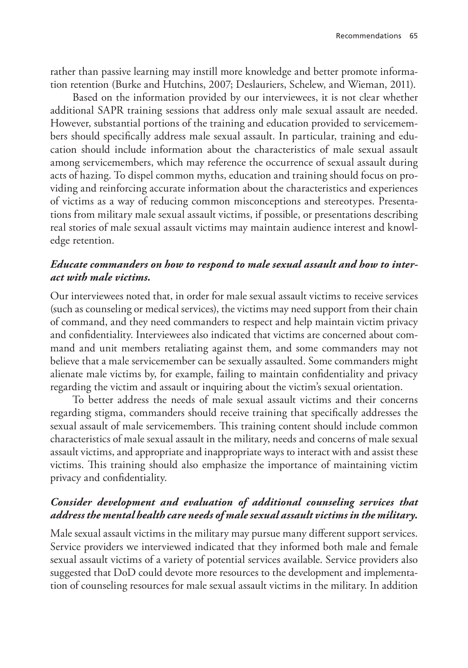rather than passive learning may instill more knowledge and better promote information retention (Burke and Hutchins, 2007; Deslauriers, Schelew, and Wieman, 2011).

Based on the information provided by our interviewees, it is not clear whether additional SAPR training sessions that address only male sexual assault are needed. However, substantial portions of the training and education provided to servicemembers should specifically address male sexual assault. In particular, training and education should include information about the characteristics of male sexual assault among servicemembers, which may reference the occurrence of sexual assault during acts of hazing. To dispel common myths, education and training should focus on providing and reinforcing accurate information about the characteristics and experiences of victims as a way of reducing common misconceptions and stereotypes. Presentations from military male sexual assault victims, if possible, or presentations describing real stories of male sexual assault victims may maintain audience interest and knowledge retention.

#### *Educate commanders on how to respond to male sexual assault and how to interact with male victims.*

Our interviewees noted that, in order for male sexual assault victims to receive services (such as counseling or medical services), the victims may need support from their chain of command, and they need commanders to respect and help maintain victim privacy and confidentiality. Interviewees also indicated that victims are concerned about command and unit members retaliating against them, and some commanders may not believe that a male servicemember can be sexually assaulted. Some commanders might alienate male victims by, for example, failing to maintain confidentiality and privacy regarding the victim and assault or inquiring about the victim's sexual orientation.

To better address the needs of male sexual assault victims and their concerns regarding stigma, commanders should receive training that specifically addresses the sexual assault of male servicemembers. This training content should include common characteristics of male sexual assault in the military, needs and concerns of male sexual assault victims, and appropriate and inappropriate ways to interact with and assist these victims. This training should also emphasize the importance of maintaining victim privacy and confidentiality.

#### *Consider development and evaluation of additional counseling services that address the mental health care needs of male sexual assault victims in the military.*

Male sexual assault victims in the military may pursue many different support services. Service providers we interviewed indicated that they informed both male and female sexual assault victims of a variety of potential services available. Service providers also suggested that DoD could devote more resources to the development and implementation of counseling resources for male sexual assault victims in the military. In addition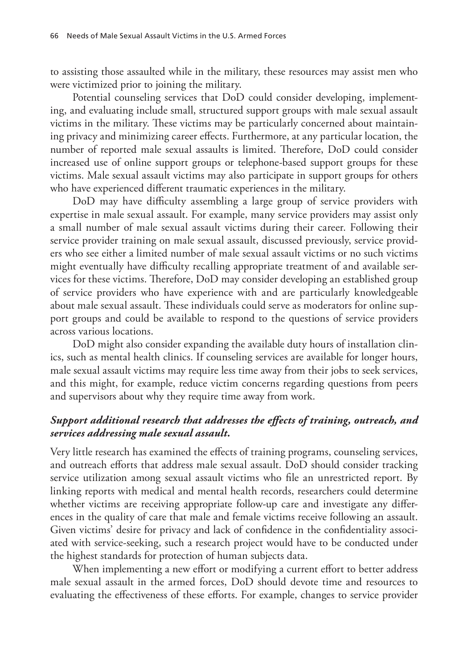to assisting those assaulted while in the military, these resources may assist men who were victimized prior to joining the military.

Potential counseling services that DoD could consider developing, implementing, and evaluating include small, structured support groups with male sexual assault victims in the military. These victims may be particularly concerned about maintaining privacy and minimizing career effects. Furthermore, at any particular location, the number of reported male sexual assaults is limited. Therefore, DoD could consider increased use of online support groups or telephone-based support groups for these victims. Male sexual assault victims may also participate in support groups for others who have experienced different traumatic experiences in the military.

DoD may have difficulty assembling a large group of service providers with expertise in male sexual assault. For example, many service providers may assist only a small number of male sexual assault victims during their career. Following their service provider training on male sexual assault, discussed previously, service providers who see either a limited number of male sexual assault victims or no such victims might eventually have difficulty recalling appropriate treatment of and available services for these victims. Therefore, DoD may consider developing an established group of service providers who have experience with and are particularly knowledgeable about male sexual assault. These individuals could serve as moderators for online support groups and could be available to respond to the questions of service providers across various locations.

DoD might also consider expanding the available duty hours of installation clinics, such as mental health clinics. If counseling services are available for longer hours, male sexual assault victims may require less time away from their jobs to seek services, and this might, for example, reduce victim concerns regarding questions from peers and supervisors about why they require time away from work.

#### *Support additional research that addresses the effects of training, outreach, and services addressing male sexual assault.*

Very little research has examined the effects of training programs, counseling services, and outreach efforts that address male sexual assault. DoD should consider tracking service utilization among sexual assault victims who file an unrestricted report. By linking reports with medical and mental health records, researchers could determine whether victims are receiving appropriate follow-up care and investigate any differences in the quality of care that male and female victims receive following an assault. Given victims' desire for privacy and lack of confidence in the confidentiality associated with service-seeking, such a research project would have to be conducted under the highest standards for protection of human subjects data.

When implementing a new effort or modifying a current effort to better address male sexual assault in the armed forces, DoD should devote time and resources to evaluating the effectiveness of these efforts. For example, changes to service provider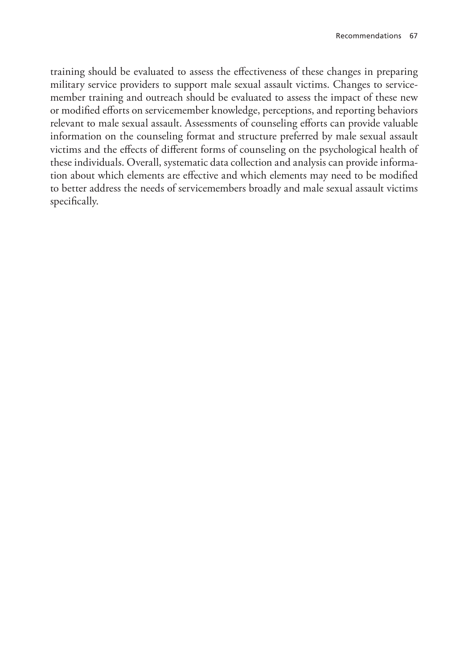training should be evaluated to assess the effectiveness of these changes in preparing military service providers to support male sexual assault victims. Changes to servicemember training and outreach should be evaluated to assess the impact of these new or modified efforts on servicemember knowledge, perceptions, and reporting behaviors relevant to male sexual assault. Assessments of counseling efforts can provide valuable information on the counseling format and structure preferred by male sexual assault victims and the effects of different forms of counseling on the psychological health of these individuals. Overall, systematic data collection and analysis can provide information about which elements are effective and which elements may need to be modified to better address the needs of servicemembers broadly and male sexual assault victims specifically.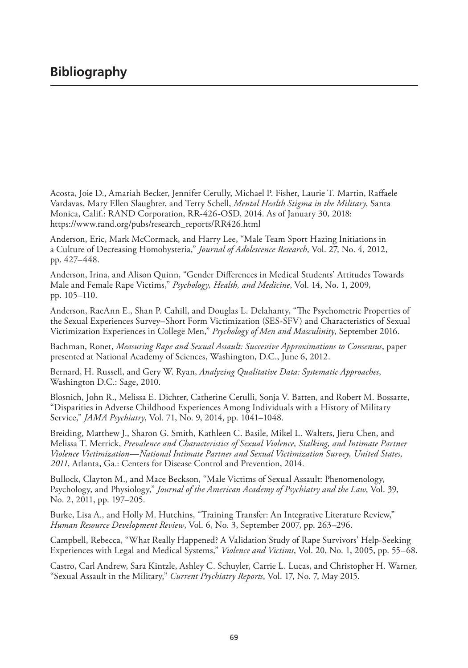Acosta, Joie D., Amariah Becker, Jennifer Cerully, Michael P. Fisher, Laurie T. Martin, Raffaele Vardavas, Mary Ellen Slaughter, and Terry Schell, *Mental Health Stigma in the Military*, Santa Monica, Calif.: RAND Corporation, RR-426-OSD, 2014. As of January 30, 2018: [https://www.rand.org/pubs/research\\_reports/RR426.html](https://www.rand.org/pubs/research_reports/RR426.html)

Anderson, Eric, Mark McCormack, and Harry Lee, "Male Team Sport Hazing Initiations in a Culture of Decreasing Homohysteria," *Journal of Adolescence Research*, Vol. 27, No. 4, 2012, pp. 427–448.

Anderson, Irina, and Alison Quinn, "Gender Differences in Medical Students' Attitudes Towards Male and Female Rape Victims," *Psychology, Health, and Medicine*, Vol. 14, No. 1, 2009, pp. 105–110.

Anderson, RaeAnn E., Shan P. Cahill, and Douglas L. Delahanty, "The Psychometric Properties of the Sexual Experiences Survey–Short Form Victimization (SES-SFV) and Characteristics of Sexual Victimization Experiences in College Men," *Psychology of Men and Masculinity*, September 2016.

Bachman, Ronet, *Measuring Rape and Sexual Assault: Successive Approximations to Consensus*, paper presented at National Academy of Sciences, Washington, D.C., June 6, 2012.

Bernard, H. Russell, and Gery W. Ryan, *Analyzing Qualitative Data: Systematic Approaches*, Washington D.C.: Sage, 2010.

Blosnich, John R., Melissa E. Dichter, Catherine Cerulli, Sonja V. Batten, and Robert M. Bossarte, "Disparities in Adverse Childhood Experiences Among Individuals with a History of Military Service," *JAMA Psychiatry*, Vol. 71, No. 9, 2014, pp. 1041–1048.

Breiding, Matthew J., Sharon G. Smith, Kathleen C. Basile, Mikel L. Walters, Jieru Chen, and Melissa T. Merrick, *Prevalence and Characteristics of Sexual Violence, Stalking, and Intimate Partner Violence Victimization—National Intimate Partner and Sexual Victimization Survey, United States, 2011*, Atlanta, Ga.: Centers for Disease Control and Prevention, 2014.

Bullock, Clayton M., and Mace Beckson, "Male Victims of Sexual Assault: Phenomenology, Psychology, and Physiology," *Journal of the American Academy of Psychiatry and the Law*, Vol. 39, No. 2, 2011, pp. 197–205.

Burke, Lisa A., and Holly M. Hutchins, "Training Transfer: An Integrative Literature Review," *Human Resource Development Review*, Vol. 6, No. 3, September 2007, pp. 263–296.

Campbell, Rebecca, "What Really Happened? A Validation Study of Rape Survivors' Help-Seeking Experiences with Legal and Medical Systems," *Violence and Victims*, Vol. 20, No. 1, 2005, pp. 55–68.

Castro, Carl Andrew, Sara Kintzle, Ashley C. Schuyler, Carrie L. Lucas, and Christopher H. Warner, "Sexual Assault in the Military," *Current Psychiatry Reports*, Vol. 17, No. 7, May 2015.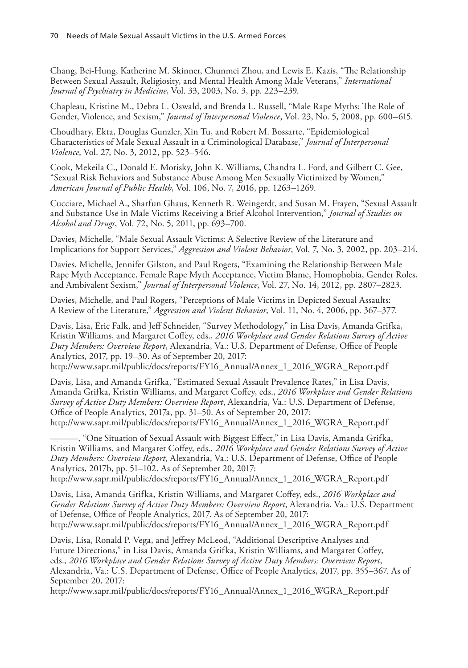Chang, Bei-Hung, Katherine M. Skinner, Chunmei Zhou, and Lewis E. Kazis, "The Relationship Between Sexual Assault, Religiosity, and Mental Health Among Male Veterans," *International Journal of Psychiatry in Medicine*, Vol. 33, 2003, No. 3, pp. 223–239.

Chapleau, Kristine M., Debra L. Oswald, and Brenda L. Russell, "Male Rape Myths: The Role of Gender, Violence, and Sexism," *Journal of Interpersonal Violence*, Vol. 23, No. 5, 2008, pp. 600–615.

Choudhary, Ekta, Douglas Gunzler, Xin Tu, and Robert M. Bossarte, "Epidemiological Characteristics of Male Sexual Assault in a Criminological Database," *Journal of Interpersonal Violence*, Vol. 27, No. 3, 2012, pp. 523–546.

Cook, Mekeila C., Donald E. Morisky, John K. Williams, Chandra L. Ford, and Gilbert C. Gee, "Sexual Risk Behaviors and Substance Abuse Among Men Sexually Victimized by Women," *American Journal of Public Health*, Vol. 106, No. 7, 2016, pp. 1263–1269.

Cucciare, Michael A., Sharfun Ghaus, Kenneth R. Weingerdt, and Susan M. Frayen, "Sexual Assault and Substance Use in Male Victims Receiving a Brief Alcohol Intervention," *Journal of Studies on Alcohol and Drugs*, Vol. 72, No. 5, 2011, pp. 693–700.

Davies, Michelle, "Male Sexual Assault Victims: A Selective Review of the Literature and Implications for Support Services," *Aggression and Violent Behavior*, Vol. 7, No. 3, 2002, pp. 203–214.

Davies, Michelle, Jennifer Gilston, and Paul Rogers, "Examining the Relationship Between Male Rape Myth Acceptance, Female Rape Myth Acceptance, Victim Blame, Homophobia, Gender Roles, and Ambivalent Sexism," *Journal of Interpersonal Violence*, Vol. 27, No. 14, 2012, pp. 2807–2823.

Davies, Michelle, and Paul Rogers, "Perceptions of Male Victims in Depicted Sexual Assaults: A Review of the Literature," *Aggression and Violent Behavior*, Vol. 11, No. 4, 2006, pp. 367–377.

Davis, Lisa, Eric Falk, and Jeff Schneider, "Survey Methodology," in Lisa Davis, Amanda Grifka, Kristin Williams, and Margaret Coffey, eds., *2016 Workplace and Gender Relations Survey of Active Duty Members: Overview Report*, Alexandria, Va.: U.S. Department of Defense, Office of People Analytics, 2017, pp. 19–30. As of September 20, 2017:

[http://www.sapr.mil/public/docs/reports/FY16\\_Annual/Annex\\_1\\_2016\\_WGRA\\_Report.pdf](http://www.sapr.mil/public/docs/reports/FY16_Annual/Annex_1_2016_WGRA_Report.pdf)

Davis, Lisa, and Amanda Grifka, "Estimated Sexual Assault Prevalence Rates," in Lisa Davis, Amanda Grifka, Kristin Williams, and Margaret Coffey, eds., *2016 Workplace and Gender Relations Survey of Active Duty Members: Overview Report*, Alexandria, Va.: U.S. Department of Defense, Office of People Analytics, 2017a, pp. 31–50. As of September 20, 2017: [http://www.sapr.mil/public/docs/reports/FY16\\_Annual/Annex\\_1\\_2016\\_WGRA\\_Report.pdf](http://www.sapr.mil/public/docs/reports/FY16_Annual/Annex_1_2016_WGRA_Report.pdf)

–, "One Situation of Sexual Assault with Biggest Effect," in Lisa Davis, Amanda Grifka, Kristin Williams, and Margaret Coffey, eds., *2016 Workplace and Gender Relations Survey of Active Duty Members: Overview Report*, Alexandria, Va.: U.S. Department of Defense, Office of People Analytics, 2017b, pp. 51–102. As of September 20, 2017: [http://www.sapr.mil/public/docs/reports/FY16\\_Annual/Annex\\_1\\_2016\\_WGRA\\_Report.pdf](http://www.sapr.mil/public/docs/reports/FY16_Annual/Annex_1_2016_WGRA_Report.pdf)

Davis, Lisa, Amanda Grifka, Kristin Williams, and Margaret Coffey, eds., *2016 Workplace and Gender Relations Survey of Active Duty Members: Overview Report*, Alexandria, Va.: U.S. Department of Defense, Office of People Analytics, 2017. As of September 20, 2017: [http://www.sapr.mil/public/docs/reports/FY16\\_Annual/Annex\\_1\\_2016\\_WGRA\\_Report.pdf](http://www.sapr.mil/public/docs/reports/FY16_Annual/Annex_1_2016_WGRA_Report.pdf)

Davis, Lisa, Ronald P. Vega, and Jeffrey McLeod, "Additional Descriptive Analyses and Future Directions," in Lisa Davis, Amanda Grifka, Kristin Williams, and Margaret Coffey, eds., *2016 Workplace and Gender Relations Survey of Active Duty Members: Overview Report*, Alexandria, Va.: U.S. Department of Defense, Office of People Analytics, 2017, pp. 355–367. As of September 20, 2017:

[http://www.sapr.mil/public/docs/reports/FY16\\_Annual/Annex\\_1\\_2016\\_WGRA\\_Report.pdf](http://www.sapr.mil/public/docs/reports/FY16_Annual/Annex_1_2016_WGRA_Report.pdf)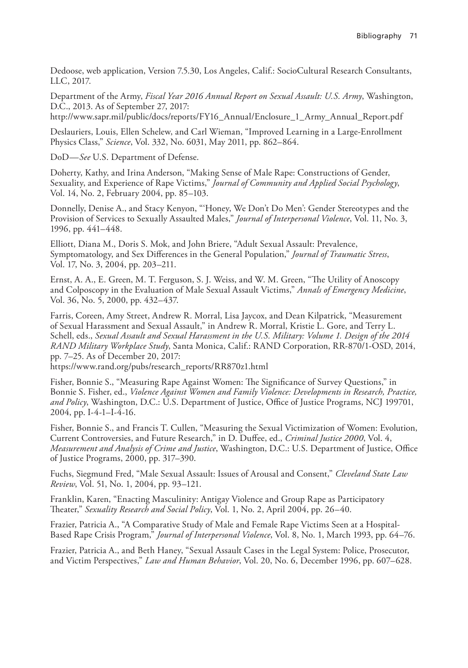Dedoose, web application, Version 7.5.30, Los Angeles, Calif.: SocioCultural Research Consultants, LLC, 2017.

Department of the Army, *Fiscal Year 2016 Annual Report on Sexual Assault: U.S. Army*, Washington, D.C., 2013. As of September 27, 2017:

[http://www.sapr.mil/public/docs/reports/FY16\\_Annual/Enclosure\\_1\\_Army\\_Annual\\_Report.pdf](http://www.sapr.mil/public/docs/reports/FY16_Annual/Enclosure_1_Army_Annual_Report.pdf)

Deslauriers, Louis, Ellen Schelew, and Carl Wieman, "Improved Learning in a Large-Enrollment Physics Class," *Science*, Vol. 332, No. 6031, May 2011, pp. 862–864.

DoD—*See* U.S. Department of Defense.

Doherty, Kathy, and Irina Anderson, "Making Sense of Male Rape: Constructions of Gender, Sexuality, and Experience of Rape Victims," *Journal of Community and Applied Social Psychology*, Vol. 14, No. 2, February 2004, pp. 85–103.

Donnelly, Denise A., and Stacy Kenyon, "'Honey, We Don't Do Men': Gender Stereotypes and the Provision of Services to Sexually Assaulted Males," *Journal of Interpersonal Violence*, Vol. 11, No. 3, 1996, pp. 441–448.

Elliott, Diana M., Doris S. Mok, and John Briere, "Adult Sexual Assault: Prevalence, Symptomatology, and Sex Differences in the General Population," *Journal of Traumatic Stress*, Vol. 17, No. 3, 2004, pp. 203–211.

Ernst, A. A., E. Green, M. T. Ferguson, S. J. Weiss, and W. M. Green, "The Utility of Anoscopy and Colposcopy in the Evaluation of Male Sexual Assault Victims," *Annals of Emergency Medicine*, Vol. 36, No. 5, 2000, pp. 432–437.

Farris, Coreen, Amy Street, Andrew R. Morral, Lisa Jaycox, and Dean Kilpatrick, "Measurement of Sexual Harassment and Sexual Assault," in Andrew R. Morral, Kristie L. Gore, and Terry L. Schell, eds., *Sexual Assault and Sexual Harassment in the U.S. Military: Volume 1. Design of the 2014 RAND Military Workplace Study*, Santa Monica, Calif.: RAND Corporation, RR-870/1-OSD, 2014, pp. 7–25. As of December 20, 2017:

[https://www.rand.org/pubs/research\\_reports/RR870z1.html](https://www.rand.org/pubs/research_reports/RR870z1.html)

Fisher, Bonnie S., "Measuring Rape Against Women: The Significance of Survey Questions," in Bonnie S. Fisher, ed., *Violence Against Women and Family Violence: Developments in Research, Practice, and Policy*, Washington, D.C.: U.S. Department of Justice, Office of Justice Programs, NCJ 199701, 2004, pp. I-4-1–I-4-16.

Fisher, Bonnie S., and Francis T. Cullen, "Measuring the Sexual Victimization of Women: Evolution, Current Controversies, and Future Research," in D. Duffee, ed., *Criminal Justice 2000*, Vol. 4, *Measurement and Analysis of Crime and Justice*, Washington, D.C.: U.S. Department of Justice, Office of Justice Programs, 2000, pp. 317–390.

Fuchs, Siegmund Fred, "Male Sexual Assault: Issues of Arousal and Consent," *Cleveland State Law Review*, Vol. 51, No. 1, 2004, pp. 93–121.

Franklin, Karen, "Enacting Masculinity: Antigay Violence and Group Rape as Participatory Theater," *Sexuality Research and Social Policy*, Vol. 1, No. 2, April 2004, pp. 26–40.

Frazier, Patricia A., "A Comparative Study of Male and Female Rape Victims Seen at a Hospital-Based Rape Crisis Program," *Journal of Interpersonal Violence*, Vol. 8, No. 1, March 1993, pp. 64–76.

Frazier, Patricia A., and Beth Haney, "Sexual Assault Cases in the Legal System: Police, Prosecutor, and Victim Perspectives," *Law and Human Behavior*, Vol. 20, No. 6, December 1996, pp. 607–628.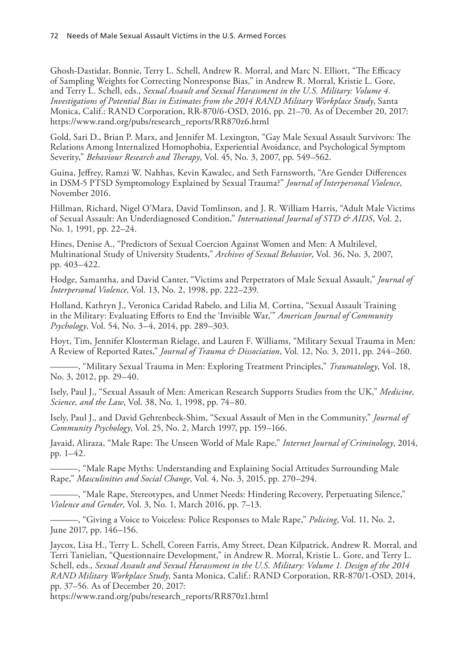Ghosh-Dastidar, Bonnie, Terry L. Schell, Andrew R. Morral, and Marc N. Elliott, "The Efficacy of Sampling Weights for Correcting Nonresponse Bias," in Andrew R. Morral, Kristie L. Gore, and Terry L. Schell, eds., *Sexual Assault and Sexual Harassment in the U.S. Military: Volume 4. Investigations of Potential Bias in Estimates from the 2014 RAND Military Workplace Study*, Santa Monica, Calif.: RAND Corporation, RR-870/6-OSD, 2016, pp. 21–70. As of December 20, 2017: [https://www.rand.org/pubs/research\\_reports/RR870z6.html](https://www.rand.org/pubs/research_reports/RR870z6.html)

Gold, Sari D., Brian P. Marx, and Jennifer M. Lexington, "Gay Male Sexual Assault Survivors: The Relations Among Internalized Homophobia, Experiential Avoidance, and Psychological Symptom Severity," *Behaviour Research and Therapy*, Vol. 45, No. 3, 2007, pp. 549–562.

Guina, Jeffrey, Ramzi W. Nahhas, Kevin Kawalec, and Seth Farnsworth, "Are Gender Differences in DSM-5 PTSD Symptomology Explained by Sexual Trauma?" *Journal of Interpersonal Violence*, November 2016.

Hillman, Richard, Nigel O'Mara, David Tomlinson, and J. R. William Harris, "Adult Male Victims of Sexual Assault: An Underdiagnosed Condition," *International Journal of STD & AIDS*, Vol. 2, No. 1, 1991, pp. 22–24.

Hines, Denise A., "Predictors of Sexual Coercion Against Women and Men: A Multilevel, Multinational Study of University Students," *Archives of Sexual Behavior*, Vol. 36, No. 3, 2007, pp. 403–422.

Hodge, Samantha, and David Canter, "Victims and Perpetrators of Male Sexual Assault," *Journal of Interpersonal Violence*, Vol. 13, No. 2, 1998, pp. 222–239.

Holland, Kathryn J., Veronica Caridad Rabelo, and Lilia M. Cortina, "Sexual Assault Training in the Military: Evaluating Efforts to End the 'Invisible War,'" *American Journal of Community Psychology*, Vol. 54, No. 3–4, 2014, pp. 289–303.

Hoyt, Tim, Jennifer Klosterman Rielage, and Lauren F. Williams, "Military Sexual Trauma in Men: A Review of Reported Rates," *Journal of Trauma & Dissociation*, Vol. 12, No. 3, 2011, pp. 244–260.

———, "Military Sexual Trauma in Men: Exploring Treatment Principles," *Traumatology*, Vol. 18, No. 3, 2012, pp. 29–40.

Isely, Paul J., "Sexual Assault of Men: American Research Supports Studies from the UK," *Medicine, Science, and the Law*, Vol. 38, No. 1, 1998, pp. 74–80.

Isely, Paul J., and David Gehrenbeck-Shim, "Sexual Assault of Men in the Community," *Journal of Community Psychology*, Vol. 25, No. 2, March 1997, pp. 159–166.

Javaid, Aliraza, "Male Rape: The Unseen World of Male Rape," *Internet Journal of Criminology*, 2014, pp. 1–42.

———, "Male Rape Myths: Understanding and Explaining Social Attitudes Surrounding Male Rape," *Masculinities and Social Change*, Vol. 4, No. 3, 2015, pp. 270–294.

———, "Male Rape, Stereotypes, and Unmet Needs: Hindering Recovery, Perpetuating Silence," *Violence and Gender*, Vol. 3, No. 1, March 2016, pp. 7–13.

———, "Giving a Voice to Voiceless: Police Responses to Male Rape," *Policing*, Vol. 11, No. 2, June 2017, pp. 146–156.

Jaycox, Lisa H., Terry L. Schell, Coreen Farris, Amy Street, Dean Kilpatrick, Andrew R. Morral, and Terri Tanielian, "Questionnaire Development," in Andrew R. Morral, Kristie L. Gore, and Terry L. Schell, eds., *Sexual Assault and Sexual Harassment in the U.S. Military: Volume 1. Design of the 2014 RAND Military Workplace Study*, Santa Monica, Calif.: RAND Corporation, RR-870/1-OSD, 2014, pp. 37–56. As of December 20, 2017:

[https://www.rand.org/pubs/research\\_reports/RR870z1.html](https://www.rand.org/pubs/research_reports/RR870z1.html)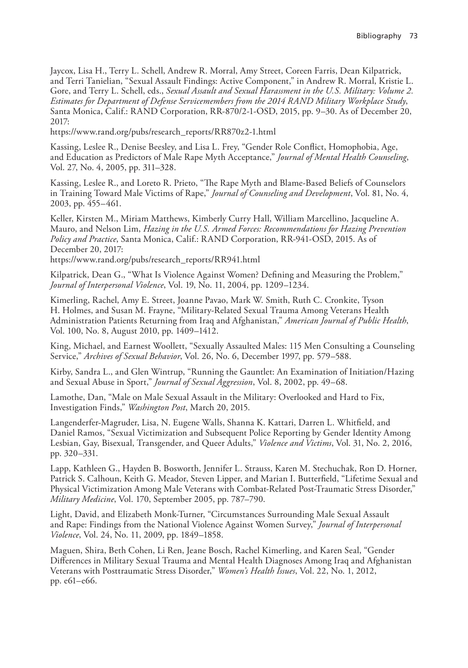Jaycox, Lisa H., Terry L. Schell, Andrew R. Morral, Amy Street, Coreen Farris, Dean Kilpatrick, and Terri Tanielian, "Sexual Assault Findings: Active Component," in Andrew R. Morral, Kristie L. Gore, and Terry L. Schell, eds., *Sexual Assault and Sexual Harassment in the U.S. Military: Volume 2. Estimates for Department of Defense Servicemembers from the 2014 RAND Military Workplace Study*, Santa Monica, Calif.: RAND Corporation, RR-870/2-1-OSD, 2015, pp. 9–30. As of December 20, 2017:

[https://www.rand.org/pubs/research\\_reports/RR870z2-1.html](https://www.rand.org/pubs/research_reports/RR870z2-1.html)

Kassing, Leslee R., Denise Beesley, and Lisa L. Frey, "Gender Role Conflict, Homophobia, Age, and Education as Predictors of Male Rape Myth Acceptance," *Journal of Mental Health Counseling*, Vol. 27, No. 4, 2005, pp. 311–328.

Kassing, Leslee R., and Loreto R. Prieto, "The Rape Myth and Blame-Based Beliefs of Counselors in Training Toward Male Victims of Rape," *Journal of Counseling and Development*, Vol. 81, No. 4, 2003, pp. 455–461.

Keller, Kirsten M., Miriam Matthews, Kimberly Curry Hall, William Marcellino, Jacqueline A. Mauro, and Nelson Lim, *Hazing in the U.S. Armed Forces: Recommendations for Hazing Prevention Policy and Practice*, Santa Monica, Calif.: RAND Corporation, RR-941-OSD, 2015. As of December 20, 2017:

[https://www.rand.org/pubs/research\\_reports/RR941.html](https://www.rand.org/pubs/research_reports/RR941.html)

Kilpatrick, Dean G., "What Is Violence Against Women? Defining and Measuring the Problem," *Journal of Interpersonal Violence*, Vol. 19, No. 11, 2004, pp. 1209–1234.

Kimerling, Rachel, Amy E. Street, Joanne Pavao, Mark W. Smith, Ruth C. Cronkite, Tyson H. Holmes, and Susan M. Frayne, "Military-Related Sexual Trauma Among Veterans Health Administration Patients Returning from Iraq and Afghanistan," *American Journal of Public Health*, Vol. 100, No. 8, August 2010, pp. 1409–1412.

King, Michael, and Earnest Woollett, "Sexually Assaulted Males: 115 Men Consulting a Counseling Service," *Archives of Sexual Behavior*, Vol. 26, No. 6, December 1997, pp. 579–588.

Kirby, Sandra L., and Glen Wintrup, "Running the Gauntlet: An Examination of Initiation/Hazing and Sexual Abuse in Sport," *Journal of Sexual Aggression*, Vol. 8, 2002, pp. 49–68.

Lamothe, Dan, "Male on Male Sexual Assault in the Military: Overlooked and Hard to Fix, Investigation Finds," *Washington Post*, March 20, 2015.

Langenderfer-Magruder, Lisa, N. Eugene Walls, Shanna K. Kattari, Darren L. Whitfield, and Daniel Ramos, "Sexual Victimization and Subsequent Police Reporting by Gender Identity Among Lesbian, Gay, Bisexual, Transgender, and Queer Adults," *Violence and Victims*, Vol. 31, No. 2, 2016, pp. 320–331.

Lapp, Kathleen G., Hayden B. Bosworth, Jennifer L. Strauss, Karen M. Stechuchak, Ron D. Horner, Patrick S. Calhoun, Keith G. Meador, Steven Lipper, and Marian I. Butterfield, "Lifetime Sexual and Physical Victimization Among Male Veterans with Combat-Related Post-Traumatic Stress Disorder," *Military Medicine*, Vol. 170, September 2005, pp. 787–790.

Light, David, and Elizabeth Monk-Turner, "Circumstances Surrounding Male Sexual Assault and Rape: Findings from the National Violence Against Women Survey," *Journal of Interpersonal Violence*, Vol. 24, No. 11, 2009, pp. 1849–1858.

Maguen, Shira, Beth Cohen, Li Ren, Jeane Bosch, Rachel Kimerling, and Karen Seal, "Gender Differences in Military Sexual Trauma and Mental Health Diagnoses Among Iraq and Afghanistan Veterans with Posttraumatic Stress Disorder," *Women's Health Issues*, Vol. 22, No. 1, 2012, pp. e61–e66.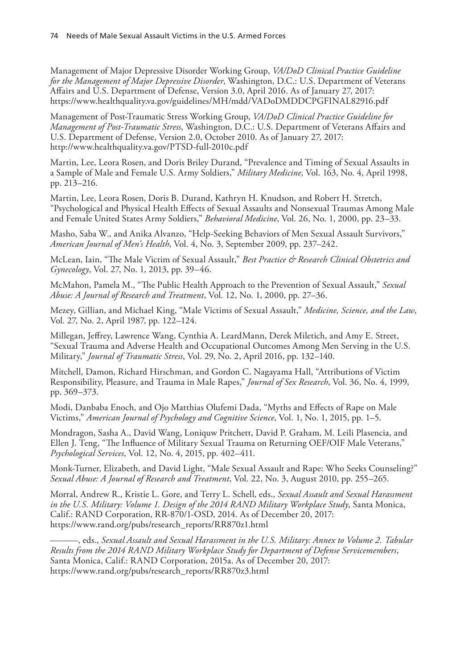Management of Major Depressive Disorder Working Group, *VA/DoD Clinical Practice Guideline for the Management of Major Depressive Disorder*, Washington, D.C.: U.S. Department of Veterans Affairs and U.S. Department of Defense, Version 3.0, April 2016. As of January 27, 2017: <https://www.healthquality.va.gov/guidelines/MH/mdd/VADoDMDDCPGFINAL82916.pdf>

Management of Post-Traumatic Stress Working Group, *VA/DoD Clinical Practice Guideline for Management of Post-Traumatic Stress*, Washington, D.C.: U.S. Department of Veterans Affairs and U.S. Department of Defense, Version 2.0, October 2010. As of January 27, 2017: <http://www.healthquality.va.gov/PTSD-full-2010c.pdf>

Martin, Lee, Leora Rosen, and Doris Briley Durand, "Prevalence and Timing of Sexual Assaults in a Sample of Male and Female U.S. Army Soldiers," *Military Medicine*, Vol. 163, No. 4, April 1998, pp. 213–216.

Martin, Lee, Leora Rosen, Doris B. Durand, Kathryn H. Knudson, and Robert H. Stretch, "Psychological and Physical Health Effects of Sexual Assaults and Nonsexual Traumas Among Male and Female United States Army Soldiers," *Behavioral Medicine*, Vol. 26, No. 1, 2000, pp. 23–33.

Masho, Saba W., and Anika Alvanzo, "Help-Seeking Behaviors of Men Sexual Assault Survivors," *American Journal of Men's Health*, Vol. 4, No. 3, September 2009, pp. 237–242.

McLean, Iain, "The Male Victim of Sexual Assault," *Best Practice & Research Clinical Obstetrics and Gynecology*, Vol. 27, No. 1, 2013, pp. 39–46.

McMahon, Pamela M., "The Public Health Approach to the Prevention of Sexual Assault," *Sexual Abuse: A Journal of Research and Treatment*, Vol. 12, No. 1, 2000, pp. 27–36.

Mezey, Gillian, and Michael King, "Male Victims of Sexual Assault," *Medicine, Science, and the Law*, Vol. 27, No. 2, April 1987, pp. 122–124.

Millegan, Jeffrey, Lawrence Wang, Cynthia A. LeardMann, Derek Miletich, and Amy E. Street, "Sexual Trauma and Adverse Health and Occupational Outcomes Among Men Serving in the U.S. Military," *Journal of Traumatic Stress*, Vol. 29, No. 2, April 2016, pp. 132–140.

Mitchell, Damon, Richard Hirschman, and Gordon C. Nagayama Hall, "Attributions of Victim Responsibility, Pleasure, and Trauma in Male Rapes," *Journal of Sex Research*, Vol. 36, No. 4, 1999, pp. 369–373.

Modi, Danbaba Enoch, and Ojo Matthias Olufemi Dada, "Myths and Effects of Rape on Male Victims," *American Journal of Psychology and Cognitive Science*, Vol. 1, No. 1, 2015, pp. 1–5.

Mondragon, Sasha A., David Wang, Loniquw Pritchett, David P. Graham, M. Leili Plasencia, and Ellen J. Teng, "The Influence of Military Sexual Trauma on Returning OEF/OIF Male Veterans," *Psychological Services*, Vol. 12, No. 4, 2015, pp. 402–411.

Monk-Turner, Elizabeth, and David Light, "Male Sexual Assault and Rape: Who Seeks Counseling?" *Sexual Abuse: A Journal of Research and Treatment*, Vol. 22, No. 3, August 2010, pp. 255–265.

Morral, Andrew R., Kristie L. Gore, and Terry L. Schell, eds., *Sexual Assault and Sexual Harassment in the U.S. Military: Volume 1. Design of the 2014 RAND Military Workplace Study*, Santa Monica, Calif.: RAND Corporation, RR-870/1-OSD, 2014. As of December 20, 2017: [https://www.rand.org/pubs/research\\_reports/RR870z1.html](https://www.rand.org/pubs/research_reports/RR870z1.html)

———, eds., *Sexual Assault and Sexual Harassment in the U.S. Military: Annex to Volume 2. Tabular Results from the 2014 RAND Military Workplace Study for Department of Defense Servicemembers*, Santa Monica, Calif.: RAND Corporation, 2015a. As of December 20, 2017: [https://www.rand.org/pubs/research\\_reports/RR870z3.html](https://www.rand.org/pubs/research_reports/RR870z3.html)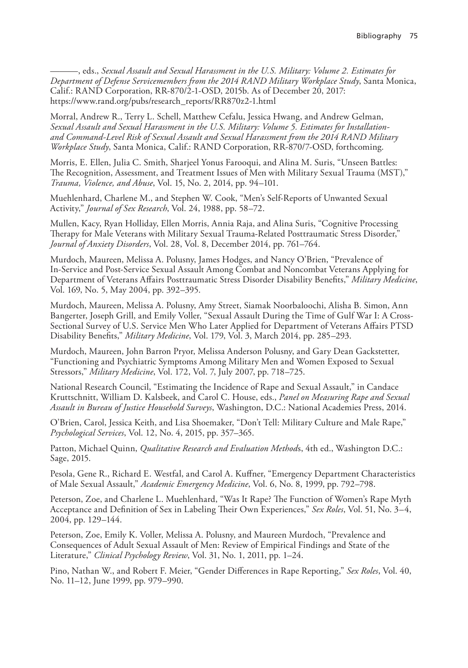———, eds., *Sexual Assault and Sexual Harassment in the U.S. Military: Volume 2. Estimates for Department of Defense Servicemembers from the 2014 RAND Military Workplace Study*, Santa Monica, Calif.: RAND Corporation, RR-870/2-1-OSD, 2015b. As of December 20, 2017: [https://www.rand.org/pubs/research\\_reports/RR870z2-1.html](https://www.rand.org/pubs/research_reports/RR870z2-1.html)

Morral, Andrew R., Terry L. Schell, Matthew Cefalu, Jessica Hwang, and Andrew Gelman, *Sexual Assault and Sexual Harassment in the U.S. Military: Volume 5. Estimates for Installationand Command-Level Risk of Sexual Assault and Sexual Harassment from the 2014 RAND Military Workplace Study*, Santa Monica, Calif.: RAND Corporation, RR-870/7-OSD, forthcoming.

Morris, E. Ellen, Julia C. Smith, Sharjeel Yonus Farooqui, and Alina M. Suris, "Unseen Battles: The Recognition, Assessment, and Treatment Issues of Men with Military Sexual Trauma (MST)," *Trauma, Violence, and Abuse*, Vol. 15, No. 2, 2014, pp. 94–101.

Muehlenhard, Charlene M., and Stephen W. Cook, "Men's Self-Reports of Unwanted Sexual Activity," *Journal of Sex Research*, Vol. 24, 1988, pp. 58–72.

Mullen, Kacy, Ryan Holliday, Ellen Morris, Annia Raja, and Alina Suris, "Cognitive Processing Therapy for Male Veterans with Military Sexual Trauma-Related Posttraumatic Stress Disorder," *Journal of Anxiety Disorders*, Vol. 28, Vol. 8, December 2014, pp. 761–764.

Murdoch, Maureen, Melissa A. Polusny, James Hodges, and Nancy O'Brien, "Prevalence of In-Service and Post-Service Sexual Assault Among Combat and Noncombat Veterans Applying for Department of Veterans Affairs Posttraumatic Stress Disorder Disability Benefits," *Military Medicine*, Vol. 169, No. 5, May 2004, pp. 392–395.

Murdoch, Maureen, Melissa A. Polusny, Amy Street, Siamak Noorbaloochi, Alisha B. Simon, Ann Bangerter, Joseph Grill, and Emily Voller, "Sexual Assault During the Time of Gulf War I: A Cross-Sectional Survey of U.S. Service Men Who Later Applied for Department of Veterans Affairs PTSD Disability Benefits," *Military Medicine*, Vol. 179, Vol. 3, March 2014, pp. 285–293.

Murdoch, Maureen, John Barron Pryor, Melissa Anderson Polusny, and Gary Dean Gackstetter, "Functioning and Psychiatric Symptoms Among Military Men and Women Exposed to Sexual Stressors," *Military Medicine*, Vol. 172, Vol. 7, July 2007, pp. 718–725.

National Research Council, "Estimating the Incidence of Rape and Sexual Assault," in Candace Kruttschnitt, William D. Kalsbeek, and Carol C. House, eds., *Panel on Measuring Rape and Sexual Assault in Bureau of Justice Household Surveys*, Washington, D.C.: National Academies Press, 2014.

O'Brien, Carol, Jessica Keith, and Lisa Shoemaker, "Don't Tell: Military Culture and Male Rape," *Psychological Services*, Vol. 12, No. 4, 2015, pp. 357–365.

Patton, Michael Quinn, *Qualitative Research and Evaluation Method*s, 4th ed., Washington D.C.: Sage, 2015.

Pesola, Gene R., Richard E. Westfal, and Carol A. Kuffner, "Emergency Department Characteristics of Male Sexual Assault," *Academic Emergency Medicine*, Vol. 6, No. 8, 1999, pp. 792–798.

Peterson, Zoe, and Charlene L. Muehlenhard, "Was It Rape? The Function of Women's Rape Myth Acceptance and Definition of Sex in Labeling Their Own Experiences," *Sex Roles*, Vol. 51, No. 3–4, 2004, pp. 129–144.

Peterson, Zoe, Emily K. Voller, Melissa A. Polusny, and Maureen Murdoch, "Prevalence and Consequences of Adult Sexual Assault of Men: Review of Empirical Findings and State of the Literature," *Clinical Psychology Review*, Vol. 31, No. 1, 2011, pp. 1–24.

Pino, Nathan W., and Robert F. Meier, "Gender Differences in Rape Reporting," *Sex Roles*, Vol. 40, No. 11–12, June 1999, pp. 979–990.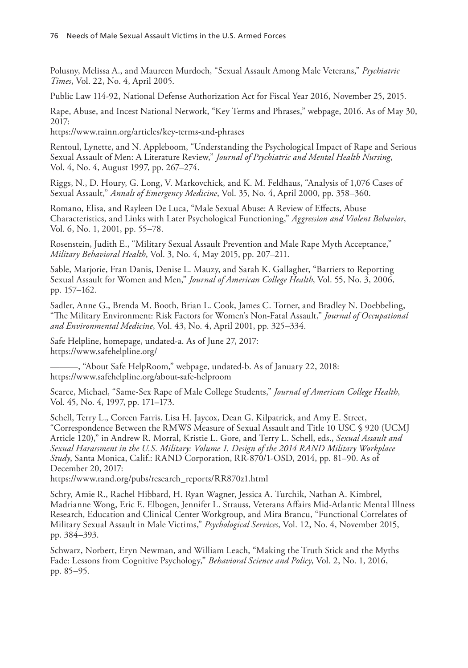Polusny, Melissa A., and Maureen Murdoch, "Sexual Assault Among Male Veterans," *Psychiatric Times*, Vol. 22, No. 4, April 2005.

Public Law 114-92, National Defense Authorization Act for Fiscal Year 2016, November 25, 2015.

Rape, Abuse, and Incest National Network, "Key Terms and Phrases," webpage, 2016. As of May 30, 2017:

<https://www.rainn.org/articles/key-terms-and-phrases>

Rentoul, Lynette, and N. Appleboom, "Understanding the Psychological Impact of Rape and Serious Sexual Assault of Men: A Literature Review," *Journal of Psychiatric and Mental Health Nursing*, Vol. 4, No. 4, August 1997, pp. 267–274.

Riggs, N., D. Houry, G. Long, V. Markovchick, and K. M. Feldhaus, "Analysis of 1,076 Cases of Sexual Assault," *Annals of Emergency Medicine*, Vol. 35, No. 4, April 2000, pp. 358–360.

Romano, Elisa, and Rayleen De Luca, "Male Sexual Abuse: A Review of Effects, Abuse Characteristics, and Links with Later Psychological Functioning," *Aggression and Violent Behavior*, Vol. 6, No. 1, 2001, pp. 55–78.

Rosenstein, Judith E., "Military Sexual Assault Prevention and Male Rape Myth Acceptance," *Military Behavioral Health*, Vol. 3, No. 4, May 2015, pp. 207–211.

Sable, Marjorie, Fran Danis, Denise L. Mauzy, and Sarah K. Gallagher, "Barriers to Reporting Sexual Assault for Women and Men," *Journal of American College Health*, Vol. 55, No. 3, 2006, pp. 157–162.

Sadler, Anne G., Brenda M. Booth, Brian L. Cook, James C. Torner, and Bradley N. Doebbeling, "The Military Environment: Risk Factors for Women's Non-Fatal Assault," *Journal of Occupational and Environmental Medicine*, Vol. 43, No. 4, April 2001, pp. 325–334.

Safe Helpline, homepage, undated-a. As of June 27, 2017: <https://www.safehelpline.org/>

———, "About Safe HelpRoom," webpage, undated-b. As of January 22, 2018: <https://www.safehelpline.org/about-safe-helproom>

Scarce, Michael, "Same-Sex Rape of Male College Students," *Journal of American College Health*, Vol. 45, No. 4, 1997, pp. 171–173.

Schell, Terry L., Coreen Farris, Lisa H. Jaycox, Dean G. Kilpatrick, and Amy E. Street, "Correspondence Between the RMWS Measure of Sexual Assault and Title 10 USC § 920 (UCMJ Article 120)," in Andrew R. Morral, Kristie L. Gore, and Terry L. Schell, eds., *Sexual Assault and Sexual Harassment in the U.S. Military: Volume 1. Design of the 2014 RAND Military Workplace Study*, Santa Monica, Calif.: RAND Corporation, RR-870/1-OSD, 2014, pp. 81–90. As of December 20, 2017:

[https://www.rand.org/pubs/research\\_reports/RR870z1.html](https://www.rand.org/pubs/research_reports/RR870z1.html)

Schry, Amie R., Rachel Hibbard, H. Ryan Wagner, Jessica A. Turchik, Nathan A. Kimbrel, Madrianne Wong, Eric E. Elbogen, Jennifer L. Strauss, Veterans Affairs Mid-Atlantic Mental Illness Research, Education and Clinical Center Workgroup, and Mira Brancu, "Functional Correlates of Military Sexual Assault in Male Victims," *Psychological Services*, Vol. 12, No. 4, November 2015, pp. 384–393.

Schwarz, Norbert, Eryn Newman, and William Leach, "Making the Truth Stick and the Myths Fade: Lessons from Cognitive Psychology," *Behavioral Science and Policy*, Vol. 2, No. 1, 2016, pp. 85–95.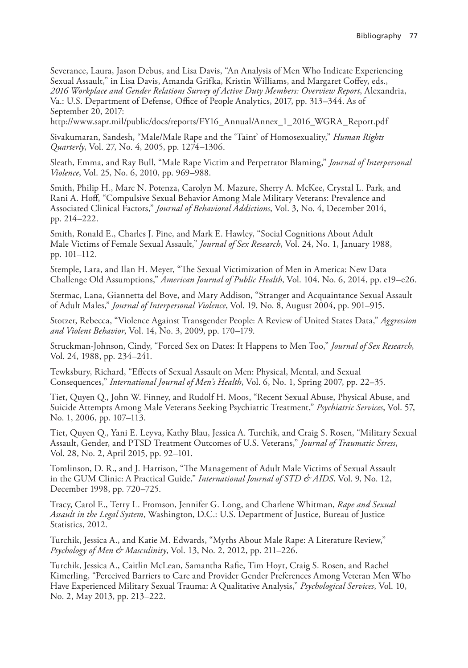Severance, Laura, Jason Debus, and Lisa Davis, "An Analysis of Men Who Indicate Experiencing Sexual Assault," in Lisa Davis, Amanda Grifka, Kristin Williams, and Margaret Coffey, eds., *2016 Workplace and Gender Relations Survey of Active Duty Members: Overview Report*, Alexandria, Va.: U.S. Department of Defense, Office of People Analytics, 2017, pp. 313–344. As of September 20, 2017:

[http://www.sapr.mil/public/docs/reports/FY16\\_Annual/Annex\\_1\\_2016\\_WGRA\\_Report.pdf](http://www.sapr.mil/public/docs/reports/FY16_Annual/Annex_1_2016_WGRA_Report.pdf)

Sivakumaran, Sandesh, "Male/Male Rape and the 'Taint' of Homosexuality," *Human Rights Quarterly*, Vol. 27, No. 4, 2005, pp. 1274–1306.

Sleath, Emma, and Ray Bull, "Male Rape Victim and Perpetrator Blaming," *Journal of Interpersonal Violence*, Vol. 25, No. 6, 2010, pp. 969–988.

Smith, Philip H., Marc N. Potenza, Carolyn M. Mazure, Sherry A. McKee, Crystal L. Park, and Rani A. Hoff, "Compulsive Sexual Behavior Among Male Military Veterans: Prevalence and Associated Clinical Factors," *Journal of Behavioral Addictions*, Vol. 3, No. 4, December 2014, pp. 214–222.

Smith, Ronald E., Charles J. Pine, and Mark E. Hawley, "Social Cognitions About Adult Male Victims of Female Sexual Assault," *Journal of Sex Research*, Vol. 24, No. 1, January 1988, pp. 101–112.

Stemple, Lara, and Ilan H. Meyer, "The Sexual Victimization of Men in America: New Data Challenge Old Assumptions," *American Journal of Public Health*, Vol. 104, No. 6, 2014, pp. e19–e26.

Stermac, Lana, Giannetta del Bove, and Mary Addison, "Stranger and Acquaintance Sexual Assault of Adult Males," *Journal of Interpersonal Violence*, Vol. 19, No. 8, August 2004, pp. 901–915.

Stotzer, Rebecca, "Violence Against Transgender People: A Review of United States Data," *Aggression and Violent Behavior*, Vol. 14, No. 3, 2009, pp. 170–179.

Struckman-Johnson, Cindy, "Forced Sex on Dates: It Happens to Men Too," *Journal of Sex Research*, Vol. 24, 1988, pp. 234–241.

Tewksbury, Richard, "Effects of Sexual Assault on Men: Physical, Mental, and Sexual Consequences," *International Journal of Men's Health*, Vol. 6, No. 1, Spring 2007, pp. 22–35.

Tiet, Quyen Q., John W. Finney, and Rudolf H. Moos, "Recent Sexual Abuse, Physical Abuse, and Suicide Attempts Among Male Veterans Seeking Psychiatric Treatment," *Psychiatric Services*, Vol. 57, No. 1, 2006, pp. 107–113.

Tiet, Quyen Q., Yani E. Leyva, Kathy Blau, Jessica A. Turchik, and Craig S. Rosen, "Military Sexual Assault, Gender, and PTSD Treatment Outcomes of U.S. Veterans," *Journal of Traumatic Stress*, Vol. 28, No. 2, April 2015, pp. 92–101.

Tomlinson, D. R., and J. Harrison, "The Management of Adult Male Victims of Sexual Assault in the GUM Clinic: A Practical Guide," *International Journal of STD & AIDS*, Vol. 9, No. 12, December 1998, pp. 720–725.

Tracy, Carol E., Terry L. Fromson, Jennifer G. Long, and Charlene Whitman, *Rape and Sexual Assault in the Legal System*, Washington, D.C.: U.S. Department of Justice, Bureau of Justice Statistics, 2012.

Turchik, Jessica A., and Katie M. Edwards, "Myths About Male Rape: A Literature Review," *Psychology of Men & Masculinity*, Vol. 13, No. 2, 2012, pp. 211–226.

Turchik, Jessica A., Caitlin McLean, Samantha Rafie, Tim Hoyt, Craig S. Rosen, and Rachel Kimerling, "Perceived Barriers to Care and Provider Gender Preferences Among Veteran Men Who Have Experienced Military Sexual Trauma: A Qualitative Analysis," *Psychological Services*, Vol. 10, No. 2, May 2013, pp. 213–222.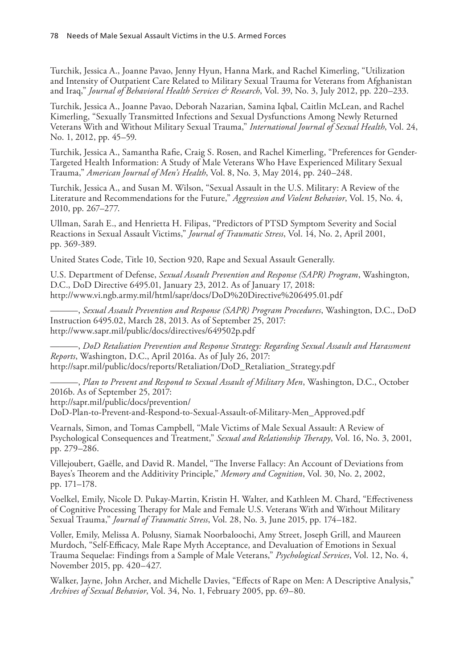Turchik, Jessica A., Joanne Pavao, Jenny Hyun, Hanna Mark, and Rachel Kimerling, "Utilization and Intensity of Outpatient Care Related to Military Sexual Trauma for Veterans from Afghanistan and Iraq," *Journal of Behavioral Health Services & Research*, Vol. 39, No. 3, July 2012, pp. 220–233.

Turchik, Jessica A., Joanne Pavao, Deborah Nazarian, Samina Iqbal, Caitlin McLean, and Rachel Kimerling, "Sexually Transmitted Infections and Sexual Dysfunctions Among Newly Returned Veterans With and Without Military Sexual Trauma," *International Journal of Sexual Health*, Vol. 24, No. 1, 2012, pp. 45–59.

Turchik, Jessica A., Samantha Rafie, Craig S. Rosen, and Rachel Kimerling, "Preferences for Gender-Targeted Health Information: A Study of Male Veterans Who Have Experienced Military Sexual Trauma," *American Journal of Men's Health*, Vol. 8, No. 3, May 2014, pp. 240–248.

Turchik, Jessica A., and Susan M. Wilson, "Sexual Assault in the U.S. Military: A Review of the Literature and Recommendations for the Future," *Aggression and Violent Behavior*, Vol. 15, No. 4, 2010, pp. 267–277.

Ullman, Sarah E., and Henrietta H. Filipas, "Predictors of PTSD Symptom Severity and Social Reactions in Sexual Assault Victims," *Journal of Traumatic Stress*, Vol. 14, No. 2, April 2001, pp. 369-389.

United States Code, Title 10, Section 920, Rape and Sexual Assault Generally.

U.S. Department of Defense, *Sexual Assault Prevention and Response (SAPR) Program*, Washington, D.C., DoD Directive 6495.01, January 23, 2012. As of January 17, 2018: <http://www.vi.ngb.army.mil/html/sapr/docs/DoD%20Directive%206495.01.pdf>

———, *Sexual Assault Prevention and Response (SAPR) Program Procedures*, Washington, D.C., DoD Instruction 6495.02, March 28, 2013. As of September 25, 2017: <http://www.sapr.mil/public/docs/directives/649502p.pdf>

———, *DoD Retaliation Prevention and Response Strategy: Regarding Sexual Assault and Harassment Reports*, Washington, D.C., April 2016a. As of July 26, 2017: [http://sapr.mil/public/docs/reports/Retaliation/DoD\\_Retaliation\\_Strategy.pdf](http://sapr.mil/public/docs/reports/Retaliation/DoD_Retaliation_Strategy.pdf)

———, *Plan to Prevent and Respond to Sexual Assault of Military Men*, Washington, D.C., October 2016b. As of September 25, 2017: http://sapr.mil/public/docs/prevention/

[DoD-Plan-to-Prevent-and-Respond-to-Sexual-Assault-of-Military-Men\\_Approved.pdf](http://sapr.mil/public/docs/prevention/DoD-Plan-to-Prevent-and-Respond-to-Sexual-Assault-of-Military-Men_Approved.pdf)

Vearnals, Simon, and Tomas Campbell, "Male Victims of Male Sexual Assault: A Review of Psychological Consequences and Treatment," *Sexual and Relationship Therapy*, Vol. 16, No. 3, 2001, pp. 279–286.

Villejoubert, Gaëlle, and David R. Mandel, "The Inverse Fallacy: An Account of Deviations from Bayes's Theorem and the Additivity Principle," *Memory and Cognition*, Vol. 30, No. 2, 2002, pp. 171–178.

Voelkel, Emily, Nicole D. Pukay-Martin, Kristin H. Walter, and Kathleen M. Chard, "Effectiveness of Cognitive Processing Therapy for Male and Female U.S. Veterans With and Without Military Sexual Trauma," *Journal of Traumatic Stress*, Vol. 28, No. 3, June 2015, pp. 174–182.

Voller, Emily, Melissa A. Polusny, Siamak Noorbaloochi, Amy Street, Joseph Grill, and Maureen Murdoch, "Self-Efficacy, Male Rape Myth Acceptance, and Devaluation of Emotions in Sexual Trauma Sequelae: Findings from a Sample of Male Veterans," *Psychological Services*, Vol. 12, No. 4, November 2015, pp. 420–427.

Walker, Jayne, John Archer, and Michelle Davies, "Effects of Rape on Men: A Descriptive Analysis," *Archives of Sexual Behavior*, Vol. 34, No. 1, February 2005, pp. 69–80.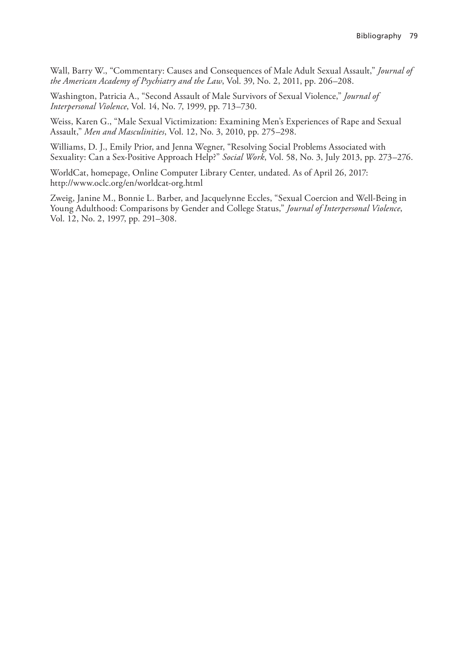Wall, Barry W., "Commentary: Causes and Consequences of Male Adult Sexual Assault," *Journal of the American Academy of Psychiatry and the Law*, Vol. 39, No. 2, 2011, pp. 206–208.

Washington, Patricia A., "Second Assault of Male Survivors of Sexual Violence," *Journal of Interpersonal Violence*, Vol. 14, No. 7, 1999, pp. 713–730.

Weiss, Karen G., "Male Sexual Victimization: Examining Men's Experiences of Rape and Sexual Assault," *Men and Masculinities*, Vol. 12, No. 3, 2010, pp. 275–298.

Williams, D. J., Emily Prior, and Jenna Wegner, "Resolving Social Problems Associated with Sexuality: Can a Sex-Positive Approach Help?" *Social Work*, Vol. 58, No. 3, July 2013, pp. 273–276.

WorldCat, homepage, Online Computer Library Center, undated. As of April 26, 2017: <http://www.oclc.org/en/worldcat-org.html>

Zweig, Janine M., Bonnie L. Barber, and Jacquelynne Eccles, "Sexual Coercion and Well-Being in Young Adulthood: Comparisons by Gender and College Status," *Journal of Interpersonal Violence*, Vol. 12, No. 2, 1997, pp. 291–308.